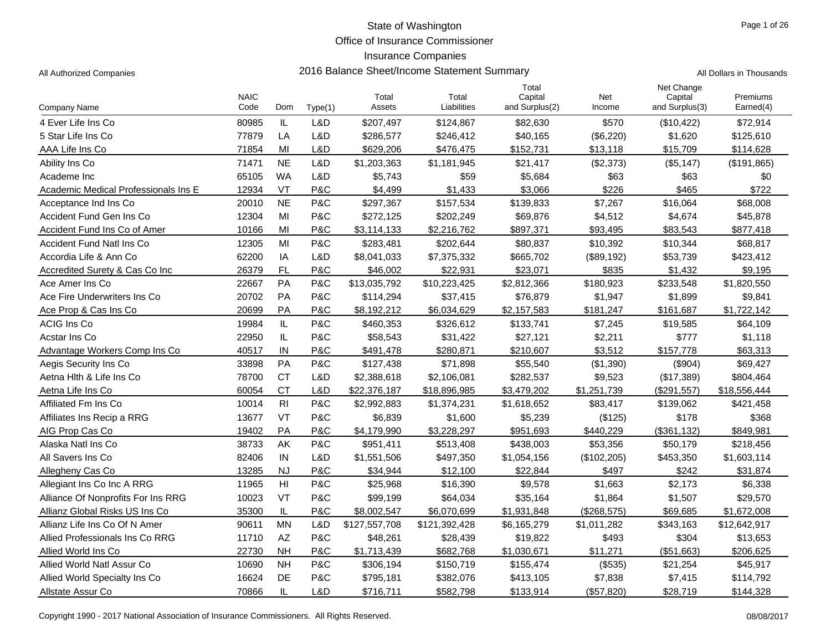Office of Insurance Commissioner

### Insurance Companies

All Authorized Companies **2016 Balance Sheet/Income Statement Summary** All Dollars in Thousands

Page 1 of 26

|                                      |                     |                |         |                 |                      | Total                     |               | Net Change                |                       |
|--------------------------------------|---------------------|----------------|---------|-----------------|----------------------|---------------------------|---------------|---------------------------|-----------------------|
| Company Name                         | <b>NAIC</b><br>Code | Dom            | Type(1) | Total<br>Assets | Total<br>Liabilities | Capital<br>and Surplus(2) | Net<br>Income | Capital<br>and Surplus(3) | Premiums<br>Earned(4) |
| 4 Ever Life Ins Co                   | 80985               | IL             | L&D     | \$207,497       | \$124,867            | \$82,630                  | \$570         | (\$10,422)                | \$72,914              |
| 5 Star Life Ins Co                   | 77879               | LA             | L&D     | \$286,577       | \$246,412            | \$40,165                  | (\$6,220)     | \$1,620                   | \$125,610             |
| AAA Life Ins Co                      | 71854               | MI             | L&D     | \$629,206       | \$476,475            | \$152,731                 | \$13,118      | \$15,709                  | \$114,628             |
| Ability Ins Co                       | 71471               | <b>NE</b>      | L&D     | \$1,203,363     | \$1,181,945          | \$21,417                  | (\$2,373)     | (\$5,147)                 | (\$191,865)           |
| Academe Inc                          | 65105               | <b>WA</b>      | L&D     | \$5,743         | \$59                 | \$5,684                   | \$63          | \$63                      | \$0                   |
| Academic Medical Professionals Ins E | 12934               | VT             | P&C     | \$4,499         | \$1,433              | \$3,066                   | \$226         | \$465                     | \$722                 |
| Acceptance Ind Ins Co                | 20010               | <b>NE</b>      | P&C     | \$297,367       | \$157,534            | \$139,833                 | \$7,267       | \$16,064                  | \$68,008              |
| Accident Fund Gen Ins Co             | 12304               | MI             | P&C     | \$272,125       | \$202,249            | \$69,876                  | \$4,512       | \$4,674                   | \$45,878              |
| Accident Fund Ins Co of Amer         | 10166               | MI             | P&C     | \$3,114,133     | \$2,216,762          | \$897,371                 | \$93,495      | \$83,543                  | \$877,418             |
| <b>Accident Fund Natl Ins Co</b>     | 12305               | MI             | P&C     | \$283,481       | \$202,644            | \$80,837                  | \$10,392      | \$10,344                  | \$68,817              |
| Accordia Life & Ann Co               | 62200               | IA             | L&D     | \$8,041,033     | \$7,375,332          | \$665,702                 | (\$89,192)    | \$53,739                  | \$423,412             |
| Accredited Surety & Cas Co Inc       | 26379               | FL             | P&C     | \$46,002        | \$22,931             | \$23,071                  | \$835         | \$1,432                   | \$9,195               |
| Ace Amer Ins Co                      | 22667               | PA             | P&C     | \$13,035,792    | \$10,223,425         | \$2,812,366               | \$180,923     | \$233,548                 | \$1,820,550           |
| Ace Fire Underwriters Ins Co         | 20702               | <b>PA</b>      | P&C     | \$114,294       | \$37,415             | \$76,879                  | \$1,947       | \$1,899                   | \$9,841               |
| Ace Prop & Cas Ins Co                | 20699               | PA             | P&C     | \$8,192,212     | \$6,034,629          | \$2,157,583               | \$181,247     | \$161,687                 | \$1,722,142           |
| <b>ACIG Ins Co</b>                   | 19984               | IL             | P&C     | \$460,353       | \$326,612            | \$133,741                 | \$7,245       | \$19,585                  | \$64,109              |
| Acstar Ins Co                        | 22950               | IL             | P&C     | \$58,543        | \$31,422             | \$27,121                  | \$2,211       | \$777                     | \$1,118               |
| Advantage Workers Comp Ins Co        | 40517               | IN             | P&C     | \$491,478       | \$280,871            | \$210.607                 | \$3,512       | \$157,778                 | \$63,313              |
| Aegis Security Ins Co                | 33898               | PA             | P&C     | \$127,438       | \$71,898             | \$55,540                  | (\$1,390)     | (\$904)                   | \$69,427              |
| Aetna Hith & Life Ins Co             | 78700               | <b>CT</b>      | L&D     | \$2,388,618     | \$2,106,081          | \$282,537                 | \$9,523       | (\$17,389)                | \$804,464             |
| Aetna Life Ins Co                    | 60054               | <b>CT</b>      | L&D     | \$22,376,187    | \$18,896,985         | \$3,479,202               | \$1,251,739   | (\$291,557)               | \$18,556,444          |
| Affiliated Fm Ins Co                 | 10014               | R <sub>l</sub> | P&C     | \$2,992,883     | \$1,374,231          | \$1,618,652               | \$83,417      | \$139,062                 | \$421,458             |
| Affiliates Ins Recip a RRG           | 13677               | VT             | P&C     | \$6,839         | \$1,600              | \$5,239                   | (\$125)       | \$178                     | \$368                 |
| AIG Prop Cas Co                      | 19402               | PA             | P&C     | \$4,179,990     | \$3,228,297          | \$951,693                 | \$440,229     | (\$361, 132)              | \$849,981             |
| Alaska Natl Ins Co                   | 38733               | AK             | P&C     | \$951,411       | \$513,408            | \$438,003                 | \$53,356      | \$50,179                  | \$218,456             |
| All Savers Ins Co                    | 82406               | IN             | L&D     | \$1,551,506     | \$497,350            | \$1,054,156               | (\$102, 205)  | \$453,350                 | \$1,603,114           |
| Allegheny Cas Co                     | 13285               | <b>NJ</b>      | P&C     | \$34,944        | \$12,100             | \$22,844                  | \$497         | \$242                     | \$31,874              |
| Allegiant Ins Co Inc A RRG           | 11965               | H              | P&C     | \$25,968        | \$16,390             | \$9,578                   | \$1,663       | \$2,173                   | \$6,338               |
| Alliance Of Nonprofits For Ins RRG   | 10023               | VT             | P&C     | \$99,199        | \$64,034             | \$35,164                  | \$1,864       | \$1,507                   | \$29,570              |
| Allianz Global Risks US Ins Co       | 35300               | IL             | P&C     | \$8,002,547     | \$6,070,699          | \$1,931,848               | (\$268,575)   | \$69,685                  | \$1,672,008           |
| Allianz Life Ins Co Of N Amer        | 90611               | <b>MN</b>      | L&D     | \$127,557,708   | \$121,392,428        | \$6,165,279               | \$1,011,282   | \$343,163                 | \$12,642,917          |
| Allied Professionals Ins Co RRG      | 11710               | AZ             | P&C     | \$48,261        | \$28,439             | \$19,822                  | \$493         | \$304                     | \$13,653              |
| Allied World Ins Co.                 | 22730               | <b>NH</b>      | P&C     | \$1,713,439     | \$682,768            | \$1,030,671               | \$11,271      | (\$51,663)                | \$206.625             |
| Allied World Natl Assur Co.          | 10690               | <b>NH</b>      | P&C     | \$306,194       | \$150,719            | \$155,474                 | (\$535)       | \$21,254                  | \$45,917              |
| Allied World Specialty Ins Co        | 16624               | DE             | P&C     | \$795,181       | \$382,076            | \$413,105                 | \$7,838       | \$7,415                   | \$114,792             |
| Allstate Assur Co                    | 70866               | IL             | L&D     | \$716,711       | \$582,798            | \$133,914                 | (\$57,820)    | \$28,719                  | \$144,328             |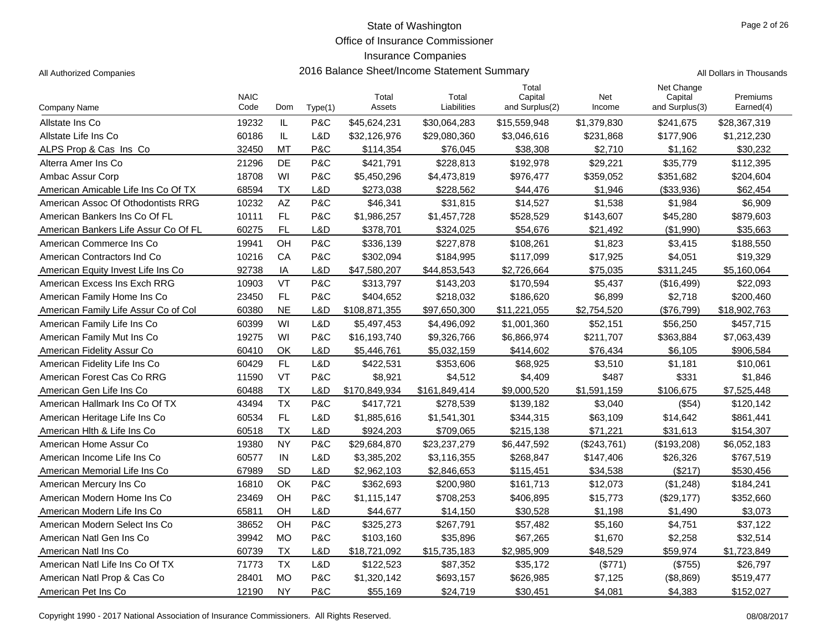Office of Insurance Commissioner

### Insurance Companies

| Company Name                         | <b>NAIC</b><br>Code | Dom       | Type(1) | Total<br>Assets | Total<br>Liabilities | Total<br>Capital<br>and Surplus(2) | Net<br>Income | Net Change<br>Capital<br>and Surplus(3) | Premiums<br>Earned(4) |
|--------------------------------------|---------------------|-----------|---------|-----------------|----------------------|------------------------------------|---------------|-----------------------------------------|-----------------------|
| Allstate Ins Co                      | 19232               | IL        | P&C     | \$45,624,231    | \$30,064,283         | \$15,559,948                       | \$1,379,830   | \$241,675                               | \$28,367,319          |
| Allstate Life Ins Co                 | 60186               | IL.       | L&D     | \$32,126,976    | \$29,080,360         | \$3,046,616                        | \$231,868     | \$177,906                               | \$1,212,230           |
| ALPS Prop & Cas Ins Co               | 32450               | МT        | P&C     | \$114,354       | \$76,045             | \$38,308                           | \$2,710       | \$1,162                                 | \$30,232              |
| Alterra Amer Ins Co                  | 21296               | DE        | P&C     | \$421,791       | \$228,813            | \$192,978                          | \$29,221      | \$35,779                                | \$112,395             |
| Ambac Assur Corp                     | 18708               | WI        | P&C     | \$5,450,296     | \$4,473,819          | \$976,477                          | \$359,052     | \$351,682                               | \$204,604             |
| American Amicable Life Ins Co Of TX  | 68594               | TX        | L&D     | \$273,038       | \$228,562            | \$44,476                           | \$1,946       | (\$33,936)                              | \$62,454              |
| American Assoc Of Othodontists RRG   | 10232               | AZ        | P&C     | \$46,341        | \$31,815             | \$14,527                           | \$1,538       | \$1,984                                 | \$6,909               |
| American Bankers Ins Co Of FL        | 10111               | FL        | P&C     | \$1,986,257     | \$1,457,728          | \$528,529                          | \$143,607     | \$45,280                                | \$879,603             |
| American Bankers Life Assur Co Of FL | 60275               | <b>FL</b> | L&D     | \$378,701       | \$324,025            | \$54,676                           | \$21,492      | (\$1,990)                               | \$35,663              |
| American Commerce Ins Co             | 19941               | OH        | P&C     | \$336,139       | \$227,878            | \$108,261                          | \$1,823       | \$3,415                                 | \$188,550             |
| American Contractors Ind Co          | 10216               | CA        | P&C     | \$302,094       | \$184,995            | \$117,099                          | \$17,925      | \$4,051                                 | \$19,329              |
| American Equity Invest Life Ins Co.  | 92738               | IA        | L&D     | \$47,580,207    | \$44,853,543         | \$2,726,664                        | \$75,035      | \$311,245                               | \$5,160,064           |
| American Excess Ins Exch RRG         | 10903               | VT        | P&C     | \$313,797       | \$143,203            | \$170,594                          | \$5,437       | (\$16,499)                              | \$22,093              |
| American Family Home Ins Co          | 23450               | FL        | P&C     | \$404,652       | \$218,032            | \$186,620                          | \$6,899       | \$2,718                                 | \$200,460             |
| American Family Life Assur Co of Col | 60380               | <b>NE</b> | L&D     | \$108,871,355   | \$97,650,300         | \$11,221,055                       | \$2,754,520   | (\$76,799)                              | \$18,902,763          |
| American Family Life Ins Co          | 60399               | WI        | L&D     | \$5,497,453     | \$4,496,092          | \$1,001,360                        | \$52,151      | \$56,250                                | \$457,715             |
| American Family Mut Ins Co           | 19275               | WI        | P&C     | \$16,193,740    | \$9,326,766          | \$6,866,974                        | \$211,707     | \$363,884                               | \$7,063,439           |
| American Fidelity Assur Co           | 60410               | OK        | L&D     | \$5,446,761     | \$5,032,159          | \$414,602                          | \$76,434      | \$6,105                                 | \$906,584             |
| American Fidelity Life Ins Co        | 60429               | FL        | L&D     | \$422,531       | \$353,606            | \$68,925                           | \$3,510       | \$1,181                                 | \$10,061              |
| American Forest Cas Co RRG           | 11590               | VT        | P&C     | \$8,921         | \$4,512              | \$4,409                            | \$487         | \$331                                   | \$1,846               |
| American Gen Life Ins Co             | 60488               | <b>TX</b> | L&D     | \$170,849,934   | \$161,849,414        | \$9,000,520                        | \$1,591,159   | \$106,675                               | \$7,525,448           |
| American Hallmark Ins Co Of TX       | 43494               | <b>TX</b> | P&C     | \$417,721       | \$278,539            | \$139,182                          | \$3,040       | (\$54)                                  | \$120,142             |
| American Heritage Life Ins Co        | 60534               | FL.       | L&D     | \$1,885,616     | \$1,541,301          | \$344,315                          | \$63,109      | \$14,642                                | \$861,441             |
| American Hith & Life Ins Co          | 60518               | <b>TX</b> | L&D     | \$924,203       | \$709,065            | \$215,138                          | \$71,221      | \$31,613                                | \$154,307             |
| American Home Assur Co               | 19380               | <b>NY</b> | P&C     | \$29,684,870    | \$23,237,279         | \$6,447,592                        | (\$243,761)   | (\$193,208)                             | \$6,052,183           |
| American Income Life Ins Co          | 60577               | IN        | L&D     | \$3,385,202     | \$3,116,355          | \$268,847                          | \$147,406     | \$26,326                                | \$767,519             |
| American Memorial Life Ins Co        | 67989               | <b>SD</b> | L&D     | \$2,962,103     | \$2,846,653          | \$115,451                          | \$34,538      | (\$217)                                 | \$530,456             |
| American Mercury Ins Co              | 16810               | OK        | P&C     | \$362,693       | \$200,980            | \$161,713                          | \$12,073      | (\$1,248)                               | \$184,241             |
| American Modern Home Ins Co          | 23469               | OН        | P&C     | \$1,115,147     | \$708,253            | \$406,895                          | \$15,773      | (\$29,177)                              | \$352,660             |
| American Modern Life Ins Co          | 65811               | OН        | L&D     | \$44,677        | \$14,150             | \$30,528                           | \$1,198       | \$1,490                                 | \$3,073               |
| American Modern Select Ins Co        | 38652               | OH        | P&C     | \$325,273       | \$267,791            | \$57,482                           | \$5,160       | \$4,751                                 | \$37,122              |
| American Natl Gen Ins Co             | 39942               | <b>MO</b> | P&C     | \$103,160       | \$35,896             | \$67,265                           | \$1,670       | \$2,258                                 | \$32,514              |
| American Natl Ins Co                 | 60739               | <b>TX</b> | L&D     | \$18,721,092    | \$15,735,183         | \$2,985,909                        | \$48,529      | \$59,974                                | \$1,723,849           |
| American Natl Life Ins Co Of TX      | 71773               | <b>TX</b> | L&D     | \$122,523       | \$87,352             | \$35,172                           | (\$771)       | (\$755)                                 | \$26,797              |
| American Natl Prop & Cas Co          | 28401               | <b>MO</b> | P&C     | \$1,320,142     | \$693,157            | \$626,985                          | \$7,125       | (\$8,869)                               | \$519,477             |
| American Pet Ins Co                  | 12190               | <b>NY</b> | P&C     | \$55,169        | \$24,719             | \$30,451                           | \$4,081       | \$4,383                                 | \$152,027             |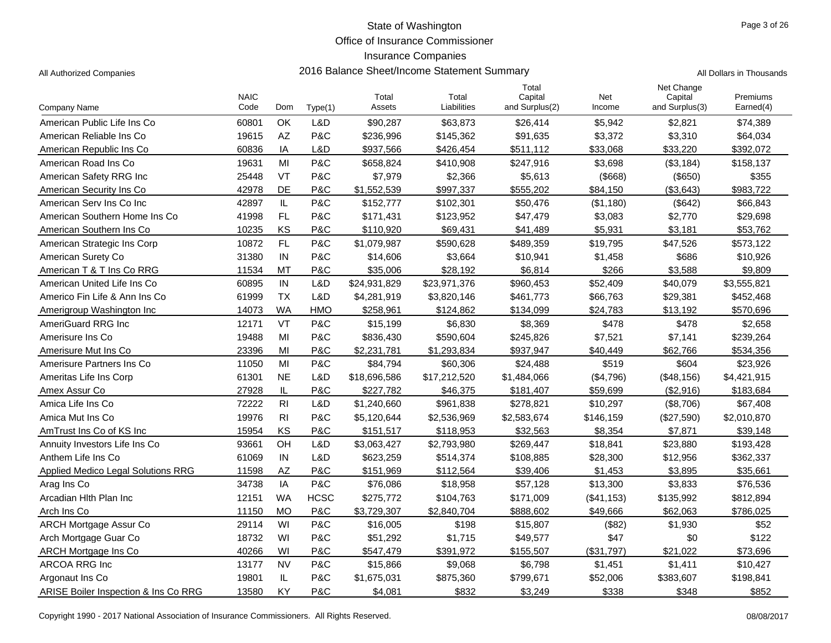Office of Insurance Commissioner

### Insurance Companies

All Authorized Companies 2016 Balance Sheet/Income Statement Summary

|            | Page 3 of 26             |
|------------|--------------------------|
|            |                          |
|            |                          |
|            |                          |
|            | All Dollars in Thousands |
| Net Change |                          |

|                                      | <b>NAIC</b> |                |             | Total        | Total        | Total<br>Capital | Net        | Net Change<br>Capital | Premiums    |
|--------------------------------------|-------------|----------------|-------------|--------------|--------------|------------------|------------|-----------------------|-------------|
| <b>Company Name</b>                  | Code        | Dom            | Type(1)     | Assets       | Liabilities  | and Surplus(2)   | Income     | and Surplus(3)        | Earned(4)   |
| American Public Life Ins Co          | 60801       | OK             | L&D         | \$90,287     | \$63,873     | \$26,414         | \$5,942    | \$2,821               | \$74,389    |
| American Reliable Ins Co.            | 19615       | <b>AZ</b>      | P&C         | \$236,996    | \$145,362    | \$91,635         | \$3,372    | \$3,310               | \$64,034    |
| American Republic Ins Co.            | 60836       | IA             | L&D         | \$937,566    | \$426,454    | \$511,112        | \$33,068   | \$33,220              | \$392,072   |
| American Road Ins Co                 | 19631       | MI             | P&C         | \$658,824    | \$410,908    | \$247,916        | \$3,698    | (\$3,184)             | \$158,137   |
| American Safety RRG Inc              | 25448       | VT             | P&C         | \$7,979      | \$2,366      | \$5,613          | (\$668)    | (\$650)               | \$355       |
| American Security Ins Co.            | 42978       | <b>DE</b>      | P&C         | \$1,552,539  | \$997,337    | \$555.202        | \$84,150   | ( \$3,643)            | \$983,722   |
| American Serv Ins Co Inc             | 42897       | IL             | P&C         | \$152,777    | \$102,301    | \$50,476         | (\$1,180)  | (\$642)               | \$66,843    |
| American Southern Home Ins Co        | 41998       | FL             | P&C         | \$171,431    | \$123,952    | \$47,479         | \$3,083    | \$2,770               | \$29,698    |
| American Southern Ins Co             | 10235       | KS             | P&C         | \$110,920    | \$69,431     | \$41.489         | \$5,931    | \$3.181               | \$53.762    |
| American Strategic Ins Corp          | 10872       | <b>FL</b>      | P&C         | \$1,079,987  | \$590,628    | \$489,359        | \$19,795   | \$47,526              | \$573,122   |
| American Surety Co                   | 31380       | IN             | P&C         | \$14,606     | \$3,664      | \$10,941         | \$1,458    | \$686                 | \$10,926    |
| American T & T Ins Co RRG            | 11534       | <b>MT</b>      | P&C         | \$35,006     | \$28,192     | \$6,814          | \$266      | \$3,588               | \$9,809     |
| American United Life Ins Co          | 60895       | IN             | L&D         | \$24,931,829 | \$23,971,376 | \$960,453        | \$52,409   | \$40,079              | \$3,555,821 |
| Americo Fin Life & Ann Ins Co        | 61999       | <b>TX</b>      | L&D         | \$4,281,919  | \$3,820,146  | \$461,773        | \$66,763   | \$29,381              | \$452,468   |
| Amerigroup Washington Inc            | 14073       | <b>WA</b>      | <b>HMO</b>  | \$258,961    | \$124,862    | \$134,099        | \$24.783   | \$13,192              | \$570,696   |
| AmeriGuard RRG Inc                   | 12171       | <b>VT</b>      | P&C         | \$15,199     | \$6,830      | \$8,369          | \$478      | \$478                 | \$2,658     |
| Amerisure Ins Co                     | 19488       | MI             | P&C         | \$836,430    | \$590,604    | \$245,826        | \$7,521    | \$7.141               | \$239,264   |
| Amerisure Mut Ins Co.                | 23396       | MI             | P&C         | \$2,231,781  | \$1,293,834  | \$937,947        | \$40,449   | \$62,766              | \$534,356   |
| Amerisure Partners Ins Co            | 11050       | MI             | P&C         | \$84,794     | \$60,306     | \$24,488         | \$519      | \$604                 | \$23,926    |
| Ameritas Life Ins Corp               | 61301       | <b>NE</b>      | L&D         | \$18,696,586 | \$17,212,520 | \$1,484,066      | (\$4,796)  | (\$48,156)            | \$4,421,915 |
| Amex Assur Co                        | 27928       | IL             | P&C         | \$227,782    | \$46,375     | \$181,407        | \$59.699   | (\$2,916)             | \$183,684   |
| Amica Life Ins Co                    | 72222       | R <sub>l</sub> | L&D         | \$1,240,660  | \$961,838    | \$278,821        | \$10,297   | (\$8,706)             | \$67,408    |
| Amica Mut Ins Co                     | 19976       | R <sub>l</sub> | P&C         | \$5,120,644  | \$2,536,969  | \$2,583,674      | \$146,159  | (\$27,590)            | \$2,010,870 |
| AmTrust Ins Co of KS Inc             | 15954       | KS             | P&C         | \$151,517    | \$118,953    | \$32,563         | \$8,354    | \$7,871               | \$39,148    |
| Annuity Investors Life Ins Co        | 93661       | OH             | L&D         | \$3,063,427  | \$2,793,980  | \$269,447        | \$18,841   | \$23,880              | \$193,428   |
| Anthem Life Ins Co                   | 61069       | IN             | L&D         | \$623,259    | \$514,374    | \$108,885        | \$28,300   | \$12,956              | \$362,337   |
| Applied Medico Legal Solutions RRG   | 11598       | <b>AZ</b>      | P&C         | \$151,969    | \$112,564    | \$39,406         | \$1,453    | \$3,895               | \$35,661    |
| Arag Ins Co                          | 34738       | IA             | P&C         | \$76,086     | \$18,958     | \$57,128         | \$13,300   | \$3,833               | \$76,536    |
| Arcadian Hith Plan Inc               | 12151       | <b>WA</b>      | <b>HCSC</b> | \$275,772    | \$104,763    | \$171,009        | (\$41,153) | \$135,992             | \$812,894   |
| Arch Ins Co                          | 11150       | <b>MO</b>      | P&C         | \$3,729,307  | \$2.840.704  | \$888,602        | \$49,666   | \$62,063              | \$786,025   |
| <b>ARCH Mortgage Assur Co</b>        | 29114       | WI             | P&C         | \$16,005     | \$198        | \$15,807         | (\$82)     | \$1,930               | \$52        |
| Arch Mortgage Guar Co                | 18732       | WI             | P&C         | \$51,292     | \$1,715      | \$49,577         | \$47       | \$0                   | \$122       |
| ARCH Mortgage Ins Co                 | 40266       | WI             | P&C         | \$547,479    | \$391,972    | \$155,507        | (\$31,797) | \$21,022              | \$73,696    |
| ARCOA RRG Inc                        | 13177       | <b>NV</b>      | P&C         | \$15,866     | \$9,068      | \$6,798          | \$1,451    | \$1,411               | \$10,427    |
| Argonaut Ins Co                      | 19801       | IL             | P&C         | \$1,675,031  | \$875,360    | \$799,671        | \$52,006   | \$383,607             | \$198,841   |
| ARISE Boiler Inspection & Ins Co RRG | 13580       | KY             | P&C         | \$4,081      | \$832        | \$3,249          | \$338      | \$348                 | \$852       |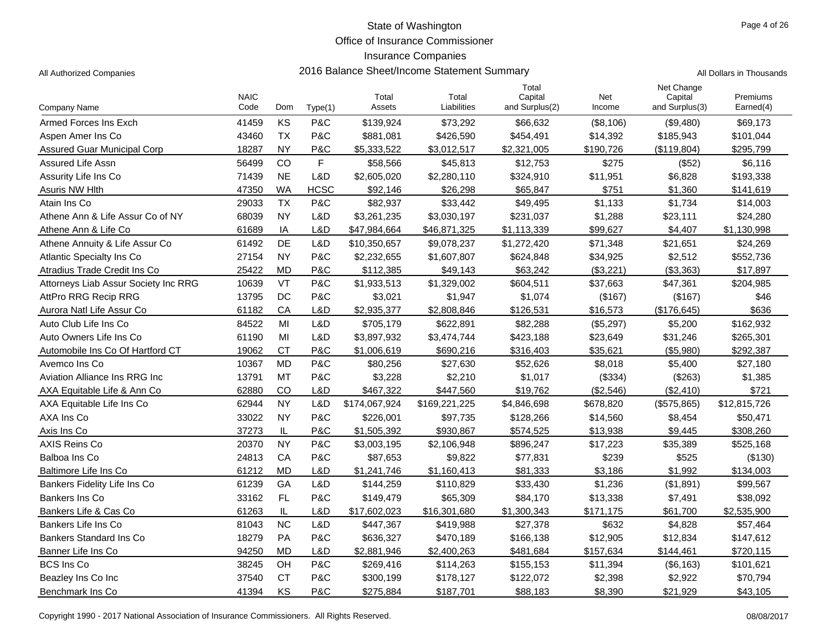Office of Insurance Commissioner

#### Insurance Companies

|  | I Dollars in Thousands |  |
|--|------------------------|--|

|                                      | <b>NAIC</b> |           |             | Total         | Total         | Total<br>Capital |               | Net Change<br>Capital | Premiums     |
|--------------------------------------|-------------|-----------|-------------|---------------|---------------|------------------|---------------|-----------------------|--------------|
| Company Name                         | Code        | Dom       | Type(1)     | Assets        | Liabilities   | and Surplus(2)   | Net<br>Income | and Surplus(3)        | Earned(4)    |
| Armed Forces Ins Exch                | 41459       | KS        | P&C         | \$139,924     | \$73,292      | \$66,632         | (\$8,106)     | (\$9,480)             | \$69,173     |
| Aspen Amer Ins Co                    | 43460       | <b>TX</b> | P&C         | \$881,081     | \$426,590     | \$454,491        | \$14,392      | \$185,943             | \$101,044    |
| Assured Guar Municipal Corp          | 18287       | <b>NY</b> | P&C         | \$5,333,522   | \$3,012,517   | \$2,321,005      | \$190,726     | (\$119,804)           | \$295,799    |
| Assured Life Assn                    | 56499       | CO        | F           | \$58,566      | \$45,813      | \$12,753         | \$275         | (\$52)                | \$6,116      |
| Assurity Life Ins Co                 | 71439       | <b>NE</b> | L&D         | \$2,605,020   | \$2,280,110   | \$324,910        | \$11,951      | \$6,828               | \$193,338    |
| Asuris NW Hlth                       | 47350       | <b>WA</b> | <b>HCSC</b> | \$92,146      | \$26,298      | \$65,847         | \$751         | \$1,360               | \$141,619    |
| Atain Ins Co                         | 29033       | <b>TX</b> | P&C         | \$82,937      | \$33,442      | \$49,495         | \$1,133       | \$1,734               | \$14,003     |
| Athene Ann & Life Assur Co of NY     | 68039       | <b>NY</b> | L&D         | \$3,261,235   | \$3,030,197   | \$231,037        | \$1,288       | \$23,111              | \$24,280     |
| Athene Ann & Life Co                 | 61689       | IA        | L&D         | \$47,984,664  | \$46,871,325  | \$1,113,339      | \$99.627      | \$4.407               | \$1,130,998  |
| Athene Annuity & Life Assur Co       | 61492       | <b>DE</b> | L&D         | \$10,350,657  | \$9,078,237   | \$1,272,420      | \$71,348      | \$21,651              | \$24,269     |
| Atlantic Specialty Ins Co            | 27154       | <b>NY</b> | P&C         | \$2,232,655   | \$1,607,807   | \$624,848        | \$34,925      | \$2,512               | \$552,736    |
| Atradius Trade Credit Ins Co         | 25422       | <b>MD</b> | P&C         | \$112,385     | \$49,143      | \$63,242         | (\$3,221)     | (\$3,363)             | \$17,897     |
| Attorneys Liab Assur Society Inc RRG | 10639       | VT        | P&C         | \$1,933,513   | \$1,329,002   | \$604,511        | \$37,663      | \$47,361              | \$204,985    |
| AttPro RRG Recip RRG                 | 13795       | DC        | P&C         | \$3,021       | \$1,947       | \$1,074          | (\$167)       | (\$167)               | \$46         |
| Aurora Natl Life Assur Co            | 61182       | CA        | L&D         | \$2,935,377   | \$2,808,846   | \$126,531        | \$16,573      | (\$176,645)           | \$636        |
| Auto Club Life Ins Co                | 84522       | MI        | L&D         | \$705,179     | \$622,891     | \$82,288         | (\$5,297)     | \$5,200               | \$162,932    |
| Auto Owners Life Ins Co              | 61190       | MI        | L&D         | \$3,897,932   | \$3,474,744   | \$423,188        | \$23,649      | \$31,246              | \$265,301    |
| Automobile Ins Co Of Hartford CT     | 19062       | <b>CT</b> | P&C         | \$1,006,619   | \$690,216     | \$316,403        | \$35,621      | (\$5,980)             | \$292,387    |
| Avemco Ins Co                        | 10367       | <b>MD</b> | P&C         | \$80,256      | \$27,630      | \$52,626         | \$8,018       | \$5,400               | \$27,180     |
| <b>Aviation Alliance Ins RRG Inc</b> | 13791       | <b>MT</b> | P&C         | \$3,228       | \$2,210       | \$1,017          | (\$334)       | (\$263)               | \$1,385      |
| AXA Equitable Life & Ann Co          | 62880       | CO        | L&D         | \$467,322     | \$447,560     | \$19,762         | (\$2,546)     | (\$2,410)             | \$721        |
| AXA Equitable Life Ins Co            | 62944       | <b>NY</b> | L&D         | \$174,067,924 | \$169,221,225 | \$4,846,698      | \$678,820     | (\$575,865)           | \$12,815,726 |
| AXA Ins Co                           | 33022       | <b>NY</b> | P&C         | \$226,001     | \$97,735      | \$128,266        | \$14,560      | \$8,454               | \$50,471     |
| Axis Ins Co                          | 37273       | IL        | P&C         | \$1,505,392   | \$930,867     | \$574,525        | \$13,938      | \$9,445               | \$308,260    |
| <b>AXIS Reins Co</b>                 | 20370       | <b>NY</b> | P&C         | \$3,003,195   | \$2,106,948   | \$896,247        | \$17,223      | \$35,389              | \$525,168    |
| Balboa Ins Co                        | 24813       | CA        | P&C         | \$87,653      | \$9,822       | \$77,831         | \$239         | \$525                 | (\$130)      |
| Baltimore Life Ins Co                | 61212       | <b>MD</b> | L&D         | \$1,241,746   | \$1,160,413   | \$81,333         | \$3,186       | \$1,992               | \$134,003    |
| Bankers Fidelity Life Ins Co         | 61239       | GA        | L&D         | \$144,259     | \$110,829     | \$33,430         | \$1,236       | (\$1,891)             | \$99,567     |
| Bankers Ins Co                       | 33162       | FL.       | P&C         | \$149,479     | \$65,309      | \$84,170         | \$13,338      | \$7,491               | \$38,092     |
| Bankers Life & Cas Co                | 61263       | IL        | L&D         | \$17,602,023  | \$16,301,680  | \$1,300,343      | \$171,175     | \$61,700              | \$2,535,900  |
| Bankers Life Ins Co                  | 81043       | <b>NC</b> | L&D         | \$447,367     | \$419,988     | \$27,378         | \$632         | \$4,828               | \$57,464     |
| Bankers Standard Ins Co              | 18279       | PA        | P&C         | \$636,327     | \$470,189     | \$166,138        | \$12,905      | \$12,834              | \$147,612    |
| Banner Life Ins Co                   | 94250       | <b>MD</b> | L&D         | \$2,881,946   | \$2,400,263   | \$481,684        | \$157,634     | \$144,461             | \$720,115    |
| <b>BCS Ins Co</b>                    | 38245       | OH        | P&C         | \$269,416     | \$114,263     | \$155,153        | \$11,394      | (\$6,163)             | \$101,621    |
| Beazley Ins Co Inc                   | 37540       | <b>CT</b> | P&C         | \$300,199     | \$178,127     | \$122,072        | \$2,398       | \$2,922               | \$70,794     |
| Benchmark Ins Co                     | 41394       | KS        | P&C         | \$275,884     | \$187,701     | \$88,183         | \$8,390       | \$21,929              | \$43,105     |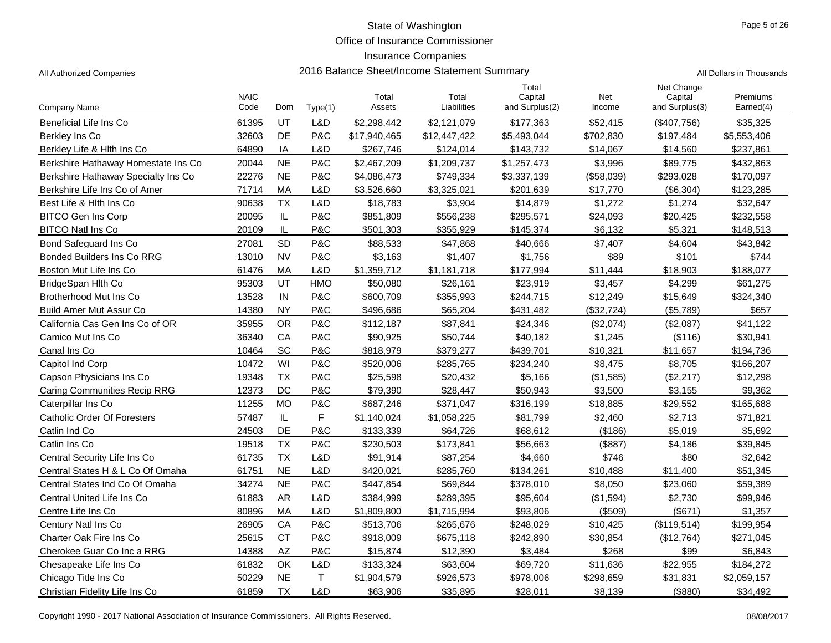Office of Insurance Commissioner

#### Insurance Companies

|                                     | <b>NAIC</b> |           |            | Total        | Total        | Total<br>Capital | Net        | Net Change<br>Capital | Premiums    |
|-------------------------------------|-------------|-----------|------------|--------------|--------------|------------------|------------|-----------------------|-------------|
| Company Name                        | Code        | Dom       | Type(1)    | Assets       | Liabilities  | and Surplus(2)   | Income     | and Surplus(3)        | Earned(4)   |
| Beneficial Life Ins Co              | 61395       | UT        | L&D        | \$2,298,442  | \$2,121,079  | \$177,363        | \$52,415   | (\$407,756)           | \$35,325    |
| Berkley Ins Co                      | 32603       | <b>DE</b> | P&C        | \$17,940,465 | \$12,447,422 | \$5,493,044      | \$702,830  | \$197,484             | \$5,553,406 |
| Berkley Life & Hith Ins Co          | 64890       | IA        | L&D        | \$267,746    | \$124,014    | \$143,732        | \$14,067   | \$14,560              | \$237,861   |
| Berkshire Hathaway Homestate Ins Co | 20044       | <b>NE</b> | P&C        | \$2,467,209  | \$1,209,737  | \$1,257,473      | \$3,996    | \$89,775              | \$432,863   |
| Berkshire Hathaway Specialty Ins Co | 22276       | <b>NE</b> | P&C        | \$4,086,473  | \$749,334    | \$3,337,139      | (\$58,039) | \$293,028             | \$170,097   |
| Berkshire Life Ins Co of Amer       | 71714       | MA        | L&D        | \$3,526,660  | \$3,325,021  | \$201,639        | \$17,770   | (\$6,304)             | \$123,285   |
| Best Life & Hith Ins Co             | 90638       | <b>TX</b> | L&D        | \$18,783     | \$3,904      | \$14,879         | \$1,272    | \$1,274               | \$32,647    |
| <b>BITCO Gen Ins Corp</b>           | 20095       | IL        | P&C        | \$851,809    | \$556,238    | \$295,571        | \$24,093   | \$20,425              | \$232,558   |
| <b>BITCO Natl Ins Co</b>            | 20109       | IL        | P&C        | \$501,303    | \$355,929    | \$145,374        | \$6,132    | \$5,321               | \$148,513   |
| Bond Safeguard Ins Co               | 27081       | SD        | P&C        | \$88,533     | \$47,868     | \$40,666         | \$7,407    | \$4,604               | \$43,842    |
| <b>Bonded Builders Ins Co RRG</b>   | 13010       | <b>NV</b> | P&C        | \$3,163      | \$1,407      | \$1,756          | \$89       | \$101                 | \$744       |
| Boston Mut Life Ins Co              | 61476       | MA        | L&D        | \$1,359,712  | \$1,181,718  | \$177,994        | \$11,444   | \$18,903              | \$188,077   |
| BridgeSpan Hlth Co                  | 95303       | UT        | <b>HMO</b> | \$50,080     | \$26,161     | \$23,919         | \$3,457    | \$4,299               | \$61,275    |
| Brotherhood Mut Ins Co              | 13528       | IN        | P&C        | \$600,709    | \$355,993    | \$244,715        | \$12,249   | \$15,649              | \$324,340   |
| <b>Build Amer Mut Assur Co</b>      | 14380       | <b>NY</b> | P&C        | \$496,686    | \$65,204     | \$431,482        | (\$32,724) | (\$5,789)             | \$657       |
| California Cas Gen Ins Co of OR     | 35955       | <b>OR</b> | P&C        | \$112,187    | \$87,841     | \$24,346         | (\$2,074)  | (\$2,087)             | \$41,122    |
| Camico Mut Ins Co                   | 36340       | CA        | P&C        | \$90,925     | \$50,744     | \$40,182         | \$1,245    | (\$116)               | \$30,941    |
| Canal Ins Co                        | 10464       | SC        | P&C        | \$818,979    | \$379,277    | \$439,701        | \$10,321   | \$11,657              | \$194,736   |
| Capitol Ind Corp                    | 10472       | WI        | P&C        | \$520,006    | \$285,765    | \$234,240        | \$8,475    | \$8,705               | \$166,207   |
| Capson Physicians Ins Co            | 19348       | <b>TX</b> | P&C        | \$25,598     | \$20,432     | \$5,166          | (\$1,585)  | (\$2,217)             | \$12,298    |
| <b>Caring Communities Recip RRG</b> | 12373       | DC        | P&C        | \$79,390     | \$28,447     | \$50,943         | \$3,500    | \$3,155               | \$9,362     |
| Caterpillar Ins Co                  | 11255       | <b>MO</b> | P&C        | \$687,246    | \$371,047    | \$316,199        | \$18,885   | \$29,552              | \$165,688   |
| <b>Catholic Order Of Foresters</b>  | 57487       | IL        | F          | \$1,140,024  | \$1,058,225  | \$81,799         | \$2,460    | \$2,713               | \$71,821    |
| Catlin Ind Co                       | 24503       | DE        | P&C        | \$133,339    | \$64,726     | \$68,612         | (\$186)    | \$5,019               | \$5,692     |
| Catlin Ins Co                       | 19518       | <b>TX</b> | P&C        | \$230,503    | \$173,841    | \$56,663         | (\$887)    | \$4,186               | \$39,845    |
| Central Security Life Ins Co        | 61735       | <b>TX</b> | L&D        | \$91,914     | \$87,254     | \$4,660          | \$746      | \$80                  | \$2,642     |
| Central States H & L Co Of Omaha    | 61751       | <b>NE</b> | L&D        | \$420,021    | \$285,760    | \$134,261        | \$10,488   | \$11,400              | \$51,345    |
| Central States Ind Co Of Omaha      | 34274       | <b>NE</b> | P&C        | \$447,854    | \$69,844     | \$378,010        | \$8,050    | \$23,060              | \$59,389    |
| Central United Life Ins Co          | 61883       | <b>AR</b> | L&D        | \$384,999    | \$289,395    | \$95,604         | (\$1,594)  | \$2,730               | \$99,946    |
| Centre Life Ins Co                  | 80896       | MA        | L&D        | \$1,809,800  | \$1,715,994  | \$93,806         | (\$509)    | (\$671)               | \$1,357     |
| Century Natl Ins Co                 | 26905       | CA        | P&C        | \$513,706    | \$265,676    | \$248,029        | \$10,425   | (\$119,514)           | \$199,954   |
| Charter Oak Fire Ins Co             | 25615       | <b>CT</b> | P&C        | \$918,009    | \$675,118    | \$242,890        | \$30,854   | (\$12,764)            | \$271,045   |
| Cherokee Guar Co Inc a RRG          | 14388       | <b>AZ</b> | P&C        | \$15,874     | \$12,390     | \$3,484          | \$268      | \$99                  | \$6,843     |
| Chesapeake Life Ins Co              | 61832       | OK        | L&D        | \$133,324    | \$63,604     | \$69,720         | \$11,636   | \$22,955              | \$184,272   |
| Chicago Title Ins Co                | 50229       | <b>NE</b> | T          | \$1,904,579  | \$926,573    | \$978,006        | \$298,659  | \$31,831              | \$2,059,157 |
| Christian Fidelity Life Ins Co      | 61859       | <b>TX</b> | L&D        | \$63,906     | \$35,895     | \$28,011         | \$8,139    | ( \$880)              | \$34,492    |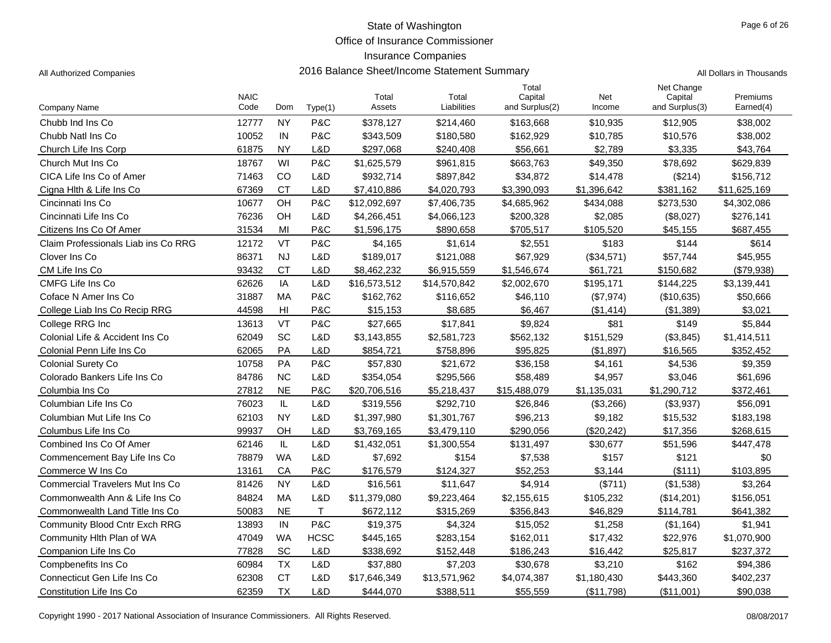Office of Insurance Commissioner

#### Insurance Companies

Combined Ins Co Of Amer

| Page 6 of 26 |  |  |
|--------------|--|--|
|              |  |  |

| All Authorized Companies            |                     | 2016 Balance Sheet/Income Statement Summary | All Dollars in Thousands |                 |                      |                                    |               |                                         |                       |
|-------------------------------------|---------------------|---------------------------------------------|--------------------------|-----------------|----------------------|------------------------------------|---------------|-----------------------------------------|-----------------------|
| Company Name                        | <b>NAIC</b><br>Code | Dom                                         | Type(1)                  | Total<br>Assets | Total<br>Liabilities | Total<br>Capital<br>and Surplus(2) | Net<br>Income | Net Change<br>Capital<br>and Surplus(3) | Premiums<br>Earned(4) |
| Chubb Ind Ins Co.                   | 12777               | <b>NY</b>                                   | P&C                      | \$378,127       | \$214,460            | \$163,668                          | \$10,935      | \$12,905                                | \$38,002              |
| Chubb Natl Ins Co.                  | 10052               | IN                                          | P&C                      | \$343,509       | \$180,580            | \$162,929                          | \$10,785      | \$10,576                                | \$38,002              |
| Church Life Ins Corp                | 61875               | <b>NY</b>                                   | L&D                      | \$297,068       | \$240,408            | \$56,661                           | \$2,789       | \$3,335                                 | \$43,764              |
| Church Mut Ins Co.                  | 18767               | WI                                          | P&C                      | \$1,625,579     | \$961,815            | \$663,763                          | \$49,350      | \$78,692                                | \$629,839             |
| CICA Life Ins Co of Amer            | 71463               | <sub>CO</sub>                               | L&D                      | \$932,714       | \$897,842            | \$34,872                           | \$14,478      | (\$214)                                 | \$156,712             |
| Cigna Hith & Life Ins Co            | 67369               | <b>CT</b>                                   | L&D                      | \$7,410,886     | \$4,020,793          | \$3,390,093                        | \$1,396,642   | \$381,162                               | \$11,625,169          |
| Cincinnati Ins Co                   | 10677               | OH                                          | P&C                      | \$12,092,697    | \$7,406,735          | \$4,685,962                        | \$434,088     | \$273,530                               | \$4,302,086           |
| Cincinnati Life Ins Co              | 76236               | OH                                          | L&D                      | \$4,266,451     | \$4,066,123          | \$200,328                          | \$2,085       | (\$8,027)                               | \$276,141             |
| Citizens Ins Co Of Amer             | 31534               | MI                                          | P&C                      | \$1,596,175     | \$890,658            | \$705,517                          | \$105,520     | \$45,155                                | \$687,455             |
| Claim Professionals Liab ins Co RRG | 12172               | VT                                          | P&C                      | \$4,165         | \$1,614              | \$2,551                            | \$183         | \$144                                   | \$614                 |
| Clover Ins Co.                      | 86371               | <b>NJ</b>                                   | L&D                      | \$189,017       | \$121,088            | \$67,929                           | (\$34,571)    | \$57,744                                | \$45,955              |
| CM Life Ins Co                      | 93432               | <b>CT</b>                                   | L&D                      | \$8,462,232     | \$6,915,559          | \$1,546,674                        | \$61,721      | \$150,682                               | (\$79,938)            |
| <b>CMFG Life Ins Co</b>             | 62626               | IA                                          | L&D                      | \$16,573,512    | \$14,570,842         | \$2,002,670                        | \$195,171     | \$144,225                               | \$3,139,441           |
| Coface N Amer Ins Co                | 31887               | MA                                          | P&C                      | \$162,762       | \$116,652            | \$46,110                           | (\$7,974)     | (\$10,635)                              | \$50,666              |
| College Liab Ins Co Recip RRG       | 44598               | HI                                          | P&C                      | \$15,153        | \$8,685              | \$6,467                            | (\$1,414)     | (\$1,389)                               | \$3,021               |
| College RRG Inc                     | 13613               | VT                                          | P&C                      | \$27,665        | \$17,841             | \$9,824                            | \$81          | \$149                                   | \$5,844               |
| Colonial Life & Accident Ins Co     | 62049               | <b>SC</b>                                   | L&D                      | \$3,143,855     | \$2,581,723          | \$562,132                          | \$151,529     | (\$3,845)                               | \$1,414,511           |
| Colonial Penn Life Ins Co           | 62065               | PA                                          | L&D                      | \$854,721       | \$758,896            | \$95,825                           | (\$1,897)     | \$16,565                                | \$352,452             |
| <b>Colonial Surety Co</b>           | 10758               | <b>PA</b>                                   | P&C                      | \$57,830        | \$21,672             | \$36,158                           | \$4,161       | \$4,536                                 | \$9,359               |
| Colorado Bankers Life Ins Co        | 84786               | <b>NC</b>                                   | L&D                      | \$354,054       | \$295,566            | \$58,489                           | \$4,957       | \$3,046                                 | \$61,696              |
| Columbia Ins Co                     | 27812               | <b>NE</b>                                   | P&C                      | \$20,706,516    | \$5,218,437          | \$15,488,079                       | \$1,135,031   | \$1,290,712                             | \$372,461             |
| Columbian Life Ins Co               | 76023               | IL                                          | L&D                      | \$319.556       | \$292.710            | \$26,846                           | (\$3,266)     | ( \$3,937)                              | \$56,091              |

Columbian Mut Life Ins Co **62103** NY L&D \$1,397,980 \$1,301,767 \$96,213 \$9,182 \$15,532 \$183,198 Columbus Life Ins Co **9000 100 Columbus Life Ins Community** Columbus Life Ins Community Columbus Life Ins Communi

Commencement Bay Life Ins Co **78879** WA L&D \$7,692 \$154 \$7,538 \$157 \$121 \$0 Commerce W Ins Co **13161 CA P&C \$176,579 \$124,327** \$52,253 \$3,144 (\$111) \$103,895 Commercial Travelers Mut Ins Co and B1426 NY L&D \$16,561 \$11,647 \$4,914 (\$711) (\$1,538) \$3,264 Commonwealth Ann & Life Ins Co 84824 MA L&D \$11,379,080 \$9,223,464 \$2,155,615 \$105,232 (\$14,201) \$156,051 Commonwealth Land Title Ins Co **50083** NE T \$672,112 \$315,269 \$356,843 \$46,829 \$114,781 \$641,382 Community Blood Cntr Exch RRG 13893 IN P&C \$19,375 \$4,324 \$15,052 \$1,258 (\$1,164) \$1,941 Community Hith Plan of WA  $\begin{array}{cccc} 47049 & \text{WA} & \text{HCSC} & 445,165 & 283,154 & 4162,011 & 477,432 & 422,976 & 41,070,900 & 4162,011 & 4162,011 & 4162,011 & 4162,011 & 4162,011 & 4162,011 & 4162,011 & 4162,011 & 4162,011 & 4162,011 & 4162,011$ Companion Life Ins Co **77828** SC L&D \$338,692 \$152,448 \$186,243 \$16,442 \$25,817 \$237,372 Compbenefits Ins Co **60984 TX** L&D \$37,880 \$7,203 \$30,678 \$3,210 \$162 \$94,386 Connecticut Gen Life Ins Co **62308** CT L&D \$17,646,349 \$13,571,962 \$4,074,387 \$1,180,430 \$443,360 \$402,237 Constitution Life Ins Co **62359** TX L&D \$444,070 \$388,511 \$55,559 (\$11,798) (\$11,001) \$90,038

r 62146 IL L&D \$1,432,051 \$1,300,554 \$131,497 \$30,677 \$51,596 \$447,478

Copyright 1990 - 2017 National Association of Insurance Commissioners. All Rights Reserved. 08/08/2017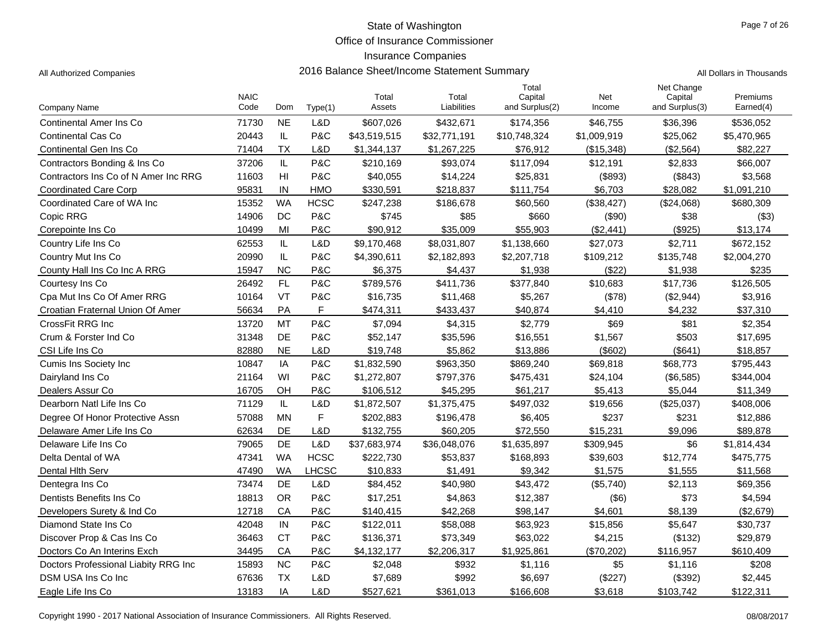Office of Insurance Commissioner

### Insurance Companies

| All Authorized Companies | 2016 Balance Sheet/Income Statement Summary | All Dollars in Thousands |
|--------------------------|---------------------------------------------|--------------------------|
|--------------------------|---------------------------------------------|--------------------------|

|                                      | <b>NAIC</b> |                |              | Total        | Total        | Total<br>Capital | Net         | Net Change<br>Capital | Premiums    |
|--------------------------------------|-------------|----------------|--------------|--------------|--------------|------------------|-------------|-----------------------|-------------|
| Company Name                         | Code        | Dom            | Type(1)      | Assets       | Liabilities  | and Surplus(2)   | Income      | and Surplus(3)        | Earned(4)   |
| Continental Amer Ins Co              | 71730       | <b>NE</b>      | L&D          | \$607,026    | \$432,671    | \$174,356        | \$46,755    | \$36,396              | \$536,052   |
| <b>Continental Cas Co</b>            | 20443       | IL             | P&C          | \$43,519,515 | \$32,771,191 | \$10,748,324     | \$1,009,919 | \$25,062              | \$5,470,965 |
| Continental Gen Ins Co               | 71404       | <b>TX</b>      | L&D          | \$1,344,137  | \$1,267,225  | \$76,912         | (\$15,348)  | (\$2,564)             | \$82,227    |
| Contractors Bonding & Ins Co         | 37206       | IL             | P&C          | \$210,169    | \$93,074     | \$117,094        | \$12,191    | \$2,833               | \$66,007    |
| Contractors Ins Co of N Amer Inc RRG | 11603       | H <sub>l</sub> | P&C          | \$40,055     | \$14,224     | \$25,831         | (\$893)     | (\$843)               | \$3,568     |
| <b>Coordinated Care Corp</b>         | 95831       | IN             | <b>HMO</b>   | \$330.591    | \$218,837    | \$111,754        | \$6.703     | \$28.082              | \$1,091,210 |
| Coordinated Care of WA Inc           | 15352       | <b>WA</b>      | <b>HCSC</b>  | \$247,238    | \$186,678    | \$60,560         | (\$38,427)  | (\$24,068)            | \$680,309   |
| Copic RRG                            | 14906       | DC             | P&C          | \$745        | \$85         | \$660            | (\$90)      | \$38                  | ( \$3)      |
| Corepointe Ins Co.                   | 10499       | MI             | P&C          | \$90,912     | \$35,009     | \$55,903         | (\$2,441)   | (S925)                | \$13,174    |
| Country Life Ins Co.                 | 62553       | IL             | L&D          | \$9,170,468  | \$8,031,807  | \$1,138,660      | \$27,073    | \$2,711               | \$672,152   |
| Country Mut Ins Co                   | 20990       | IL             | P&C          | \$4,390,611  | \$2,182,893  | \$2,207,718      | \$109,212   | \$135,748             | \$2,004,270 |
| County Hall Ins Co Inc A RRG         | 15947       | <b>NC</b>      | P&C          | \$6,375      | \$4,437      | \$1.938          | (\$22)      | \$1,938               | \$235       |
| Courtesy Ins Co                      | 26492       | FL             | P&C          | \$789,576    | \$411,736    | \$377,840        | \$10,683    | \$17,736              | \$126,505   |
| Cpa Mut Ins Co Of Amer RRG           | 10164       | <b>VT</b>      | P&C          | \$16,735     | \$11,468     | \$5,267          | (\$78)      | (\$2,944)             | \$3,916     |
| Croatian Fraternal Union Of Amer     | 56634       | <b>PA</b>      | F.           | \$474,311    | \$433,437    | \$40,874         | \$4,410     | \$4,232               | \$37,310    |
| CrossFit RRG Inc                     | 13720       | <b>MT</b>      | P&C          | \$7,094      | \$4,315      | \$2,779          | \$69        | \$81                  | \$2,354     |
| Crum & Forster Ind Co                | 31348       | DE             | P&C          | \$52,147     | \$35,596     | \$16,551         | \$1,567     | \$503                 | \$17,695    |
| CSI Life Ins Co                      | 82880       | <b>NE</b>      | L&D          | \$19,748     | \$5,862      | \$13,886         | (\$602)     | (\$641)               | \$18,857    |
| <b>Cumis Ins Society Inc.</b>        | 10847       | IA             | P&C          | \$1,832,590  | \$963,350    | \$869,240        | \$69,818    | \$68,773              | \$795,443   |
| Dairyland Ins Co                     | 21164       | WI             | P&C          | \$1,272,807  | \$797,376    | \$475,431        | \$24,104    | (\$6,585)             | \$344,004   |
| Dealers Assur Co                     | 16705       | OH             | P&C          | \$106,512    | \$45,295     | \$61,217         | \$5.413     | \$5,044               | \$11,349    |
| Dearborn Natl Life Ins Co            | 71129       | IL             | L&D          | \$1,872,507  | \$1,375,475  | \$497,032        | \$19,656    | (\$25,037)            | \$408,006   |
| Degree Of Honor Protective Assn      | 57088       | <b>MN</b>      | F            | \$202,883    | \$196,478    | \$6,405          | \$237       | \$231                 | \$12,886    |
| Delaware Amer Life Ins Co            | 62634       | DE             | L&D          | \$132,755    | \$60,205     | \$72,550         | \$15,231    | \$9,096               | \$89,878    |
| Delaware Life Ins Co                 | 79065       | DE             | L&D          | \$37,683,974 | \$36,048,076 | \$1,635,897      | \$309,945   | \$6                   | \$1,814,434 |
| Delta Dental of WA                   | 47341       | <b>WA</b>      | <b>HCSC</b>  | \$222,730    | \$53,837     | \$168,893        | \$39,603    | \$12,774              | \$475,775   |
| Dental Hith Serv                     | 47490       | WA             | <b>LHCSC</b> | \$10,833     | \$1,491      | \$9,342          | \$1,575     | \$1,555               | \$11,568    |
| Dentegra Ins Co                      | 73474       | DE             | L&D          | \$84,452     | \$40,980     | \$43,472         | (\$5,740)   | \$2,113               | \$69,356    |
| Dentists Benefits Ins Co             | 18813       | <b>OR</b>      | P&C          | \$17,251     | \$4,863      | \$12,387         | $($ \$6)    | \$73                  | \$4,594     |
| Developers Surety & Ind Co           | 12718       | CA             | P&C          | \$140,415    | \$42,268     | \$98,147         | \$4,601     | \$8,139               | (\$2,679)   |
| Diamond State Ins Co                 | 42048       | IN             | P&C          | \$122,011    | \$58,088     | \$63,923         | \$15,856    | \$5,647               | \$30,737    |
| Discover Prop & Cas Ins Co           | 36463       | <b>CT</b>      | P&C          | \$136,371    | \$73,349     | \$63,022         | \$4,215     | (\$132)               | \$29,879    |
| Doctors Co An Interins Exch          | 34495       | CA             | P&C          | \$4,132,177  | \$2,206,317  | \$1,925,861      | (\$70,202)  | \$116,957             | \$610,409   |
| Doctors Professional Liabity RRG Inc | 15893       | <b>NC</b>      | P&C          | \$2,048      | \$932        | \$1,116          | \$5         | \$1,116               | \$208       |
| DSM USA Ins Co Inc.                  | 67636       | <b>TX</b>      | L&D          | \$7,689      | \$992        | \$6,697          | (\$227)     | (\$392)               | \$2,445     |
| Eagle Life Ins Co                    | 13183       | IA             | L&D          | \$527,621    | \$361,013    | \$166,608        | \$3,618     | \$103,742             | \$122,311   |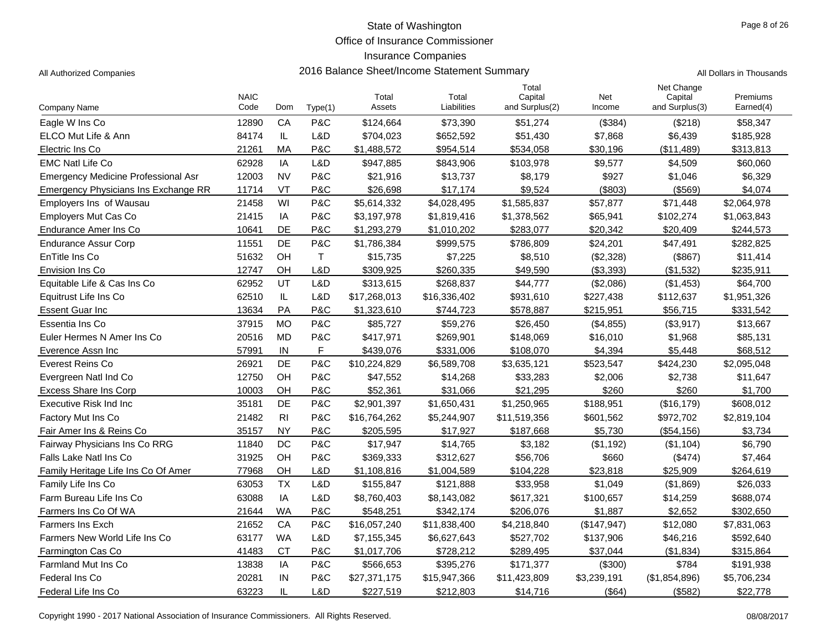Office of Insurance Commissioner

### Insurance Companies

|  | II Dollars in Thousands |
|--|-------------------------|

| <b>Company Name</b>                         | <b>NAIC</b><br>Code | Dom            | Type(1)     | Total<br>Assets | Total<br>Liabilities | Total<br>Capital<br>and Surplus(2) | Net<br>Income | Net Change<br>Capital<br>and Surplus(3) | Premiums<br>Earned(4) |
|---------------------------------------------|---------------------|----------------|-------------|-----------------|----------------------|------------------------------------|---------------|-----------------------------------------|-----------------------|
| Eagle W Ins Co                              | 12890               | CA             | P&C         | \$124,664       | \$73,390             | \$51,274                           | (\$384)       | (\$218)                                 | \$58,347              |
| ELCO Mut Life & Ann                         | 84174               | IL             | L&D         | \$704,023       | \$652,592            | \$51,430                           | \$7,868       | \$6,439                                 | \$185,928             |
| Electric Ins Co                             | 21261               | MA             | P&C         | \$1,488,572     | \$954,514            | \$534,058                          | \$30,196      | (\$11,489)                              | \$313,813             |
| <b>EMC Natl Life Co</b>                     | 62928               | IA             | L&D         | \$947,885       | \$843,906            | \$103,978                          | \$9,577       | \$4,509                                 | \$60,060              |
| Emergency Medicine Professional Asr         | 12003               | <b>NV</b>      | P&C         | \$21,916        | \$13,737             | \$8,179                            | \$927         | \$1,046                                 | \$6,329               |
| <b>Emergency Physicians Ins Exchange RR</b> | 11714               | VT             | P&C         | \$26,698        | \$17.174             | \$9.524                            | (\$803)       | ( \$569)                                | \$4.074               |
| <b>Employers Ins of Wausau</b>              | 21458               | WI             | P&C         | \$5,614,332     | \$4,028,495          | \$1,585,837                        | \$57,877      | \$71,448                                | \$2,064,978           |
| <b>Employers Mut Cas Co</b>                 | 21415               | IA             | P&C         | \$3,197,978     | \$1,819,416          | \$1,378,562                        | \$65,941      | \$102,274                               | \$1,063,843           |
| Endurance Amer Ins Co                       | 10641               | DE             | P&C         | \$1,293,279     | \$1,010,202          | \$283,077                          | \$20,342      | \$20,409                                | \$244,573             |
| <b>Endurance Assur Corp</b>                 | 11551               | DE             | P&C         | \$1,786,384     | \$999,575            | \$786,809                          | \$24,201      | \$47,491                                | \$282,825             |
| EnTitle Ins Co                              | 51632               | OH             | $\mathsf T$ | \$15,735        | \$7,225              | \$8,510                            | (\$2,328)     | $($ \$867)                              | \$11,414              |
| Envision Ins Co                             | 12747               | OH             | L&D         | \$309,925       | \$260,335            | \$49,590                           | (\$3,393)     | (\$1,532)                               | \$235,911             |
| Equitable Life & Cas Ins Co                 | 62952               | UT             | L&D         | \$313,615       | \$268,837            | \$44,777                           | (\$2,086)     | (\$1,453)                               | \$64,700              |
| Equitrust Life Ins Co                       | 62510               | IL             | L&D         | \$17,268,013    | \$16,336,402         | \$931,610                          | \$227,438     | \$112,637                               | \$1,951,326           |
| <b>Essent Guar Inc</b>                      | 13634               | PA             | P&C         | \$1,323,610     | \$744,723            | \$578,887                          | \$215,951     | \$56,715                                | \$331,542             |
| Essentia Ins Co                             | 37915               | <b>MO</b>      | P&C         | \$85,727        | \$59,276             | \$26,450                           | (\$4,855)     | (\$3,917)                               | \$13,667              |
| Euler Hermes N Amer Ins Co                  | 20516               | <b>MD</b>      | P&C         | \$417,971       | \$269,901            | \$148,069                          | \$16,010      | \$1,968                                 | \$85,131              |
| Everence Assn Inc                           | 57991               | IN             | F           | \$439,076       | \$331,006            | \$108,070                          | \$4,394       | \$5,448                                 | \$68,512              |
| Everest Reins Co                            | 26921               | <b>DE</b>      | P&C         | \$10,224,829    | \$6,589,708          | \$3,635,121                        | \$523,547     | \$424,230                               | \$2,095,048           |
| Evergreen Natl Ind Co                       | 12750               | OH             | P&C         | \$47,552        | \$14,268             | \$33,283                           | \$2,006       | \$2,738                                 | \$11,647              |
| <b>Excess Share Ins Corp</b>                | 10003               | OH             | P&C         | \$52,361        | \$31,066             | \$21,295                           | \$260         | \$260                                   | \$1,700               |
| Executive Risk Ind Inc                      | 35181               | DE             | P&C         | \$2,901,397     | \$1,650,431          | \$1,250,965                        | \$188,951     | (\$16, 179)                             | \$608,012             |
| Factory Mut Ins Co                          | 21482               | R <sub>l</sub> | P&C         | \$16,764,262    | \$5,244,907          | \$11,519,356                       | \$601,562     | \$972,702                               | \$2,819,104           |
| Fair Amer Ins & Reins Co                    | 35157               | <b>NY</b>      | P&C         | \$205,595       | \$17,927             | \$187,668                          | \$5,730       | (\$54,156)                              | \$3,734               |
| Fairway Physicians Ins Co RRG               | 11840               | DC             | P&C         | \$17,947        | \$14,765             | \$3,182                            | (S1, 192)     | (S1, 104)                               | \$6,790               |
| Falls Lake Natl Ins Co                      | 31925               | OH             | P&C         | \$369,333       | \$312,627            | \$56,706                           | \$660         | (\$474)                                 | \$7,464               |
| Family Heritage Life Ins Co Of Amer         | 77968               | OН             | L&D         | \$1,108,816     | \$1,004,589          | \$104,228                          | \$23,818      | \$25,909                                | \$264,619             |
| Family Life Ins Co                          | 63053               | <b>TX</b>      | L&D         | \$155,847       | \$121,888            | \$33,958                           | \$1,049       | (\$1,869)                               | \$26,033              |
| Farm Bureau Life Ins Co                     | 63088               | IA             | L&D         | \$8,760,403     | \$8,143,082          | \$617,321                          | \$100,657     | \$14,259                                | \$688,074             |
| Farmers Ins Co Of WA                        | 21644               | <b>WA</b>      | P&C         | \$548,251       | \$342,174            | \$206,076                          | \$1,887       | \$2,652                                 | \$302,650             |
| <b>Farmers Ins Exch</b>                     | 21652               | CA             | P&C         | \$16,057,240    | \$11,838,400         | \$4,218,840                        | (\$147,947)   | \$12,080                                | \$7,831,063           |
| Farmers New World Life Ins Co               | 63177               | <b>WA</b>      | L&D         | \$7,155,345     | \$6,627,643          | \$527,702                          | \$137,906     | \$46,216                                | \$592,640             |
| Farmington Cas Co                           | 41483               | <b>CT</b>      | P&C         | \$1,017,706     | \$728,212            | \$289,495                          | \$37,044      | (\$1,834)                               | \$315,864             |
| <b>Farmland Mut Ins Co</b>                  | 13838               | IA             | P&C         | \$566,653       | \$395,276            | \$171,377                          | (\$300)       | \$784                                   | \$191,938             |
| Federal Ins Co                              | 20281               | IN             | P&C         | \$27,371,175    | \$15,947,366         | \$11,423,809                       | \$3,239,191   | (\$1,854,896)                           | \$5,706,234           |
| Federal Life Ins Co                         | 63223               | IL             | L&D         | \$227,519       | \$212,803            | \$14,716                           | (\$64)        | (\$582)                                 | \$22,778              |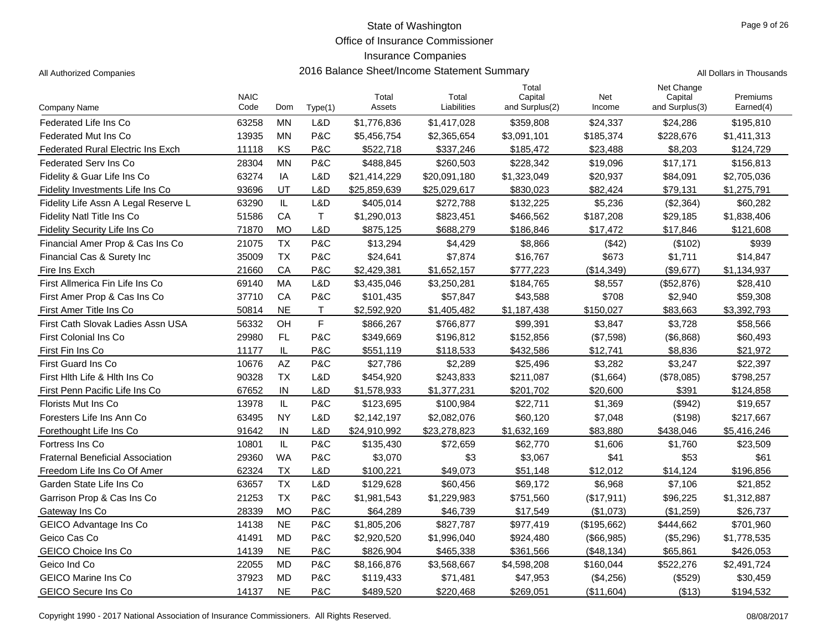Office of Insurance Commissioner

#### Insurance Companies

All Authorized Companies **2016 Balance Sheet/Income Statement Summary** All Dollars in Thousands

|                                          | <b>NAIC</b> |           |              | Total        | Total        | Total<br>Capital | Net         | Net Change<br>Capital | Premiums    |
|------------------------------------------|-------------|-----------|--------------|--------------|--------------|------------------|-------------|-----------------------|-------------|
| Company Name                             | Code        | Dom       | Type(1)      | Assets       | Liabilities  | and Surplus(2)   | Income      | and Surplus(3)        | Earned(4)   |
| <b>Federated Life Ins Co</b>             | 63258       | <b>MN</b> | L&D          | \$1,776,836  | \$1,417,028  | \$359,808        | \$24,337    | \$24,286              | \$195,810   |
| Federated Mut Ins Co                     | 13935       | MN        | P&C          | \$5,456,754  | \$2,365,654  | \$3,091,101      | \$185,374   | \$228,676             | \$1,411,313 |
| <b>Federated Rural Electric Ins Exch</b> | 11118       | KS        | P&C          | \$522,718    | \$337,246    | \$185,472        | \$23,488    | \$8,203               | \$124,729   |
| <b>Federated Serv Ins Co</b>             | 28304       | <b>MN</b> | P&C          | \$488,845    | \$260,503    | \$228,342        | \$19,096    | \$17,171              | \$156,813   |
| Fidelity & Guar Life Ins Co              | 63274       | IA        | L&D          | \$21,414,229 | \$20,091,180 | \$1,323,049      | \$20,937    | \$84,091              | \$2,705,036 |
| Fidelity Investments Life Ins Co         | 93696       | UT        | L&D          | \$25,859,639 | \$25,029,617 | \$830,023        | \$82,424    | \$79,131              | \$1,275,791 |
| Fidelity Life Assn A Legal Reserve L     | 63290       | IL        | L&D          | \$405,014    | \$272,788    | \$132,225        | \$5,236     | (\$2,364)             | \$60,282    |
| <b>Fidelity Natl Title Ins Co</b>        | 51586       | CA        | $\mathsf{T}$ | \$1,290,013  | \$823,451    | \$466,562        | \$187,208   | \$29,185              | \$1,838,406 |
| Fidelity Security Life Ins Co            | 71870       | <b>MO</b> | L&D          | \$875,125    | \$688,279    | \$186,846        | \$17,472    | \$17,846              | \$121,608   |
| Financial Amer Prop & Cas Ins Co         | 21075       | <b>TX</b> | P&C          | \$13,294     | \$4,429      | \$8,866          | (\$42)      | (\$102)               | \$939       |
| Financial Cas & Surety Inc               | 35009       | <b>TX</b> | P&C          | \$24,641     | \$7,874      | \$16,767         | \$673       | \$1,711               | \$14,847    |
| Fire Ins Exch                            | 21660       | CA        | P&C          | \$2,429,381  | \$1,652,157  | \$777,223        | (\$14,349)  | (\$9,677)             | \$1,134,937 |
| First Allmerica Fin Life Ins Co          | 69140       | MA        | L&D          | \$3,435,046  | \$3,250,281  | \$184,765        | \$8,557     | (\$52,876)            | \$28,410    |
| First Amer Prop & Cas Ins Co             | 37710       | CA        | P&C          | \$101,435    | \$57,847     | \$43,588         | \$708       | \$2,940               | \$59,308    |
| First Amer Title Ins Co                  | 50814       | <b>NE</b> | T.           | \$2,592,920  | \$1,405,482  | \$1,187,438      | \$150,027   | \$83,663              | \$3,392,793 |
| First Cath Slovak Ladies Assn USA        | 56332       | OH        | F            | \$866,267    | \$766,877    | \$99,391         | \$3,847     | \$3,728               | \$58,566    |
| First Colonial Ins Co                    | 29980       | FL        | P&C          | \$349,669    | \$196,812    | \$152,856        | (\$7,598)   | (\$6,868)             | \$60,493    |
| First Fin Ins Co                         | 11177       | IL        | P&C          | \$551,119    | \$118,533    | \$432,586        | \$12,741    | \$8,836               | \$21,972    |
| First Guard Ins Co                       | 10676       | AZ        | P&C          | \$27,786     | \$2,289      | \$25,496         | \$3,282     | \$3,247               | \$22,397    |
| First Hlth Life & Hlth Ins Co            | 90328       | <b>TX</b> | L&D          | \$454,920    | \$243,833    | \$211,087        | (\$1,664)   | (\$78,085)            | \$798,257   |
| First Penn Pacific Life Ins Co           | 67652       | IN        | L&D          | \$1,578,933  | \$1,377,231  | \$201,702        | \$20,600    | \$391                 | \$124,858   |
| Florists Mut Ins Co                      | 13978       | IL.       | P&C          | \$123,695    | \$100,984    | \$22,711         | \$1,369     | (\$942)               | \$19,657    |
| Foresters Life Ins Ann Co                | 63495       | <b>NY</b> | L&D          | \$2,142,197  | \$2,082,076  | \$60,120         | \$7,048     | (\$198)               | \$217,667   |
| Forethought Life Ins Co                  | 91642       | IN        | L&D          | \$24,910,992 | \$23,278,823 | \$1,632,169      | \$83,880    | \$438,046             | \$5,416,246 |
| Fortress Ins Co                          | 10801       | IL        | P&C          | \$135,430    | \$72,659     | \$62,770         | \$1,606     | \$1,760               | \$23,509    |
| <b>Fraternal Beneficial Association</b>  | 29360       | <b>WA</b> | P&C          | \$3,070      | \$3          | \$3,067          | \$41        | \$53                  | \$61        |
| Freedom Life Ins Co Of Amer              | 62324       | <b>TX</b> | L&D          | \$100,221    | \$49,073     | \$51,148         | \$12,012    | \$14,124              | \$196,856   |
| Garden State Life Ins Co                 | 63657       | <b>TX</b> | L&D          | \$129,628    | \$60,456     | \$69,172         | \$6,968     | \$7,106               | \$21,852    |
| Garrison Prop & Cas Ins Co               | 21253       | <b>TX</b> | P&C          | \$1,981,543  | \$1,229,983  | \$751,560        | (\$17,911)  | \$96,225              | \$1,312,887 |
| Gateway Ins Co                           | 28339       | <b>MO</b> | P&C          | \$64,289     | \$46,739     | \$17,549         | (\$1,073)   | (\$1,259)             | \$26,737    |
| GEICO Advantage Ins Co                   | 14138       | <b>NE</b> | P&C          | \$1,805,206  | \$827,787    | \$977,419        | (\$195,662) | \$444,662             | \$701,960   |
| Geico Cas Co                             | 41491       | <b>MD</b> | P&C          | \$2,920,520  | \$1,996,040  | \$924,480        | (\$66,985)  | (\$5,296)             | \$1,778,535 |
| <b>GEICO Choice Ins Co</b>               | 14139       | <b>NE</b> | P&C          | \$826,904    | \$465,338    | \$361,566        | (\$48, 134) | \$65,861              | \$426,053   |

Geico Ind Co 22055 MD P&C \$8,166,876 \$3,568,667 \$4,598,208 \$160,044 \$522,276 \$2,491,724 GEICO Marine Ins Co 37923 MD P&C \$119,433 \$71,481 \$47,953 (\$4,256) (\$529) \$30,459 GEICO Secure Ins Co **14137** NE P&C \$489,520 \$220,468 \$269,051 (\$11,604) (\$13) \$194,532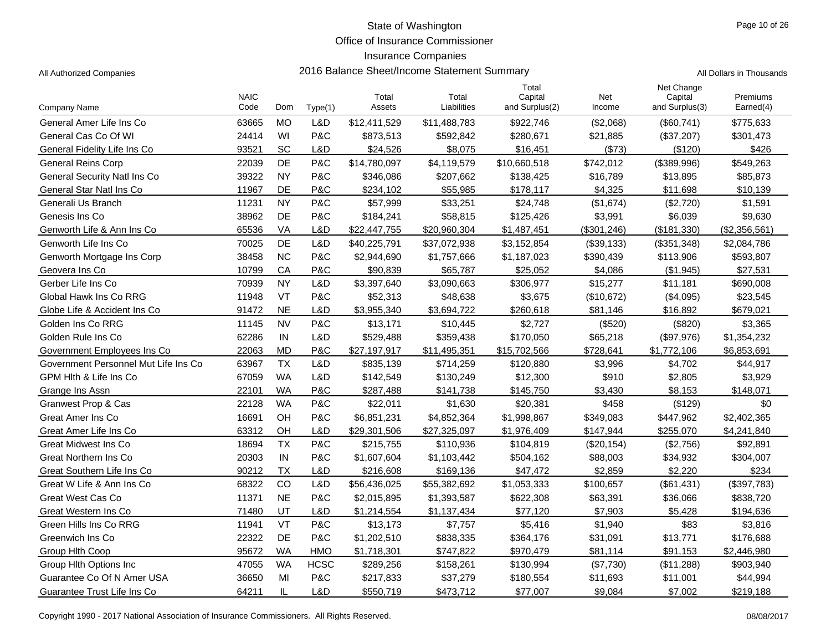Office of Insurance Commissioner

### Insurance Companies

|                                      | <b>NAIC</b> |           |             | Total        | Total        | Total<br>Capital | Net        | Net Change<br>Capital | Premiums      |
|--------------------------------------|-------------|-----------|-------------|--------------|--------------|------------------|------------|-----------------------|---------------|
| Company Name                         | Code        | Dom       | Type(1)     | Assets       | Liabilities  | and Surplus(2)   | Income     | and Surplus(3)        | Earned(4)     |
| General Amer Life Ins Co             | 63665       | <b>MO</b> | L&D         | \$12,411,529 | \$11,488,783 | \$922,746        | (\$2,068)  | (\$60,741)            | \$775,633     |
| General Cas Co Of WI                 | 24414       | WI        | P&C         | \$873,513    | \$592,842    | \$280,671        | \$21,885   | (\$37,207)            | \$301,473     |
| General Fidelity Life Ins Co         | 93521       | SC        | L&D         | \$24,526     | \$8,075      | \$16,451         | (\$73)     | (\$120)               | \$426         |
| <b>General Reins Corp</b>            | 22039       | DE        | P&C         | \$14,780,097 | \$4,119,579  | \$10,660,518     | \$742,012  | (\$389,996)           | \$549,263     |
| General Security Natl Ins Co         | 39322       | <b>NY</b> | P&C         | \$346,086    | \$207,662    | \$138,425        | \$16,789   | \$13,895              | \$85,873      |
| General Star Natl Ins Co             | 11967       | DE        | P&C         | \$234,102    | \$55,985     | \$178,117        | \$4,325    | \$11,698              | \$10.139      |
| Generali Us Branch                   | 11231       | <b>NY</b> | P&C         | \$57,999     | \$33,251     | \$24,748         | (\$1,674)  | (\$2,720)             | \$1,591       |
| Genesis Ins Co                       | 38962       | DE        | P&C         | \$184,241    | \$58,815     | \$125,426        | \$3,991    | \$6,039               | \$9,630       |
| Genworth Life & Ann Ins Co           | 65536       | VA        | L&D         | \$22,447,755 | \$20,960,304 | \$1,487,451      | (S301.246) | (\$181,330)           | (\$2,356,561) |
| Genworth Life Ins Co                 | 70025       | DE        | L&D         | \$40,225,791 | \$37,072,938 | \$3,152,854      | (\$39,133) | (\$351,348)           | \$2,084,786   |
| Genworth Mortgage Ins Corp           | 38458       | <b>NC</b> | P&C         | \$2,944,690  | \$1,757,666  | \$1,187,023      | \$390,439  | \$113,906             | \$593,807     |
| Geovera Ins Co                       | 10799       | CA        | P&C         | \$90,839     | \$65,787     | \$25,052         | \$4,086    | (\$1,945)             | \$27,531      |
| Gerber Life Ins Co                   | 70939       | <b>NY</b> | L&D         | \$3,397,640  | \$3,090,663  | \$306,977        | \$15,277   | \$11,181              | \$690,008     |
| Global Hawk Ins Co RRG               | 11948       | VT        | P&C         | \$52,313     | \$48,638     | \$3,675          | (\$10,672) | (\$4,095)             | \$23,545      |
| Globe Life & Accident Ins Co         | 91472       | <b>NE</b> | L&D         | \$3,955,340  | \$3,694,722  | \$260,618        | \$81,146   | \$16,892              | \$679,021     |
| Golden Ins Co RRG                    | 11145       | <b>NV</b> | P&C         | \$13,171     | \$10,445     | \$2,727          | (\$520)    | (\$820)               | \$3,365       |
| Golden Rule Ins Co                   | 62286       | IN        | L&D         | \$529,488    | \$359,438    | \$170,050        | \$65,218   | (\$97,976)            | \$1,354,232   |
| Government Employees Ins Co          | 22063       | <b>MD</b> | P&C         | \$27,197,917 | \$11,495,351 | \$15,702,566     | \$728,641  | \$1,772,106           | \$6,853,691   |
| Government Personnel Mut Life Ins Co | 63967       | <b>TX</b> | L&D         | \$835,139    | \$714,259    | \$120,880        | \$3,996    | \$4,702               | \$44,917      |
| GPM Hlth & Life Ins Co               | 67059       | <b>WA</b> | L&D         | \$142,549    | \$130,249    | \$12,300         | \$910      | \$2,805               | \$3,929       |
| Grange Ins Assn                      | 22101       | WA        | P&C         | \$287,488    | \$141,738    | \$145,750        | \$3,430    | \$8,153               | \$148,071     |
| <b>Granwest Prop &amp; Cas</b>       | 22128       | <b>WA</b> | P&C         | \$22,011     | \$1,630      | \$20,381         | \$458      | (\$129)               | \$0           |
| Great Amer Ins Co                    | 16691       | OH        | P&C         | \$6,851,231  | \$4,852,364  | \$1,998,867      | \$349,083  | \$447,962             | \$2,402,365   |
| Great Amer Life Ins Co               | 63312       | OH        | L&D         | \$29,301,506 | \$27,325,097 | \$1,976,409      | \$147,944  | \$255,070             | \$4,241,840   |
| Great Midwest Ins Co                 | 18694       | <b>TX</b> | P&C         | \$215,755    | \$110,936    | \$104,819        | (\$20,154) | (\$2,756)             | \$92,891      |
| <b>Great Northern Ins Co</b>         | 20303       | IN        | P&C         | \$1,607,604  | \$1,103,442  | \$504,162        | \$88,003   | \$34,932              | \$304,007     |
| Great Southern Life Ins Co           | 90212       | <b>TX</b> | L&D         | \$216,608    | \$169,136    | \$47,472         | \$2,859    | \$2,220               | \$234         |
| Great W Life & Ann Ins Co            | 68322       | CO        | L&D         | \$56,436,025 | \$55,382,692 | \$1,053,333      | \$100,657  | (\$61,431)            | (\$397,783)   |
| Great West Cas Co                    | 11371       | <b>NE</b> | P&C         | \$2,015,895  | \$1,393,587  | \$622,308        | \$63,391   | \$36,066              | \$838,720     |
| Great Western Ins Co.                | 71480       | UT        | L&D         | \$1,214,554  | \$1,137,434  | \$77,120         | \$7,903    | \$5,428               | \$194,636     |
| Green Hills Ins Co RRG               | 11941       | VT        | P&C         | \$13,173     | \$7,757      | \$5,416          | \$1,940    | \$83                  | \$3,816       |
| Greenwich Ins Co                     | 22322       | DE        | P&C         | \$1,202,510  | \$838,335    | \$364,176        | \$31,091   | \$13,771              | \$176,688     |
| Group Hith Coop                      | 95672       | <b>WA</b> | HMO         | \$1,718,301  | \$747,822    | \$970,479        | \$81,114   | \$91,153              | \$2,446,980   |
| Group Hith Options Inc.              | 47055       | <b>WA</b> | <b>HCSC</b> | \$289,256    | \$158,261    | \$130,994        | (\$7,730)  | (\$11,288)            | \$903,940     |
| Guarantee Co Of N Amer USA           | 36650       | MI        | P&C         | \$217,833    | \$37,279     | \$180,554        | \$11,693   | \$11,001              | \$44,994      |
| Guarantee Trust Life Ins Co          | 64211       | IL        | L&D         | \$550,719    | \$473,712    | \$77,007         | \$9,084    | \$7,002               | \$219,188     |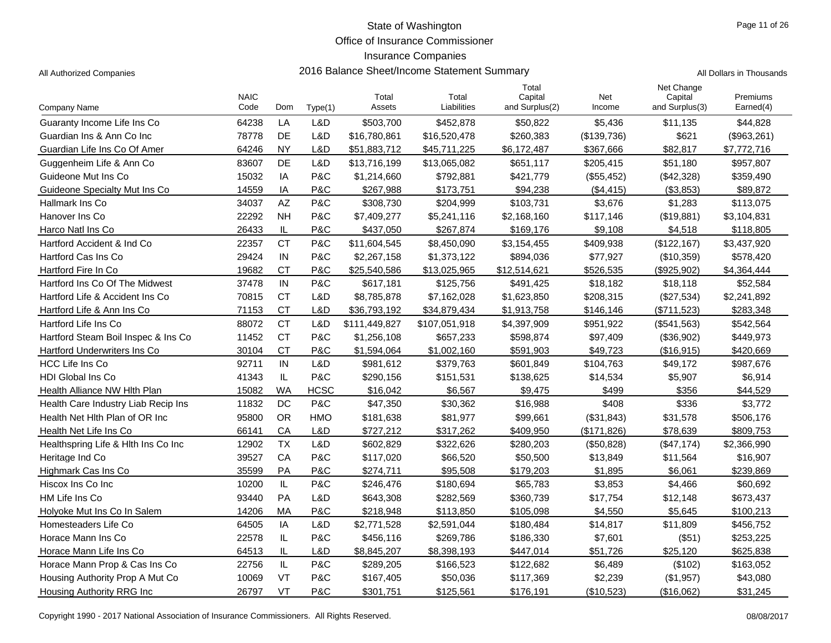Office of Insurance Commissioner

### Insurance Companies

All Authorized Companies **2016 Balance Sheet/Income Statement Summary** All Dollars in Thousands

|  | Il Dollaro in Thousando |
|--|-------------------------|

|                                     | <b>NAIC</b> |           |             | Total         | Total         | Total<br>Capital | Net         | Net Change<br>Capital | Premiums    |
|-------------------------------------|-------------|-----------|-------------|---------------|---------------|------------------|-------------|-----------------------|-------------|
| <b>Company Name</b>                 | Code        | Dom       | Type(1)     | Assets        | Liabilities   | and Surplus(2)   | Income      | and Surplus(3)        | Earned(4)   |
| Guaranty Income Life Ins Co         | 64238       | LA        | L&D         | \$503,700     | \$452,878     | \$50,822         | \$5,436     | \$11,135              | \$44,828    |
| Guardian Ins & Ann Co Inc           | 78778       | <b>DE</b> | L&D         | \$16,780,861  | \$16,520,478  | \$260,383        | (\$139,736) | \$621                 | (\$963,261) |
| Guardian Life Ins Co Of Amer        | 64246       | <b>NY</b> | L&D         | \$51,883,712  | \$45,711,225  | \$6,172,487      | \$367,666   | \$82,817              | \$7,772,716 |
| Guggenheim Life & Ann Co            | 83607       | DE        | L&D         | \$13,716,199  | \$13,065,082  | \$651,117        | \$205,415   | \$51,180              | \$957,807   |
| Guideone Mut Ins Co                 | 15032       | IA        | P&C         | \$1,214,660   | \$792,881     | \$421,779        | (\$55,452)  | (\$42,328)            | \$359,490   |
| Guideone Specialty Mut Ins Co       | 14559       | IA        | P&C         | \$267,988     | \$173,751     | \$94,238         | (\$4,415)   | (\$3,853)             | \$89,872    |
| Hallmark Ins Co                     | 34037       | <b>AZ</b> | P&C         | \$308,730     | \$204,999     | \$103,731        | \$3,676     | \$1,283               | \$113,075   |
| Hanover Ins Co                      | 22292       | <b>NH</b> | P&C         | \$7,409,277   | \$5,241,116   | \$2,168,160      | \$117,146   | (\$19,881)            | \$3,104,831 |
| Harco Natl Ins Co                   | 26433       | IL        | P&C         | \$437,050     | \$267,874     | \$169,176        | \$9,108     | \$4,518               | \$118,805   |
| Hartford Accident & Ind Co.         | 22357       | <b>CT</b> | P&C         | \$11,604,545  | \$8,450,090   | \$3,154,455      | \$409,938   | (\$122, 167)          | \$3,437,920 |
| Hartford Cas Ins Co                 | 29424       | IN        | P&C         | \$2,267,158   | \$1,373,122   | \$894,036        | \$77,927    | (\$10,359)            | \$578,420   |
| Hartford Fire In Co                 | 19682       | СT        | P&C         | \$25,540,586  | \$13,025,965  | \$12,514,621     | \$526,535   | (\$925,902)           | \$4,364,444 |
| Hartford Ins Co Of The Midwest      | 37478       | IN        | P&C         | \$617,181     | \$125,756     | \$491,425        | \$18,182    | \$18,118              | \$52,584    |
| Hartford Life & Accident Ins Co     | 70815       | <b>CT</b> | L&D         | \$8,785,878   | \$7,162,028   | \$1,623,850      | \$208,315   | (\$27,534)            | \$2,241,892 |
| Hartford Life & Ann Ins Co          | 71153       | <b>CT</b> | L&D         | \$36,793,192  | \$34,879,434  | \$1,913,758      | \$146,146   | (\$711,523)           | \$283,348   |
| Hartford Life Ins Co                | 88072       | <b>CT</b> | L&D         | \$111,449,827 | \$107,051,918 | \$4,397,909      | \$951,922   | (\$541,563)           | \$542,564   |
| Hartford Steam Boil Inspec & Ins Co | 11452       | <b>CT</b> | P&C         | \$1,256,108   | \$657,233     | \$598,874        | \$97,409    | (\$36,902)            | \$449,973   |
| Hartford Underwriters Ins Co        | 30104       | <b>CT</b> | P&C         | \$1,594,064   | \$1,002,160   | \$591,903        | \$49,723    | (\$16,915)            | \$420,669   |
| <b>HCC Life Ins Co</b>              | 92711       | IN        | L&D         | \$981,612     | \$379,763     | \$601,849        | \$104,763   | \$49,172              | \$987,676   |
| <b>HDI Global Ins Co</b>            | 41343       | IL        | P&C         | \$290,156     | \$151,531     | \$138,625        | \$14,534    | \$5,907               | \$6,914     |
| Health Alliance NW Hlth Plan        | 15082       | <b>WA</b> | <b>HCSC</b> | \$16.042      | \$6,567       | \$9,475          | \$499       | \$356                 | \$44,529    |
| Health Care Industry Liab Recip Ins | 11832       | DC        | P&C         | \$47,350      | \$30,362      | \$16,988         | \$408       | \$336                 | \$3,772     |
| Health Net Hith Plan of OR Inc      | 95800       | <b>OR</b> | HMO         | \$181,638     | \$81,977      | \$99,661         | (\$31,843)  | \$31,578              | \$506,176   |
| Health Net Life Ins Co              | 66141       | CA        | L&D         | \$727,212     | \$317,262     | \$409,950        | (\$171,826) | \$78,639              | \$809,753   |
| Healthspring Life & Hith Ins Co Inc | 12902       | <b>TX</b> | L&D         | \$602,829     | \$322,626     | \$280,203        | (\$50,828)  | (\$47,174)            | \$2,366,990 |
| Heritage Ind Co                     | 39527       | CA        | P&C         | \$117,020     | \$66,520      | \$50,500         | \$13,849    | \$11,564              | \$16,907    |
| Highmark Cas Ins Co                 | 35599       | PA        | P&C         | \$274,711     | \$95,508      | \$179.203        | \$1.895     | \$6,061               | \$239.869   |
| Hiscox Ins Co Inc                   | 10200       | IL        | P&C         | \$246,476     | \$180,694     | \$65,783         | \$3,853     | \$4,466               | \$60,692    |
| HM Life Ins Co                      | 93440       | PA        | L&D         | \$643,308     | \$282,569     | \$360,739        | \$17,754    | \$12,148              | \$673,437   |
| Holyoke Mut Ins Co In Salem         | 14206       | МA        | P&C         | \$218,948     | \$113,850     | \$105,098        | \$4,550     | \$5,645               | \$100,213   |
| Homesteaders Life Co                | 64505       | IA        | L&D         | \$2,771,528   | \$2,591,044   | \$180,484        | \$14,817    | \$11,809              | \$456,752   |
| Horace Mann Ins Co                  | 22578       | IL        | P&C         | \$456,116     | \$269,786     | \$186,330        | \$7,601     | (\$51)                | \$253,225   |
| Horace Mann Life Ins Co             | 64513       | IL        | L&D         | \$8,845,207   | \$8,398,193   | \$447,014        | \$51,726    | \$25.120              | \$625.838   |
| Horace Mann Prop & Cas Ins Co       | 22756       | IL        | P&C         | \$289,205     | \$166,523     | \$122,682        | \$6,489     | (\$102)               | \$163,052   |
| Housing Authority Prop A Mut Co     | 10069       | VT        | P&C         | \$167,405     | \$50,036      | \$117,369        | \$2,239     | (\$1,957)             | \$43,080    |
| Housing Authority RRG Inc           | 26797       | <b>VT</b> | P&C         | \$301,751     | \$125,561     | \$176,191        | (\$10,523)  | (\$16,062)            | \$31,245    |

Copyright 1990 - 2017 National Association of Insurance Commissioners. All Rights Reserved. 08/08/2017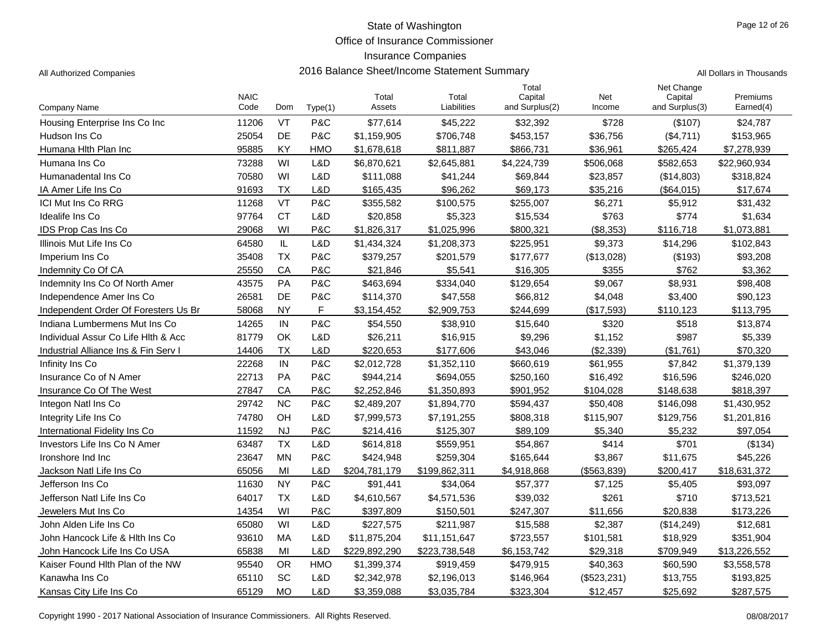Office of Insurance Commissioner

#### Insurance Companies

| Company Name                         | <b>NAIC</b><br>Code | Dom       | Type(1)    | Total<br>Assets | Total<br>Liabilities | Total<br>Capital<br>and Surplus(2) | Net<br>Income | Net Change<br>Capital<br>and Surplus(3) | Premiums<br>Earned(4) |
|--------------------------------------|---------------------|-----------|------------|-----------------|----------------------|------------------------------------|---------------|-----------------------------------------|-----------------------|
| Housing Enterprise Ins Co Inc        | 11206               | VT        | P&C        | \$77,614        | \$45,222             | \$32,392                           | \$728         | (\$107)                                 | \$24,787              |
| Hudson Ins Co                        | 25054               | <b>DE</b> | P&C        | \$1,159,905     | \$706,748            | \$453,157                          | \$36,756      | (\$4,711)                               | \$153,965             |
| Humana Hith Plan Inc                 | 95885               | KY        | <b>HMO</b> | \$1,678,618     | \$811,887            | \$866,731                          | \$36,961      | \$265,424                               | \$7,278,939           |
| Humana Ins Co                        | 73288               | WI        | L&D        | \$6,870,621     | \$2,645,881          | \$4,224,739                        | \$506,068     | \$582,653                               | \$22,960,934          |
| Humanadental Ins Co                  | 70580               | WI        | L&D        | \$111,088       | \$41,244             | \$69,844                           | \$23,857      | (\$14,803)                              | \$318,824             |
| IA Amer Life Ins Co                  | 91693               | <b>TX</b> | L&D        | \$165,435       | \$96,262             | \$69,173                           | \$35,216      | (\$64,015)                              | \$17,674              |
| <b>ICI Mut Ins Co RRG</b>            | 11268               | VT        | P&C        | \$355,582       | \$100,575            | \$255,007                          | \$6,271       | \$5,912                                 | \$31,432              |
| Idealife Ins Co                      | 97764               | <b>CT</b> | L&D        | \$20,858        | \$5,323              | \$15,534                           | \$763         | \$774                                   | \$1,634               |
| IDS Prop Cas Ins Co                  | 29068               | WI        | P&C        | \$1,826,317     | \$1,025,996          | \$800.321                          | (\$8,353)     | \$116,718                               | \$1,073,881           |
| Illinois Mut Life Ins Co             | 64580               | IL        | L&D        | \$1,434,324     | \$1,208,373          | \$225,951                          | \$9,373       | \$14,296                                | \$102,843             |
| Imperium Ins Co                      | 35408               | <b>TX</b> | P&C        | \$379,257       | \$201,579            | \$177,677                          | (\$13,028)    | (\$193)                                 | \$93,208              |
| Indemnity Co Of CA                   | 25550               | CA        | P&C        | \$21,846        | \$5,541              | \$16,305                           | \$355         | \$762                                   | \$3,362               |
| Indemnity Ins Co Of North Amer       | 43575               | PA        | P&C        | \$463,694       | \$334,040            | \$129,654                          | \$9,067       | \$8,931                                 | \$98,408              |
| Independence Amer Ins Co             | 26581               | DE        | P&C        | \$114,370       | \$47,558             | \$66,812                           | \$4,048       | \$3,400                                 | \$90,123              |
| Independent Order Of Foresters Us Br | 58068               | <b>NY</b> | F.         | \$3,154,452     | \$2.909.753          | \$244.699                          | (S17.593)     | \$110,123                               | \$113,795             |
| Indiana Lumbermens Mut Ins Co        | 14265               | IN        | P&C        | \$54,550        | \$38,910             | \$15,640                           | \$320         | \$518                                   | \$13,874              |
| Individual Assur Co Life Hith & Acc  | 81779               | OK        | L&D        | \$26,211        | \$16,915             | \$9,296                            | \$1,152       | \$987                                   | \$5,339               |
| Industrial Alliance Ins & Fin Serv I | 14406               | <b>TX</b> | L&D        | \$220,653       | \$177,606            | \$43,046                           | (\$2,339)     | (\$1,761)                               | \$70,320              |
| Infinity Ins Co                      | 22268               | IN        | P&C        | \$2,012,728     | \$1,352,110          | \$660,619                          | \$61,955      | \$7,842                                 | \$1,379,139           |
| Insurance Co of N Amer               | 22713               | PA        | P&C        | \$944,214       | \$694,055            | \$250,160                          | \$16,492      | \$16,596                                | \$246,020             |
| Insurance Co Of The West             | 27847               | CA        | P&C        | \$2,252,846     | \$1,350,893          | \$901,952                          | \$104,028     | \$148,638                               | \$818,397             |
| Integon Natl Ins Co                  | 29742               | <b>NC</b> | P&C        | \$2,489,207     | \$1,894,770          | \$594,437                          | \$50,408      | \$146,098                               | \$1,430,952           |
| Integrity Life Ins Co                | 74780               | OH        | L&D        | \$7,999,573     | \$7,191,255          | \$808,318                          | \$115,907     | \$129,756                               | \$1,201,816           |
| International Fidelity Ins Co        | 11592               | <b>NJ</b> | P&C        | \$214,416       | \$125,307            | \$89,109                           | \$5,340       | \$5,232                                 | \$97,054              |
| Investors Life Ins Co N Amer         | 63487               | <b>TX</b> | L&D        | \$614,818       | \$559,951            | \$54,867                           | \$414         | \$701                                   | (\$134)               |
| Ironshore Ind Inc                    | 23647               | <b>MN</b> | P&C        | \$424,948       | \$259,304            | \$165,644                          | \$3,867       | \$11,675                                | \$45,226              |
| Jackson Natl Life Ins Co             | 65056               | MI        | L&D        | \$204,781,179   | \$199,862,311        | \$4,918,868                        | (\$563,839)   | \$200,417                               | \$18,631,372          |
| Jefferson Ins Co                     | 11630               | <b>NY</b> | P&C        | \$91,441        | \$34,064             | \$57,377                           | \$7,125       | \$5,405                                 | \$93,097              |
| Jefferson Natl Life Ins Co           | 64017               | <b>TX</b> | L&D        | \$4,610,567     | \$4,571,536          | \$39,032                           | \$261         | \$710                                   | \$713,521             |
| Jewelers Mut Ins Co                  | 14354               | WI        | P&C        | \$397,809       | \$150,501            | \$247,307                          | \$11,656      | \$20,838                                | \$173,226             |
| John Alden Life Ins Co               | 65080               | WI        | L&D        | \$227,575       | \$211,987            | \$15,588                           | \$2,387       | (\$14,249)                              | \$12,681              |
| John Hancock Life & Hith Ins Co      | 93610               | <b>MA</b> | L&D        | \$11,875,204    | \$11,151,647         | \$723,557                          | \$101,581     | \$18,929                                | \$351,904             |
| John Hancock Life Ins Co USA         | 65838               | MI        | L&D        | \$229,892,290   | \$223,738,548        | \$6,153,742                        | \$29,318      | \$709,949                               | \$13,226,552          |
| Kaiser Found Hith Plan of the NW     | 95540               | <b>OR</b> | HMO        | \$1,399,374     | \$919,459            | \$479,915                          | \$40,363      | \$60,590                                | \$3,558,578           |
| Kanawha Ins Co                       | 65110               | SC        | L&D        | \$2,342,978     | \$2,196,013          | \$146,964                          | (\$523,231)   | \$13,755                                | \$193,825             |
| Kansas City Life Ins Co              | 65129               | <b>MO</b> | L&D        | \$3,359,088     | \$3,035,784          | \$323,304                          | \$12,457      | \$25,692                                | \$287,575             |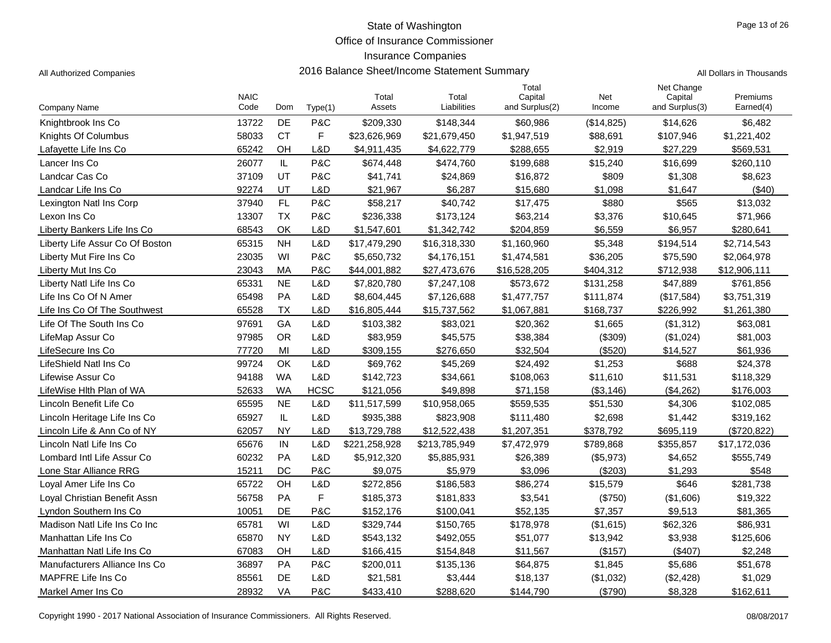Office of Insurance Commissioner

#### Insurance Companies

All Authorized Companies **2016 Balance Sheet/Income Statement Summary** All Dollars in Thousands

Page 13 of 26

|                                 |                     |           |             |                 |                      | Total                     |               | Net Change                |                       |
|---------------------------------|---------------------|-----------|-------------|-----------------|----------------------|---------------------------|---------------|---------------------------|-----------------------|
| Company Name                    | <b>NAIC</b><br>Code | Dom       | Type(1)     | Total<br>Assets | Total<br>Liabilities | Capital<br>and Surplus(2) | Net<br>Income | Capital<br>and Surplus(3) | Premiums<br>Earned(4) |
| Knightbrook Ins Co              | 13722               | DE        | P&C         | \$209,330       | \$148,344            | \$60,986                  | (\$14,825)    | \$14,626                  | \$6,482               |
| Knights Of Columbus             | 58033               | <b>CT</b> | $\mathsf F$ | \$23,626,969    | \$21,679,450         | \$1,947,519               | \$88,691      | \$107,946                 | \$1,221,402           |
| Lafayette Life Ins Co           | 65242               | OH        | L&D         | \$4,911,435     | \$4,622,779          | \$288,655                 | \$2.919       | \$27,229                  | \$569,531             |
| Lancer Ins Co                   | 26077               | IL        | P&C         | \$674,448       | \$474,760            | \$199,688                 | \$15,240      | \$16,699                  | \$260,110             |
| Landcar Cas Co                  | 37109               | <b>UT</b> | P&C         | \$41,741        | \$24,869             | \$16,872                  | \$809         | \$1,308                   | \$8,623               |
| Landcar Life Ins Co             | 92274               | UT        | L&D         | \$21.967        | \$6,287              | \$15,680                  | \$1,098       | \$1,647                   | (\$40)                |
| Lexington Natl Ins Corp         | 37940               | FL        | P&C         | \$58,217        | \$40,742             | \$17,475                  | \$880         | \$565                     | \$13,032              |
| Lexon Ins Co                    | 13307               | <b>TX</b> | P&C         | \$236,338       | \$173,124            | \$63,214                  | \$3,376       | \$10,645                  | \$71,966              |
| Liberty Bankers Life Ins Co     | 68543               | OK        | L&D         | \$1,547,601     | \$1,342,742          | \$204,859                 | \$6,559       | \$6,957                   | \$280,641             |
| Liberty Life Assur Co Of Boston | 65315               | <b>NH</b> | L&D         | \$17,479,290    | \$16,318,330         | \$1,160,960               | \$5,348       | \$194,514                 | \$2,714,543           |
| Liberty Mut Fire Ins Co         | 23035               | WI        | P&C         | \$5,650,732     | \$4,176,151          | \$1,474,581               | \$36,205      | \$75,590                  | \$2,064,978           |
| Liberty Mut Ins Co              | 23043               | МA        | P&C         | \$44,001,882    | \$27,473,676         | \$16,528,205              | \$404,312     | \$712,938                 | \$12,906,111          |
| Liberty Natl Life Ins Co        | 65331               | <b>NE</b> | L&D         | \$7,820,780     | \$7,247,108          | \$573,672                 | \$131,258     | \$47,889                  | \$761,856             |
| Life Ins Co Of N Amer           | 65498               | <b>PA</b> | L&D         | \$8,604,445     | \$7,126,688          | \$1,477,757               | \$111,874     | (\$17,584)                | \$3,751,319           |
| Life Ins Co Of The Southwest    | 65528               | <b>TX</b> | L&D         | \$16,805,444    | \$15,737,562         | \$1,067,881               | \$168,737     | \$226,992                 | \$1,261,380           |
| Life Of The South Ins Co        | 97691               | GA        | L&D         | \$103,382       | \$83,021             | \$20,362                  | \$1,665       | (\$1,312)                 | \$63,081              |
| LifeMap Assur Co                | 97985               | <b>OR</b> | L&D         | \$83,959        | \$45,575             | \$38,384                  | (\$309)       | (\$1,024)                 | \$81,003              |
| LifeSecure Ins Co               | 77720               | MI        | L&D         | \$309,155       | \$276,650            | \$32,504                  | (\$520)       | \$14,527                  | \$61,936              |
| LifeShield Natl Ins Co          | 99724               | OK        | L&D         | \$69,762        | \$45,269             | \$24,492                  | \$1,253       | \$688                     | \$24,378              |
| Lifewise Assur Co               | 94188               | <b>WA</b> | L&D         | \$142,723       | \$34,661             | \$108,063                 | \$11,610      | \$11,531                  | \$118,329             |
| LifeWise Hlth Plan of WA        | 52633               | <b>WA</b> | <b>HCSC</b> | \$121,056       | \$49,898             | \$71,158                  | (\$3,146)     | (\$4,262)                 | \$176,003             |
| Lincoln Benefit Life Co         | 65595               | <b>NE</b> | L&D         | \$11,517,599    | \$10,958,065         | \$559,535                 | \$51,530      | \$4,306                   | \$102,085             |
| Lincoln Heritage Life Ins Co    | 65927               | IL        | L&D         | \$935,388       | \$823,908            | \$111,480                 | \$2,698       | \$1,442                   | \$319,162             |
| Lincoln Life & Ann Co of NY     | 62057               | <b>NY</b> | L&D         | \$13,729,788    | \$12,522,438         | \$1,207,351               | \$378,792     | \$695,119                 | (\$720,822)           |
| Lincoln Natl Life Ins Co        | 65676               | IN        | L&D         | \$221,258,928   | \$213,785,949        | \$7,472,979               | \$789,868     | \$355,857                 | \$17,172,036          |
| Lombard Intl Life Assur Co      | 60232               | PA        | L&D         | \$5,912,320     | \$5,885,931          | \$26,389                  | (\$5,973)     | \$4,652                   | \$555,749             |
| Lone Star Alliance RRG          | 15211               | DC        | P&C         | \$9.075         | \$5,979              | \$3,096                   | (\$203)       | \$1,293                   | \$548                 |
| Loval Amer Life Ins Co          | 65722               | OH        | L&D         | \$272,856       | \$186,583            | \$86,274                  | \$15,579      | \$646                     | \$281,738             |
| Loval Christian Benefit Assn    | 56758               | <b>PA</b> | F           | \$185,373       | \$181,833            | \$3,541                   | (\$750)       | (\$1,606)                 | \$19,322              |
| Lyndon Southern Ins Co          | 10051               | <b>DE</b> | P&C         | \$152,176       | \$100,041            | \$52,135                  | \$7,357       | \$9,513                   | \$81,365              |
| Madison Natl Life Ins Co Inc    | 65781               | WI        | L&D         | \$329,744       | \$150,765            | \$178,978                 | (\$1,615)     | \$62,326                  | \$86,931              |
| Manhattan Life Ins Co           | 65870               | <b>NY</b> | L&D         | \$543,132       | \$492,055            | \$51,077                  | \$13,942      | \$3,938                   | \$125,606             |
| Manhattan Natl Life Ins Co      | 67083               | OH        | L&D         | \$166,415       | \$154,848            | \$11,567                  | (\$157)       | (\$407)                   | \$2,248               |
| Manufacturers Alliance Ins Co   | 36897               | PA        | P&C         | \$200,011       | \$135,136            | \$64,875                  | \$1,845       | \$5,686                   | \$51,678              |
| MAPFRE Life Ins Co              | 85561               | DE        | L&D         | \$21,581        | \$3,444              | \$18,137                  | (\$1,032)     | (\$2,428)                 | \$1,029               |
| Markel Amer Ins Co              | 28932               | VA        | P&C         | \$433,410       | \$288,620            | \$144,790                 | (\$790)       | \$8,328                   | \$162,611             |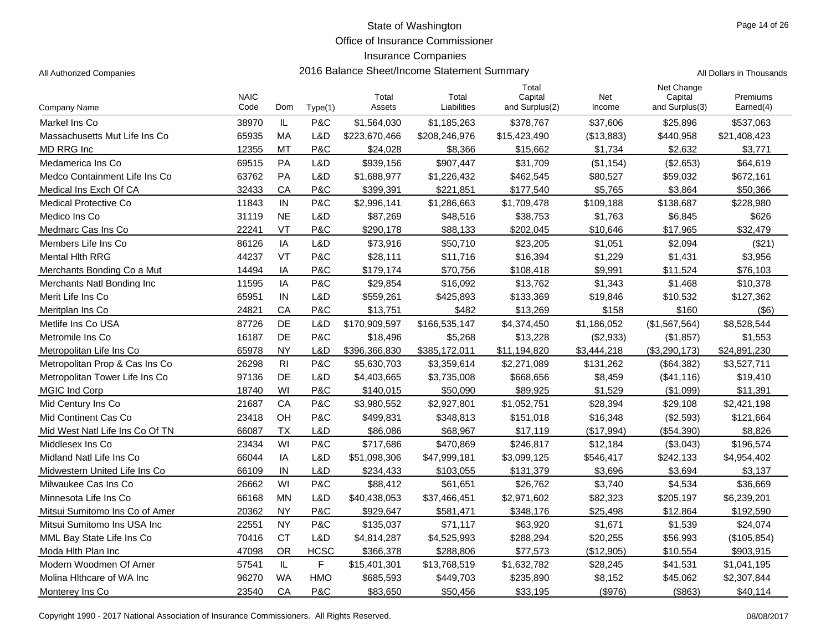Office of Insurance Commissioner

#### Insurance Companies

| All Authorized Companies        |                     |                |         |                 | 2016 Balance Sheet/Income Statement Summary |                                    |               |                                         | All Dollars in Thousands |  |  |
|---------------------------------|---------------------|----------------|---------|-----------------|---------------------------------------------|------------------------------------|---------------|-----------------------------------------|--------------------------|--|--|
| <b>Company Name</b>             | <b>NAIC</b><br>Code | Dom            | Type(1) | Total<br>Assets | Total<br>Liabilities                        | Total<br>Capital<br>and Surplus(2) | Net<br>Income | Net Change<br>Capital<br>and Surplus(3) | Premiums<br>Earned(4)    |  |  |
| Markel Ins Co                   | 38970               | IL             | P&C     | \$1,564,030     | \$1,185,263                                 | \$378,767                          | \$37,606      | \$25,896                                | \$537,063                |  |  |
| Massachusetts Mut Life Ins Co   | 65935               | MA             | L&D     | \$223,670,466   | \$208,246,976                               | \$15,423,490                       | (\$13,883)    | \$440,958                               | \$21,408,423             |  |  |
| MD RRG Inc                      | 12355               | MT             | P&C     | \$24,028        | \$8,366                                     | \$15,662                           | \$1,734       | \$2,632                                 | \$3,771                  |  |  |
| Medamerica Ins Co               | 69515               | PA             | L&D     | \$939,156       | \$907,447                                   | \$31,709                           | (\$1,154)     | (\$2,653)                               | \$64,619                 |  |  |
| Medco Containment Life Ins Co   | 63762               | PA             | L&D     | \$1,688,977     | \$1,226,432                                 | \$462,545                          | \$80,527      | \$59,032                                | \$672,161                |  |  |
| Medical Ins Exch Of CA          | 32433               | CA             | P&C     | \$399,391       | \$221,851                                   | \$177,540                          | \$5,765       | \$3,864                                 | \$50,366                 |  |  |
| Medical Protective Co           | 11843               | IN             | P&C     | \$2,996,141     | \$1,286,663                                 | \$1,709,478                        | \$109,188     | \$138,687                               | \$228,980                |  |  |
| Medico Ins Co                   | 31119               | <b>NE</b>      | L&D     | \$87,269        | \$48,516                                    | \$38,753                           | \$1,763       | \$6,845                                 | \$626                    |  |  |
| Medmarc Cas Ins Co              | 22241               | VT             | P&C     | \$290,178       | \$88,133                                    | \$202,045                          | \$10,646      | \$17,965                                | \$32,479                 |  |  |
| Members Life Ins Co             | 86126               | IA             | L&D     | \$73,916        | \$50,710                                    | \$23,205                           | \$1,051       | \$2,094                                 | (\$21)                   |  |  |
| <b>Mental Hith RRG</b>          | 44237               | <b>VT</b>      | P&C     | \$28,111        | \$11,716                                    | \$16,394                           | \$1,229       | \$1,431                                 | \$3,956                  |  |  |
| Merchants Bonding Co a Mut      | 14494               | ΙA             | P&C     | \$179,174       | \$70,756                                    | \$108,418                          | \$9,991       | \$11,524                                | \$76,103                 |  |  |
| Merchants Natl Bonding Inc      | 11595               | IA             | P&C     | \$29,854        | \$16,092                                    | \$13,762                           | \$1,343       | \$1,468                                 | \$10,378                 |  |  |
| Merit Life Ins Co               | 65951               | IN             | L&D     | \$559,261       | \$425,893                                   | \$133,369                          | \$19,846      | \$10,532                                | \$127,362                |  |  |
| Meritplan Ins Co                | 24821               | CA             | P&C     | \$13,751        | \$482                                       | \$13,269                           | \$158         | \$160                                   | $($ \$6)                 |  |  |
| Metlife Ins Co USA              | 87726               | DE             | L&D     | \$170,909,597   | \$166,535,147                               | \$4,374,450                        | \$1,186,052   | (\$1,567,564)                           | \$8,528,544              |  |  |
| Metromile Ins Co                | 16187               | DE             | P&C     | \$18,496        | \$5,268                                     | \$13,228                           | (\$2,933)     | (\$1,857)                               | \$1,553                  |  |  |
| Metropolitan Life Ins Co        | 65978               | <b>NY</b>      | L&D     | \$396,366,830   | \$385,172,011                               | \$11,194,820                       | \$3,444,218   | (\$3,290,173)                           | \$24,891,230             |  |  |
| Metropolitan Prop & Cas Ins Co  | 26298               | R <sub>1</sub> | P&C     | \$5,630,703     | \$3,359,614                                 | \$2,271,089                        | \$131,262     | (\$64,382)                              | \$3,527,711              |  |  |
| Metropolitan Tower Life Ins Co  | 97136               | DE             | L&D     | \$4,403,665     | \$3,735,008                                 | \$668,656                          | \$8,459       | (\$41,116)                              | \$19,410                 |  |  |
| <b>MGIC Ind Corp</b>            | 18740               | WI             | P&C     | \$140,015       | \$50,090                                    | \$89,925                           | \$1,529       | (\$1,099)                               | \$11,391                 |  |  |
| Mid Century Ins Co              | 21687               | CA             | P&C     | \$3,980,552     | \$2,927,801                                 | \$1,052,751                        | \$28,394      | \$29,108                                | \$2,421,198              |  |  |
| Mid Continent Cas Co            | 23418               | OH             | P&C     | \$499,831       | \$348,813                                   | \$151,018                          | \$16,348      | (\$2,593)                               | \$121,664                |  |  |
| Mid West Natl Life Ins Co Of TN | 66087               | TX             | L&D     | \$86.086        | \$68,967                                    | \$17,119                           | (\$17,994)    | (\$54,390)                              | \$8,826                  |  |  |
| Middlesex Ins Co                | 23434               | WI             | P&C     | \$717,686       | \$470,869                                   | \$246,817                          | \$12,184      | (\$3,043)                               | \$196,574                |  |  |
| Midland Natl Life Ins Co        | 66044               | IA             | L&D     | \$51,098,306    | \$47,999,181                                | \$3,099,125                        | \$546,417     | \$242,133                               | \$4,954,402              |  |  |

| Mid Continent Cas Co            | 23418 | OH        | P&C         | \$499,831    | \$348,813    | \$151,018   | \$16,348   | (\$2,593)     | \$121,664   |
|---------------------------------|-------|-----------|-------------|--------------|--------------|-------------|------------|---------------|-------------|
| Mid West Natl Life Ins Co Of TN | 66087 | ТX        | L&D         | \$86,086     | \$68,967     | \$17.119    | (\$17,994) | (\$54,390)    | \$8.826     |
| Middlesex Ins Co                | 23434 | WI        | P&C         | \$717.686    | \$470.869    | \$246.817   | \$12.184   | (\$3,043)     | \$196,574   |
| Midland Natl Life Ins Co        | 66044 | IA        | L&D         | \$51,098,306 | \$47,999,181 | \$3,099,125 | \$546,417  | \$242,133     | \$4,954,402 |
| Midwestern United Life Ins Co   | 66109 | IN        | L&D         | \$234,433    | \$103.055    | \$131,379   | \$3,696    | \$3,694       | \$3,137     |
| Milwaukee Cas Ins Co            | 26662 | WI        | P&C         | \$88,412     | \$61.651     | \$26,762    | \$3,740    | \$4,534       | \$36,669    |
| Minnesota Life Ins Co           | 66168 | MN        | L&D         | \$40,438,053 | \$37,466,451 | \$2,971,602 | \$82,323   | \$205,197     | \$6,239,201 |
| Mitsui Sumitomo Ins Co of Amer  | 20362 | <b>NY</b> | P&C.        | \$929.647    | \$581.471    | \$348,176   | \$25,498   | \$12.864      | \$192,590   |
| Mitsui Sumitomo Ins USA Inc.    | 22551 | <b>NY</b> | P&C.        | \$135,037    | \$71.117     | \$63,920    | \$1.671    | \$1,539       | \$24.074    |
| MML Bay State Life Ins Co       | 70416 | CT        | L&D         | \$4,814,287  | \$4,525,993  | \$288.294   | \$20,255   | \$56,993      | (\$105,854) |
| Moda Hith Plan Inc              | 47098 | OR        | <b>HCSC</b> | \$366,378    | \$288,806    | \$77.573    | (\$12,905) | \$10,554      | \$903.915   |
| Modern Woodmen Of Amer          | 57541 | IL        | F.          | \$15,401,301 | \$13,768,519 | \$1,632,782 | \$28,245   | \$41,531      | \$1.041.195 |
| Molina Hithcare of WA Inc       | 96270 | <b>WA</b> | <b>HMO</b>  | \$685,593    | \$449,703    | \$235,890   | \$8,152    | \$45,062      | \$2,307,844 |
| Monterey Ins Co                 | 23540 | CA        | P&C         | \$83,650     | \$50,456     | \$33,195    | $($ \$976) | $($ \$863 $)$ | \$40,114    |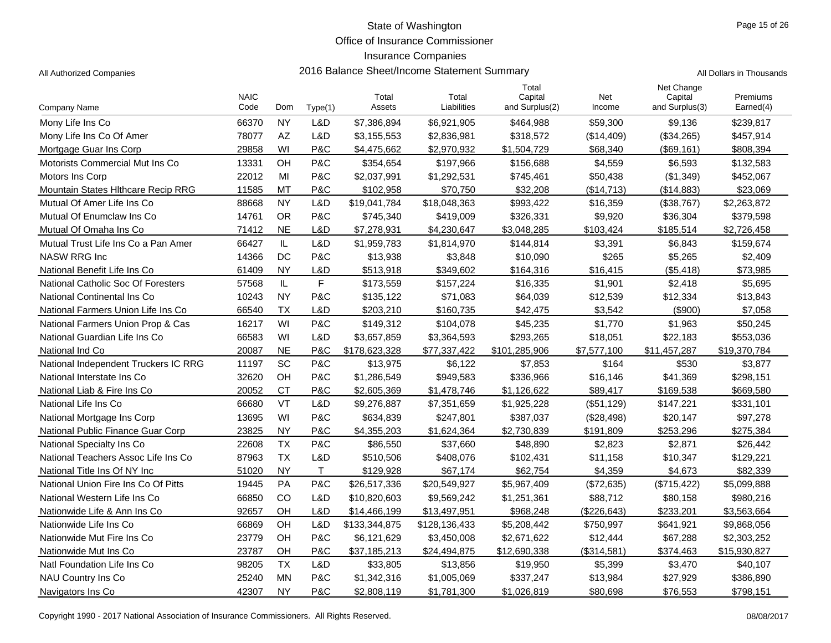Office of Insurance Commissioner

### Insurance Companies

All Authorized Companies **2016 Balance Sheet/Income Statement Summary** All Dollars in Thousands

| Company Name                         | <b>NAIC</b><br>Code | Dom       | Type(1) | Total<br>Assets | Total<br>Liabilities | Total<br>Capital<br>and Surplus(2) | Net<br>Income | Net Change<br>Capital<br>and Surplus(3) | Premiums<br>Earned(4) |
|--------------------------------------|---------------------|-----------|---------|-----------------|----------------------|------------------------------------|---------------|-----------------------------------------|-----------------------|
| Mony Life Ins Co                     | 66370               | <b>NY</b> | L&D     | \$7,386,894     | \$6,921,905          | \$464,988                          | \$59,300      | \$9,136                                 | \$239,817             |
| Mony Life Ins Co Of Amer             | 78077               | AZ        | L&D     | \$3,155,553     | \$2,836,981          | \$318,572                          | (\$14,409)    | (\$34,265)                              | \$457,914             |
| Mortgage Guar Ins Corp               | 29858               | WI        | P&C     | \$4,475,662     | \$2,970,932          | \$1,504,729                        | \$68,340      | (\$69,161)                              | \$808,394             |
| Motorists Commercial Mut Ins Co      | 13331               | OH        | P&C     | \$354,654       | \$197,966            | \$156,688                          | \$4,559       | \$6,593                                 | \$132,583             |
| Motors Ins Corp                      | 22012               | MI        | P&C     | \$2,037,991     | \$1,292,531          | \$745,461                          | \$50,438      | (\$1,349)                               | \$452,067             |
| Mountain States Hithcare Recip RRG   | 11585               | MT        | P&C     | \$102,958       | \$70,750             | \$32,208                           | (\$14,713)    | (\$14,883)                              | \$23,069              |
| Mutual Of Amer Life Ins Co           | 88668               | <b>NY</b> | L&D     | \$19,041,784    | \$18,048,363         | \$993,422                          | \$16,359      | (\$38,767)                              | \$2,263,872           |
| Mutual Of Enumclaw Ins Co            | 14761               | <b>OR</b> | P&C     | \$745,340       | \$419,009            | \$326,331                          | \$9,920       | \$36,304                                | \$379,598             |
| Mutual Of Omaha Ins Co               | 71412               | <b>NE</b> | L&D     | \$7,278,931     | \$4,230,647          | \$3,048,285                        | \$103,424     | \$185,514                               | \$2,726,458           |
| Mutual Trust Life Ins Co a Pan Amer  | 66427               | IL        | L&D     | \$1,959,783     | \$1,814,970          | \$144,814                          | \$3,391       | \$6,843                                 | \$159,674             |
| <b>NASW RRG Inc</b>                  | 14366               | DC        | P&C     | \$13,938        | \$3,848              | \$10,090                           | \$265         | \$5,265                                 | \$2,409               |
| National Benefit Life Ins Co         | 61409               | <b>NY</b> | L&D     | \$513,918       | \$349,602            | \$164,316                          | \$16,415      | (\$5,418)                               | \$73,985              |
| National Catholic Soc Of Foresters   | 57568               | IL        | F       | \$173,559       | \$157,224            | \$16,335                           | \$1,901       | \$2,418                                 | \$5,695               |
| National Continental Ins Co          | 10243               | <b>NY</b> | P&C     | \$135,122       | \$71,083             | \$64,039                           | \$12,539      | \$12,334                                | \$13,843              |
| National Farmers Union Life Ins Co   | 66540               | <b>TX</b> | L&D     | \$203,210       | \$160,735            | \$42,475                           | \$3.542       | $($ \$900)                              | \$7,058               |
| National Farmers Union Prop & Cas    | 16217               | WI        | P&C     | \$149,312       | \$104,078            | \$45,235                           | \$1,770       | \$1,963                                 | \$50,245              |
| National Guardian Life Ins Co        | 66583               | WI        | L&D     | \$3.657.859     | \$3,364,593          | \$293,265                          | \$18,051      | \$22,183                                | \$553,036             |
| National Ind Co                      | 20087               | <b>NE</b> | P&C     | \$178,623,328   | \$77,337,422         | \$101,285,906                      | \$7,577,100   | \$11,457,287                            | \$19,370,784          |
| National Independent Truckers IC RRG | 11197               | SC        | P&C     | \$13,975        | \$6,122              | \$7,853                            | \$164         | \$530                                   | \$3,877               |
| National Interstate Ins Co           | 32620               | OH        | P&C     | \$1,286,549     | \$949,583            | \$336,966                          | \$16,146      | \$41,369                                | \$298,151             |
| National Liab & Fire Ins Co          | 20052               | <b>CT</b> | P&C     | \$2,605,369     | \$1,478,746          | \$1,126,622                        | \$89,417      | \$169,538                               | \$669,580             |
| National Life Ins Co                 | 66680               | VT        | L&D     | \$9,276,887     | \$7,351,659          | \$1,925,228                        | (\$51, 129)   | \$147,221                               | \$331,101             |
| National Mortgage Ins Corp           | 13695               | WI        | P&C     | \$634,839       | \$247,801            | \$387,037                          | (\$28,498)    | \$20,147                                | \$97,278              |
| National Public Finance Guar Corp    | 23825               | <b>NY</b> | P&C     | \$4,355,203     | \$1,624,364          | \$2,730,839                        | \$191,809     | \$253,296                               | \$275,384             |
| National Specialty Ins Co            | 22608               | <b>TX</b> | P&C     | \$86,550        | \$37,660             | \$48,890                           | \$2,823       | \$2,871                                 | \$26,442              |
| National Teachers Assoc Life Ins Co  | 87963               | <b>TX</b> | L&D     | \$510,506       | \$408,076            | \$102,431                          | \$11,158      | \$10,347                                | \$129,221             |
| National Title Ins Of NY Inc         | 51020               | <b>NY</b> | T.      | \$129,928       | \$67,174             | \$62,754                           | \$4,359       | \$4,673                                 | \$82,339              |
| National Union Fire Ins Co Of Pitts  | 19445               | PA        | P&C     | \$26,517,336    | \$20,549,927         | \$5,967,409                        | (\$72,635)    | (\$715, 422)                            | \$5,099,888           |
| National Western Life Ins Co         | 66850               | CO        | L&D     | \$10,820,603    | \$9,569,242          | \$1,251,361                        | \$88,712      | \$80,158                                | \$980,216             |
| Nationwide Life & Ann Ins Co         | 92657               | OH        | L&D     | \$14,466,199    | \$13,497,951         | \$968,248                          | (\$226,643)   | \$233,201                               | \$3,563,664           |
| Nationwide Life Ins Co               | 66869               | OH        | L&D     | \$133,344,875   | \$128,136,433        | \$5,208,442                        | \$750,997     | \$641,921                               | \$9,868,056           |
| Nationwide Mut Fire Ins Co           | 23779               | OH        | P&C     | \$6,121,629     | \$3,450,008          | \$2,671,622                        | \$12,444      | \$67,288                                | \$2,303,252           |
| Nationwide Mut Ins Co                | 23787               | OH        | P&C     | \$37,185,213    | \$24,494,875         | \$12,690,338                       | (\$314,581)   | \$374,463                               | \$15,930,827          |
| Natl Foundation Life Ins Co          | 98205               | <b>TX</b> | L&D     | \$33,805        | \$13,856             | \$19,950                           | \$5,399       | \$3,470                                 | \$40,107              |
| NAU Country Ins Co                   | 25240               | <b>MN</b> | P&C     | \$1,342,316     | \$1,005,069          | \$337,247                          | \$13,984      | \$27,929                                | \$386,890             |
| Navigators Ins Co.                   | 42307               | <b>NY</b> | P&C     | \$2,808,119     | \$1,781,300          | \$1,026,819                        | \$80,698      | \$76,553                                | \$798,151             |

Copyright 1990 - 2017 National Association of Insurance Commissioners. All Rights Reserved. 08/08/2017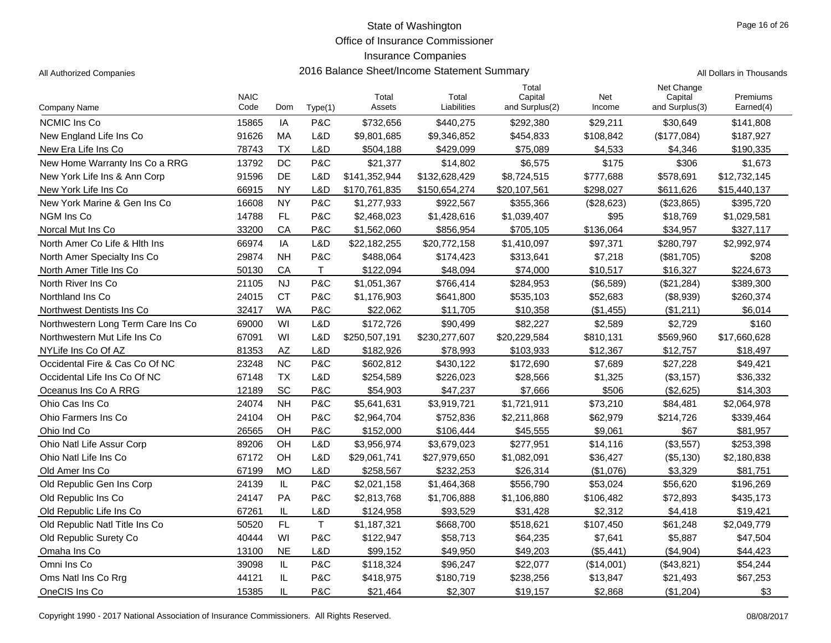Office of Insurance Commissioner

### Insurance Companies

All Authorized Companies **2016 Balance Sheet/Income Statement Summary** A

|  | All Dollars in Thousands |
|--|--------------------------|
|  |                          |

|                                    | <b>NAIC</b> |           |             | Total         | Total         | Total<br>Capital | Net        | Net Change<br>Capital | Premiums     |
|------------------------------------|-------------|-----------|-------------|---------------|---------------|------------------|------------|-----------------------|--------------|
| Company Name                       | Code        | Dom       | Type(1)     | Assets        | Liabilities   | and Surplus(2)   | Income     | and Surplus(3)        | Earned(4)    |
| <b>NCMIC Ins Co</b>                | 15865       | IA        | P&C         | \$732,656     | \$440,275     | \$292,380        | \$29,211   | \$30,649              | \$141,808    |
| New England Life Ins Co            | 91626       | MA        | L&D         | \$9,801,685   | \$9,346,852   | \$454,833        | \$108,842  | (\$177,084)           | \$187,927    |
| New Era Life Ins Co                | 78743       | <b>TX</b> | L&D         | \$504,188     | \$429,099     | \$75,089         | \$4,533    | \$4,346               | \$190,335    |
| New Home Warranty Ins Co a RRG     | 13792       | DC        | P&C         | \$21,377      | \$14,802      | \$6,575          | \$175      | \$306                 | \$1,673      |
| New York Life Ins & Ann Corp       | 91596       | DE        | L&D         | \$141,352,944 | \$132,628,429 | \$8,724,515      | \$777,688  | \$578,691             | \$12,732,145 |
| New York Life Ins Co               | 66915       | <b>NY</b> | L&D         | \$170,761,835 | \$150,654,274 | \$20,107,561     | \$298.027  | \$611,626             | \$15,440,137 |
| New York Marine & Gen Ins Co.      | 16608       | <b>NY</b> | P&C         | \$1,277,933   | \$922,567     | \$355,366        | (\$28,623) | (\$23,865)            | \$395,720    |
| NGM Ins Co                         | 14788       | FL        | P&C         | \$2,468,023   | \$1,428,616   | \$1,039,407      | \$95       | \$18,769              | \$1,029,581  |
| Norcal Mut Ins Co                  | 33200       | CA        | P&C         | \$1,562,060   | \$856,954     | \$705,105        | \$136,064  | \$34,957              | \$327,117    |
| North Amer Co Life & Hith Ins      | 66974       | IA        | L&D         | \$22,182,255  | \$20,772,158  | \$1,410,097      | \$97,371   | \$280,797             | \$2,992,974  |
| North Amer Specialty Ins Co        | 29874       | <b>NH</b> | P&C         | \$488,064     | \$174,423     | \$313,641        | \$7,218    | (\$81,705)            | \$208        |
| North Amer Title Ins Co            | 50130       | CA        | T.          | \$122,094     | \$48,094      | \$74,000         | \$10,517   | \$16,327              | \$224,673    |
| North River Ins Co.                | 21105       | <b>NJ</b> | P&C         | \$1,051,367   | \$766,414     | \$284,953        | (\$6,589)  | (\$21,284)            | \$389,300    |
| Northland Ins Co                   | 24015       | <b>CT</b> | P&C         | \$1,176,903   | \$641,800     | \$535,103        | \$52,683   | (\$8,939)             | \$260,374    |
| Northwest Dentists Ins Co.         | 32417       | <b>WA</b> | P&C         | \$22,062      | \$11,705      | \$10,358         | (\$1,455)  | (\$1,211)             | \$6,014      |
| Northwestern Long Term Care Ins Co | 69000       | WI        | L&D         | \$172,726     | \$90,499      | \$82,227         | \$2,589    | \$2,729               | \$160        |
| Northwestern Mut Life Ins Co       | 67091       | WI        | L&D         | \$250,507,191 | \$230,277,607 | \$20,229,584     | \$810,131  | \$569,960             | \$17,660,628 |
| NYLife Ins Co Of AZ                | 81353       | AZ        | L&D         | \$182,926     | \$78,993      | \$103,933        | \$12,367   | \$12,757              | \$18,497     |
| Occidental Fire & Cas Co Of NC     | 23248       | <b>NC</b> | P&C         | \$602,812     | \$430,122     | \$172,690        | \$7,689    | \$27,228              | \$49,421     |
| Occidental Life Ins Co Of NC       | 67148       | <b>TX</b> | L&D         | \$254,589     | \$226,023     | \$28,566         | \$1,325    | (\$3,157)             | \$36,332     |
| Oceanus Ins Co A RRG               | 12189       | SC        | P&C         | \$54,903      | \$47,237      | \$7,666          | \$506      | (\$2,625)             | \$14,303     |
| Ohio Cas Ins Co                    | 24074       | <b>NH</b> | P&C         | \$5,641,631   | \$3,919,721   | \$1,721,911      | \$73,210   | \$84,481              | \$2,064,978  |
| Ohio Farmers Ins Co                | 24104       | OH        | P&C         | \$2,964,704   | \$752,836     | \$2,211,868      | \$62,979   | \$214,726             | \$339,464    |
| Ohio Ind Co                        | 26565       | OH        | P&C         | \$152,000     | \$106,444     | \$45,555         | \$9,061    | \$67                  | \$81,957     |
| <b>Ohio Natl Life Assur Corp</b>   | 89206       | OH        | L&D         | \$3,956,974   | \$3,679,023   | \$277,951        | \$14,116   | (\$3,557)             | \$253,398    |
| Ohio Natl Life Ins Co              | 67172       | OH        | L&D         | \$29,061,741  | \$27,979,650  | \$1,082,091      | \$36,427   | (\$5,130)             | \$2,180,838  |
| Old Amer Ins Co                    | 67199       | MO        | L&D         | \$258,567     | \$232.253     | \$26,314         | (\$1,076)  | \$3,329               | \$81,751     |
| Old Republic Gen Ins Corp          | 24139       | IL        | P&C         | \$2,021,158   | \$1,464,368   | \$556,790        | \$53,024   | \$56,620              | \$196,269    |
| Old Republic Ins Co                | 24147       | <b>PA</b> | P&C         | \$2,813,768   | \$1,706,888   | \$1,106,880      | \$106,482  | \$72,893              | \$435,173    |
| Old Republic Life Ins Co.          | 67261       | IL        | L&D         | \$124,958     | \$93,529      | \$31,428         | \$2,312    | \$4,418               | \$19,421     |
| Old Republic Natl Title Ins Co     | 50520       | FL        | $\mathsf T$ | \$1,187,321   | \$668,700     | \$518,621        | \$107,450  | \$61,248              | \$2,049,779  |
| Old Republic Surety Co.            | 40444       | WI        | P&C         | \$122,947     | \$58,713      | \$64,235         | \$7,641    | \$5,887               | \$47,504     |
| Omaha Ins Co                       | 13100       | <b>NE</b> | L&D         | \$99,152      | \$49,950      | \$49,203         | (\$5,441)  | (\$4,904)             | \$44,423     |
| Omni Ins Co                        | 39098       | IL        | P&C         | \$118,324     | \$96,247      | \$22,077         | (\$14,001) | (\$43,821)            | \$54,244     |
| Oms Natl Ins Co Rrg                | 44121       | IL        | P&C         | \$418,975     | \$180,719     | \$238,256        | \$13,847   | \$21,493              | \$67,253     |
| OneCIS Ins Co                      | 15385       | IL        | P&C         | \$21,464      | \$2,307       | \$19,157         | \$2,868    | (\$1,204)             | \$3          |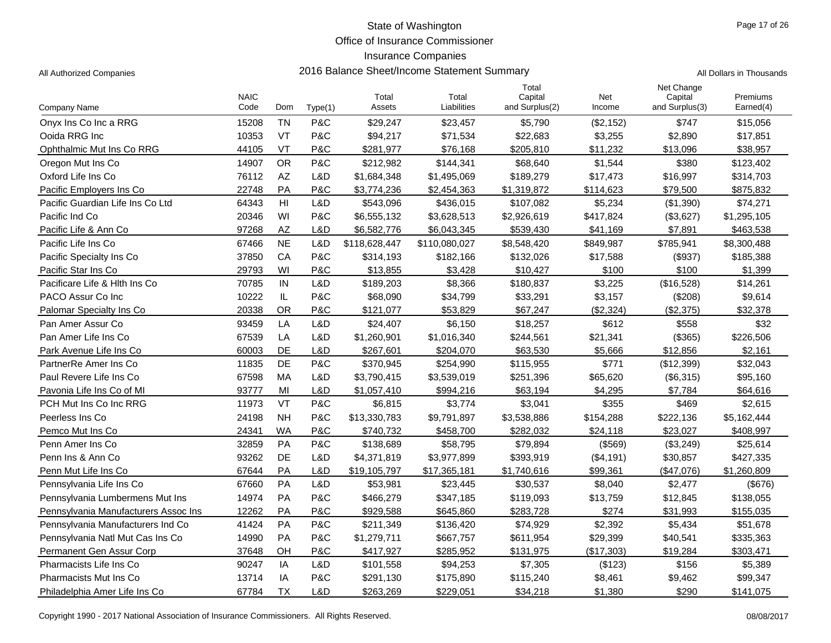Office of Insurance Commissioner

### Insurance Companies

All Authorized Companies **2016 Balance Sheet/Income Statement Summary** All Dollars in Thousands

|  | ll Dollare in Thousands |
|--|-------------------------|

|                                      | <b>NAIC</b> |           |         | Total         | Total         | Total<br>Capital | Net           | Net Change<br>Capital | Premiums    |
|--------------------------------------|-------------|-----------|---------|---------------|---------------|------------------|---------------|-----------------------|-------------|
| <b>Company Name</b>                  | Code        | Dom       | Type(1) | Assets        | Liabilities   | and Surplus(2)   | Income        | and Surplus(3)        | Earned(4)   |
| Onyx Ins Co Inc a RRG                | 15208       | <b>TN</b> | P&C     | \$29,247      | \$23,457      | \$5,790          | (\$2,152)     | \$747                 | \$15,056    |
| Ooida RRG Inc                        | 10353       | <b>VT</b> | P&C     | \$94,217      | \$71,534      | \$22,683         | \$3,255       | \$2,890               | \$17,851    |
| Ophthalmic Mut Ins Co RRG            | 44105       | VT        | P&C     | \$281,977     | \$76,168      | \$205,810        | \$11,232      | \$13,096              | \$38,957    |
| Oregon Mut Ins Co                    | 14907       | <b>OR</b> | P&C     | \$212,982     | \$144,341     | \$68,640         | \$1,544       | \$380                 | \$123,402   |
| Oxford Life Ins Co                   | 76112       | AZ        | L&D     | \$1,684,348   | \$1,495,069   | \$189,279        | \$17,473      | \$16,997              | \$314,703   |
| Pacific Employers Ins Co             | 22748       | PA        | P&C     | \$3,774,236   | \$2,454,363   | \$1,319,872      | \$114,623     | \$79,500              | \$875,832   |
| Pacific Guardian Life Ins Co Ltd     | 64343       | HI        | L&D     | \$543,096     | \$436,015     | \$107,082        | \$5,234       | (\$1,390)             | \$74,271    |
| Pacific Ind Co                       | 20346       | WI        | P&C     | \$6,555,132   | \$3,628,513   | \$2,926,619      | \$417,824     | (\$3,627)             | \$1,295,105 |
| Pacific Life & Ann Co                | 97268       | AZ        | L&D     | \$6,582,776   | \$6,043,345   | \$539,430        | \$41.169      | \$7,891               | \$463,538   |
| Pacific Life Ins Co                  | 67466       | <b>NE</b> | L&D     | \$118,628,447 | \$110,080,027 | \$8,548,420      | \$849,987     | \$785,941             | \$8,300,488 |
| Pacific Specialty Ins Co             | 37850       | CA        | P&C     | \$314,193     | \$182,166     | \$132,026        | \$17,588      | (\$937)               | \$185,388   |
| Pacific Star Ins Co                  | 29793       | WI        | P&C     | \$13,855      | \$3,428       | \$10,427         | \$100         | \$100                 | \$1,399     |
| Pacificare Life & Hith Ins Co        | 70785       | IN        | L&D     | \$189,203     | \$8,366       | \$180,837        | \$3,225       | (\$16,528)            | \$14,261    |
| PACO Assur Co Inc                    | 10222       | IL        | P&C     | \$68,090      | \$34,799      | \$33,291         | \$3,157       | (\$208)               | \$9,614     |
| Palomar Specialty Ins Co             | 20338       | <b>OR</b> | P&C     | \$121.077     | \$53,829      | \$67.247         | (\$2.324)     | (\$2,375)             | \$32,378    |
| Pan Amer Assur Co                    | 93459       | LA        | L&D     | \$24,407      | \$6,150       | \$18,257         | \$612         | \$558                 | \$32        |
| Pan Amer Life Ins Co                 | 67539       | LA        | L&D     | \$1,260,901   | \$1,016,340   | \$244,561        | \$21,341      | (\$365)               | \$226,506   |
| Park Avenue Life Ins Co              | 60003       | <b>DE</b> | L&D     | \$267,601     | \$204,070     | \$63,530         | \$5,666       | \$12,856              | \$2,161     |
| PartnerRe Amer Ins Co                | 11835       | DE        | P&C     | \$370,945     | \$254,990     | \$115,955        | \$771         | (\$12,399)            | \$32,043    |
| Paul Revere Life Ins Co              | 67598       | MA        | L&D     | \$3,790,415   | \$3,539,019   | \$251,396        | \$65,620      | (\$6,315)             | \$95,160    |
| Pavonia Life Ins Co of MI            | 93777       | MI        | L&D     | \$1,057,410   | \$994,216     | \$63,194         | \$4.295       | \$7,784               | \$64,616    |
| PCH Mut Ins Co Inc RRG               | 11973       | VT        | P&C     | \$6,815       | \$3,774       | \$3,041          | \$355         | \$469                 | \$2,615     |
| Peerless Ins Co                      | 24198       | <b>NH</b> | P&C     | \$13,330,783  | \$9,791,897   | \$3,538,886      | \$154,288     | \$222,136             | \$5,162,444 |
| Pemco Mut Ins Co                     | 24341       | WA        | P&C     | \$740,732     | \$458,700     | \$282,032        | \$24,118      | \$23,027              | \$408,997   |
| Penn Amer Ins Co                     | 32859       | PA        | P&C     | \$138,689     | \$58,795      | \$79,894         | $($ \$569 $)$ | (\$3,249)             | \$25,614    |
| Penn Ins & Ann Co                    | 93262       | <b>DE</b> | L&D     | \$4,371,819   | \$3,977,899   | \$393,919        | (\$4,191)     | \$30,857              | \$427,335   |
| Penn Mut Life Ins Co                 | 67644       | PA        | L&D     | \$19,105,797  | \$17,365,181  | \$1,740,616      | \$99,361      | (\$47,076)            | \$1,260,809 |
| Pennsylvania Life Ins Co             | 67660       | PA        | L&D     | \$53,981      | \$23,445      | \$30,537         | \$8,040       | \$2,477               | (\$676)     |
| Pennsylvania Lumbermens Mut Ins      | 14974       | PA        | P&C     | \$466,279     | \$347,185     | \$119,093        | \$13,759      | \$12,845              | \$138,055   |
| Pennsylvania Manufacturers Assoc Ins | 12262       | PA        | P&C     | \$929,588     | \$645,860     | \$283.728        | \$274         | \$31,993              | \$155,035   |
| Pennsylvania Manufacturers Ind Co    | 41424       | PA        | P&C     | \$211,349     | \$136,420     | \$74,929         | \$2,392       | \$5,434               | \$51,678    |
| Pennsylvania Natl Mut Cas Ins Co     | 14990       | PA        | P&C     | \$1,279,711   | \$667,757     | \$611,954        | \$29,399      | \$40,541              | \$335,363   |
| Permanent Gen Assur Corp             | 37648       | OН        | P&C     | \$417,927     | \$285,952     | \$131,975        | (\$17,303)    | \$19,284              | \$303,471   |
| Pharmacists Life Ins Co              | 90247       | IA        | L&D     | \$101,558     | \$94,253      | \$7,305          | (\$123)       | \$156                 | \$5,389     |
| <b>Pharmacists Mut Ins Co</b>        | 13714       | IA        | P&C     | \$291,130     | \$175,890     | \$115,240        | \$8,461       | \$9,462               | \$99,347    |
| Philadelphia Amer Life Ins Co        | 67784       | <b>TX</b> | L&D     | \$263,269     | \$229,051     | \$34,218         | \$1,380       | \$290                 | \$141,075   |

Copyright 1990 - 2017 National Association of Insurance Commissioners. All Rights Reserved. 08/08/2017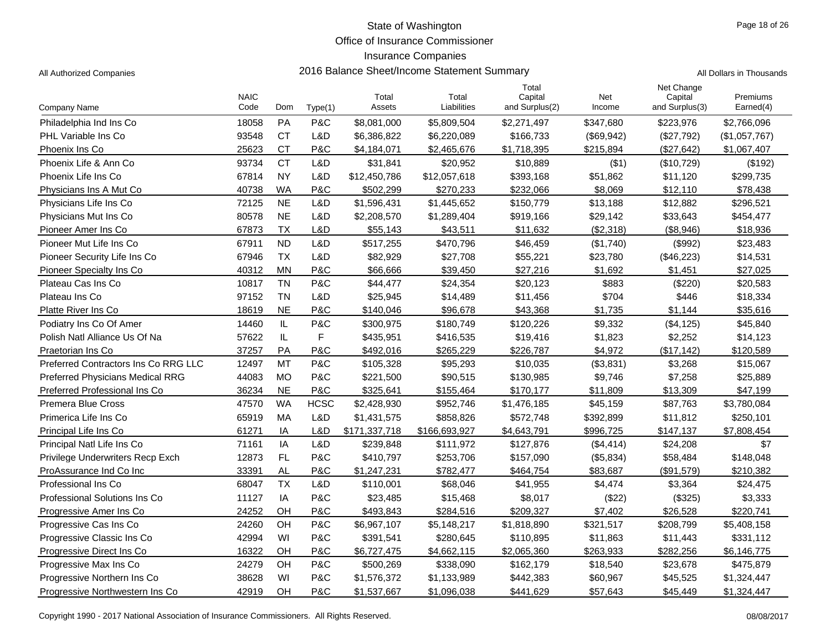Office of Insurance Commissioner

### Insurance Companies

|                                         | <b>NAIC</b> |           |             | Total         | Total         | Total<br>Capital | Net        | Net Change<br>Capital | Premiums      |
|-----------------------------------------|-------------|-----------|-------------|---------------|---------------|------------------|------------|-----------------------|---------------|
| Company Name                            | Code        | Dom       | Type(1)     | Assets        | Liabilities   | and Surplus(2)   | Income     | and Surplus(3)        | Earned(4)     |
| Philadelphia Ind Ins Co                 | 18058       | <b>PA</b> | P&C         | \$8,081,000   | \$5,809,504   | \$2,271,497      | \$347,680  | \$223,976             | \$2,766,096   |
| PHL Variable Ins Co                     | 93548       | <b>CT</b> | L&D         | \$6,386,822   | \$6,220,089   | \$166,733        | (\$69,942) | (\$27,792)            | (\$1,057,767) |
| Phoenix Ins Co                          | 25623       | <b>CT</b> | P&C         | \$4,184,071   | \$2,465,676   | \$1,718,395      | \$215,894  | (\$27,642)            | \$1,067,407   |
| Phoenix Life & Ann Co.                  | 93734       | <b>CT</b> | L&D         | \$31,841      | \$20,952      | \$10,889         | ( \$1)     | (\$10,729)            | (\$192)       |
| Phoenix Life Ins Co                     | 67814       | <b>NY</b> | L&D         | \$12,450,786  | \$12,057,618  | \$393,168        | \$51,862   | \$11,120              | \$299,735     |
| Physicians Ins A Mut Co.                | 40738       | <b>WA</b> | P&C         | \$502,299     | \$270,233     | \$232,066        | \$8,069    | \$12,110              | \$78,438      |
| Physicians Life Ins Co                  | 72125       | <b>NE</b> | L&D         | \$1,596,431   | \$1,445,652   | \$150,779        | \$13,188   | \$12,882              | \$296,521     |
| Physicians Mut Ins Co                   | 80578       | <b>NE</b> | L&D         | \$2,208,570   | \$1,289,404   | \$919,166        | \$29,142   | \$33,643              | \$454,477     |
| Pioneer Amer Ins Co                     | 67873       | <b>TX</b> | L&D         | \$55,143      | \$43,511      | \$11,632         | (\$2,318)  | (\$8,946)             | \$18,936      |
| Pioneer Mut Life Ins Co                 | 67911       | <b>ND</b> | L&D         | \$517,255     | \$470,796     | \$46,459         | (\$1,740)  | (\$992)               | \$23,483      |
| Pioneer Security Life Ins Co            | 67946       | <b>TX</b> | L&D         | \$82,929      | \$27,708      | \$55,221         | \$23,780   | (\$46,223)            | \$14,531      |
| Pioneer Specialty Ins Co                | 40312       | <b>MN</b> | P&C         | \$66,666      | \$39,450      | \$27,216         | \$1.692    | \$1,451               | \$27,025      |
| Plateau Cas Ins Co                      | 10817       | <b>TN</b> | P&C         | \$44,477      | \$24,354      | \$20,123         | \$883      | (\$220)               | \$20,583      |
| Plateau Ins Co                          | 97152       | <b>TN</b> | L&D         | \$25,945      | \$14,489      | \$11,456         | \$704      | \$446                 | \$18,334      |
| <b>Platte River Ins Co</b>              | 18619       | <b>NE</b> | P&C         | \$140,046     | \$96,678      | \$43,368         | \$1,735    | \$1,144               | \$35,616      |
| Podiatry Ins Co Of Amer                 | 14460       | IL        | P&C         | \$300,975     | \$180,749     | \$120,226        | \$9,332    | (\$4, 125)            | \$45,840      |
| Polish Natl Alliance Us Of Na           | 57622       | IL        | F           | \$435,951     | \$416,535     | \$19,416         | \$1,823    | \$2,252               | \$14,123      |
| Praetorian Ins Co                       | 37257       | PA        | P&C         | \$492,016     | \$265,229     | \$226.787        | \$4,972    | (\$17,142)            | \$120,589     |
| Preferred Contractors Ins Co RRG LLC    | 12497       | MT        | P&C         | \$105,328     | \$95,293      | \$10,035         | (\$3,831)  | \$3,268               | \$15,067      |
| <b>Preferred Physicians Medical RRG</b> | 44083       | MO        | P&C         | \$221,500     | \$90,515      | \$130,985        | \$9,746    | \$7,258               | \$25,889      |
| Preferred Professional Ins Co           | 36234       | <b>NE</b> | P&C         | \$325,641     | \$155,464     | \$170.177        | \$11.809   | \$13,309              | \$47.199      |
| Premera Blue Cross                      | 47570       | <b>WA</b> | <b>HCSC</b> | \$2,428,930   | \$952,746     | \$1,476,185      | \$45,159   | \$87,763              | \$3,780,084   |
| Primerica Life Ins Co                   | 65919       | МA        | L&D         | \$1,431,575   | \$858,826     | \$572,748        | \$392,899  | \$11,812              | \$250,101     |
| Principal Life Ins Co                   | 61271       | IA        | L&D         | \$171,337,718 | \$166,693,927 | \$4,643,791      | \$996,725  | \$147,137             | \$7,808,454   |
| Principal Natl Life Ins Co              | 71161       | IA        | L&D         | \$239,848     | \$111,972     | \$127,876        | (\$4,414)  | \$24,208              | \$7           |
| Privilege Underwriters Recp Exch        | 12873       | <b>FL</b> | P&C         | \$410,797     | \$253,706     | \$157,090        | (\$5,834)  | \$58,484              | \$148,048     |
| ProAssurance Ind Co Inc                 | 33391       | <b>AL</b> | P&C         | \$1,247,231   | \$782,477     | \$464,754        | \$83,687   | (\$91,579)            | \$210,382     |
| Professional Ins Co                     | 68047       | <b>TX</b> | L&D         | \$110,001     | \$68,046      | \$41,955         | \$4,474    | \$3,364               | \$24,475      |
| Professional Solutions Ins Co           | 11127       | IA        | P&C         | \$23,485      | \$15,468      | \$8,017          | (\$22)     | (\$325)               | \$3,333       |
| Progressive Amer Ins Co.                | 24252       | OH        | P&C         | \$493,843     | \$284,516     | \$209,327        | \$7,402    | \$26,528              | \$220,741     |
| Progressive Cas Ins Co                  | 24260       | OH        | P&C         | \$6,967,107   | \$5,148,217   | \$1,818,890      | \$321,517  | \$208,799             | \$5,408,158   |
| Progressive Classic Ins Co              | 42994       | WI        | P&C         | \$391,541     | \$280,645     | \$110,895        | \$11,863   | \$11,443              | \$331,112     |
| Progressive Direct Ins Co               | 16322       | OH        | P&C         | \$6,727,475   | \$4,662,115   | \$2,065,360      | \$263,933  | \$282,256             | \$6,146,775   |
| Progressive Max Ins Co                  | 24279       | OH        | P&C         | \$500,269     | \$338,090     | \$162,179        | \$18,540   | \$23,678              | \$475,879     |
| Progressive Northern Ins Co             | 38628       | WI        | P&C         | \$1,576,372   | \$1,133,989   | \$442,383        | \$60,967   | \$45,525              | \$1,324,447   |
| Progressive Northwestern Ins Co         | 42919       | OH        | P&C         | \$1,537,667   | \$1,096,038   | \$441,629        | \$57,643   | \$45,449              | \$1,324,447   |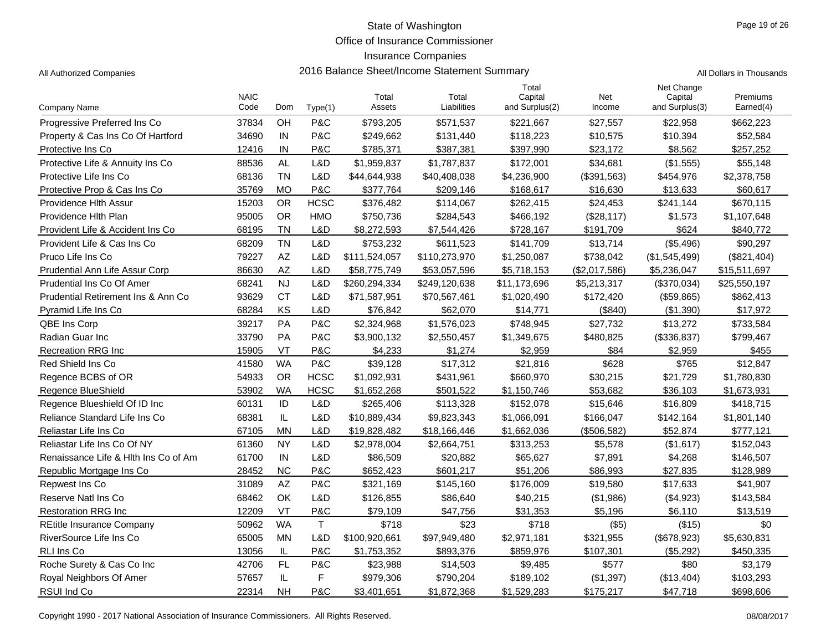Office of Insurance Commissioner

### Insurance Companies

All Authorized Companies **2016 Balance Sheet/Income Statement Summary** A

|  | All Dollars in Thousands |
|--|--------------------------|
|  |                          |

|                                      | <b>NAIC</b> |            |             | Total         | Total         | Total<br>Capital | Net           | Net Change<br>Capital | Premiums     |
|--------------------------------------|-------------|------------|-------------|---------------|---------------|------------------|---------------|-----------------------|--------------|
| Company Name                         | Code        | <b>Dom</b> | Type(1)     | Assets        | Liabilities   | and Surplus(2)   | Income        | and Surplus(3)        | Earned(4)    |
| Progressive Preferred Ins Co         | 37834       | OH         | P&C         | \$793,205     | \$571,537     | \$221,667        | \$27,557      | \$22,958              | \$662,223    |
| Property & Cas Ins Co Of Hartford    | 34690       | IN         | P&C         | \$249,662     | \$131,440     | \$118,223        | \$10,575      | \$10,394              | \$52,584     |
| Protective Ins Co                    | 12416       | IN         | P&C         | \$785,371     | \$387,381     | \$397,990        | \$23,172      | \$8,562               | \$257,252    |
| Protective Life & Annuity Ins Co     | 88536       | <b>AL</b>  | L&D         | \$1,959,837   | \$1,787,837   | \$172,001        | \$34,681      | (\$1,555)             | \$55,148     |
| Protective Life Ins Co               | 68136       | <b>TN</b>  | L&D         | \$44,644,938  | \$40,408,038  | \$4,236,900      | (\$391,563)   | \$454,976             | \$2,378,758  |
| Protective Prop & Cas Ins Co         | 35769       | <b>MO</b>  | P&C         | \$377,764     | \$209,146     | \$168,617        | \$16,630      | \$13,633              | \$60,617     |
| Providence Hith Assur                | 15203       | <b>OR</b>  | <b>HCSC</b> | \$376,482     | \$114,067     | \$262,415        | \$24,453      | \$241,144             | \$670,115    |
| Providence Hith Plan                 | 95005       | <b>OR</b>  | <b>HMO</b>  | \$750,736     | \$284,543     | \$466,192        | (\$28,117)    | \$1,573               | \$1,107,648  |
| Provident Life & Accident Ins Co     | 68195       | <b>TN</b>  | L&D         | \$8,272,593   | \$7,544,426   | \$728,167        | \$191,709     | \$624                 | \$840,772    |
| Provident Life & Cas Ins Co          | 68209       | <b>TN</b>  | L&D         | \$753,232     | \$611,523     | \$141,709        | \$13,714      | (\$5,496)             | \$90,297     |
| Pruco Life Ins Co                    | 79227       | AZ         | L&D         | \$111,524,057 | \$110,273,970 | \$1,250,087      | \$738,042     | (\$1,545,499)         | (\$821,404)  |
| Prudential Ann Life Assur Corp       | 86630       | <b>AZ</b>  | L&D         | \$58,775,749  | \$53,057,596  | \$5,718,153      | (\$2,017,586) | \$5,236,047           | \$15,511,697 |
| Prudential Ins Co Of Amer            | 68241       | <b>NJ</b>  | L&D         | \$260,294,334 | \$249,120,638 | \$11,173,696     | \$5,213,317   | (\$370,034)           | \$25,550,197 |
| Prudential Retirement Ins & Ann Co   | 93629       | <b>CT</b>  | L&D         | \$71,587,951  | \$70,567,461  | \$1,020,490      | \$172,420     | (\$59,865)            | \$862,413    |
| Pyramid Life Ins Co                  | 68284       | KS         | L&D         | \$76,842      | \$62,070      | \$14,771         | (\$840)       | (\$1,390)             | \$17,972     |
| <b>QBE Ins Corp</b>                  | 39217       | PA         | P&C         | \$2,324,968   | \$1,576,023   | \$748,945        | \$27,732      | \$13,272              | \$733,584    |
| Radian Guar Inc                      | 33790       | PA         | P&C         | \$3,900,132   | \$2,550,457   | \$1,349,675      | \$480,825     | (\$336,837)           | \$799,467    |
| <b>Recreation RRG Inc.</b>           | 15905       | VT         | P&C         | \$4.233       | \$1,274       | \$2,959          | \$84          | \$2,959               | \$455        |
| Red Shield Ins Co                    | 41580       | <b>WA</b>  | P&C         | \$39,128      | \$17,312      | \$21,816         | \$628         | \$765                 | \$12,847     |
| Regence BCBS of OR                   | 54933       | <b>OR</b>  | <b>HCSC</b> | \$1,092,931   | \$431,961     | \$660,970        | \$30,215      | \$21,729              | \$1,780,830  |
| Regence BlueShield                   | 53902       | <b>WA</b>  | <b>HCSC</b> | \$1,652,268   | \$501,522     | \$1,150,746      | \$53,682      | \$36,103              | \$1,673,931  |
| Regence Blueshield Of ID Inc.        | 60131       | ID         | L&D         | \$265,406     | \$113,328     | \$152,078        | \$15,646      | \$16,809              | \$418,715    |
| Reliance Standard Life Ins Co        | 68381       | IL         | L&D         | \$10,889,434  | \$9,823,343   | \$1,066,091      | \$166,047     | \$142,164             | \$1,801,140  |
| Reliastar Life Ins Co                | 67105       | <b>MN</b>  | L&D         | \$19,828,482  | \$18,166,446  | \$1,662,036      | (\$506,582)   | \$52,874              | \$777,121    |
| Reliastar Life Ins Co Of NY          | 61360       | <b>NY</b>  | L&D         | \$2,978,004   | \$2,664,751   | \$313,253        | \$5,578       | (\$1,617)             | \$152,043    |
| Renaissance Life & Hith Ins Co of Am | 61700       | IN         | L&D         | \$86,509      | \$20,882      | \$65,627         | \$7,891       | \$4,268               | \$146,507    |
| Republic Mortgage Ins Co.            | 28452       | <b>NC</b>  | P&C         | \$652,423     | \$601,217     | \$51,206         | \$86,993      | \$27,835              | \$128,989    |
| Repwest Ins Co                       | 31089       | AZ         | P&C         | \$321,169     | \$145,160     | \$176,009        | \$19,580      | \$17,633              | \$41,907     |
| Reserve Natl Ins Co                  | 68462       | OK         | L&D         | \$126,855     | \$86,640      | \$40,215         | (\$1,986)     | (\$4,923)             | \$143,584    |
| <b>Restoration RRG Inc.</b>          | 12209       | VT         | P&C         | \$79,109      | \$47,756      | \$31,353         | \$5,196       | \$6,110               | \$13,519     |
| <b>REtitle Insurance Company</b>     | 50962       | <b>WA</b>  | $\mathsf T$ | \$718         | \$23          | \$718            | $($ \$5)      | (\$15)                | \$0          |
| RiverSource Life Ins Co              | 65005       | <b>MN</b>  | L&D         | \$100,920,661 | \$97,949,480  | \$2,971,181      | \$321,955     | (\$678,923)           | \$5,630,831  |
| RLI Ins Co                           | 13056       | IL         | P&C         | \$1,753,352   | \$893,376     | \$859.976        | \$107,301     | (\$5,292)             | \$450.335    |
| Roche Surety & Cas Co Inc            | 42706       | FL         | P&C         | \$23,988      | \$14,503      | \$9,485          | \$577         | \$80                  | \$3,179      |
| Royal Neighbors Of Amer              | 57657       | IL         | F           | \$979,306     | \$790,204     | \$189,102        | (\$1,397)     | (\$13,404)            | \$103,293    |
| RSUI Ind Co                          | 22314       | <b>NH</b>  | P&C         | \$3,401,651   | \$1,872,368   | \$1,529,283      | \$175,217     | \$47,718              | \$698,606    |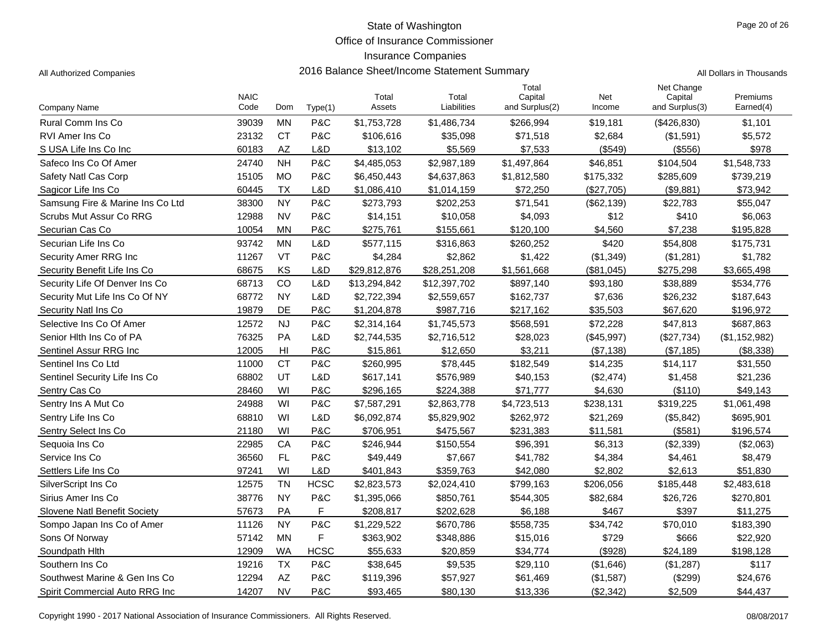Office of Insurance Commissioner

#### Insurance Companies

Sons Of Norway 57142 MN F \$363,902 \$348,886 \$15,016 \$729 \$666 \$22,920 Soundpath Hlth 12909 HCSC \$55 WA ,633 \$20,859 \$34,774 (\$928) \$24,189 \$198,128 Southern Ins Co 19216 TX P&C \$38,645 \$9,535 \$29,110 (\$1,646) (\$1,287) \$117 Southwest Marine & Gen Ins Co **12294** AZ P&C \$119,396 \$57,927 \$61,469 (\$1,587) (\$299) \$24,676 Spirit Commercial Auto RRG Inc 14207 NV P&C \$93,465 \$80,130 \$13,336 (\$2,342) \$2,509 \$44,437

| All Authorized Companies         | 2016 Balance Sheet/Income Statement Summary |                |             |                 |                      |                                    |               |                                         | All Dollars in Thousands |
|----------------------------------|---------------------------------------------|----------------|-------------|-----------------|----------------------|------------------------------------|---------------|-----------------------------------------|--------------------------|
| Company Name                     | <b>NAIC</b><br>Code                         | Dom            | Type(1)     | Total<br>Assets | Total<br>Liabilities | Total<br>Capital<br>and Surplus(2) | Net<br>Income | Net Change<br>Capital<br>and Surplus(3) | Premiums<br>Earned(4)    |
| Rural Comm Ins Co                | 39039                                       | <b>MN</b>      | P&C         | \$1,753,728     | \$1,486,734          | \$266,994                          | \$19,181      | (\$426,830)                             | \$1,101                  |
| <b>RVI Amer Ins Co</b>           | 23132                                       | <b>CT</b>      | P&C         | \$106,616       | \$35,098             | \$71,518                           | \$2,684       | (\$1,591)                               | \$5,572                  |
| S USA Life Ins Co Inc            | 60183                                       | AZ             | L&D         | \$13,102        | \$5,569              | \$7,533                            | (\$549)       | (\$556)                                 | \$978                    |
| Safeco Ins Co Of Amer            | 24740                                       | <b>NH</b>      | P&C         | \$4,485,053     | \$2,987,189          | \$1,497,864                        | \$46,851      | \$104,504                               | \$1,548,733              |
| Safety Natl Cas Corp             | 15105                                       | <b>MO</b>      | P&C         | \$6,450,443     | \$4,637,863          | \$1,812,580                        | \$175,332     | \$285,609                               | \$739,219                |
| Sagicor Life Ins Co              | 60445                                       | <b>TX</b>      | L&D         | \$1,086,410     | \$1,014,159          | \$72,250                           | (\$27,705)    | (\$9,881)                               | \$73,942                 |
| Samsung Fire & Marine Ins Co Ltd | 38300                                       | <b>NY</b>      | P&C         | \$273,793       | \$202,253            | \$71,541                           | (\$62,139)    | \$22,783                                | \$55,047                 |
| Scrubs Mut Assur Co RRG          | 12988                                       | <b>NV</b>      | P&C         | \$14,151        | \$10,058             | \$4,093                            | \$12          | \$410                                   | \$6,063                  |
| Securian Cas Co                  | 10054                                       | <b>MN</b>      | P&C         | \$275,761       | \$155,661            | \$120,100                          | \$4,560       | \$7,238                                 | \$195,828                |
| Securian Life Ins Co             | 93742                                       | <b>MN</b>      | L&D         | \$577,115       | \$316,863            | \$260,252                          | \$420         | \$54,808                                | \$175,731                |
| Security Amer RRG Inc            | 11267                                       | VT             | P&C         | \$4,284         | \$2,862              | \$1,422                            | (\$1,349)     | (\$1,281)                               | \$1,782                  |
| Security Benefit Life Ins Co     | 68675                                       | KS             | L&D         | \$29,812,876    | \$28,251,208         | \$1,561,668                        | (\$81,045)    | \$275,298                               | \$3,665,498              |
| Security Life Of Denver Ins Co   | 68713                                       | CO             | L&D         | \$13,294,842    | \$12,397,702         | \$897,140                          | \$93,180      | \$38,889                                | \$534,776                |
| Security Mut Life Ins Co Of NY   | 68772                                       | <b>NY</b>      | L&D         | \$2,722,394     | \$2,559,657          | \$162,737                          | \$7,636       | \$26,232                                | \$187,643                |
| Security Natl Ins Co             | 19879                                       | DE             | P&C         | \$1,204,878     | \$987,716            | \$217,162                          | \$35,503      | \$67,620                                | \$196,972                |
| Selective Ins Co Of Amer         | 12572                                       | <b>NJ</b>      | P&C         | \$2,314,164     | \$1,745,573          | \$568,591                          | \$72,228      | \$47,813                                | \$687,863                |
| Senior Hith Ins Co of PA         | 76325                                       | <b>PA</b>      | L&D         | \$2,744,535     | \$2,716,512          | \$28,023                           | (\$45,997)    | (\$27,734)                              | (\$1,152,982)            |
| Sentinel Assur RRG Inc           | 12005                                       | H <sub>l</sub> | P&C         | \$15,861        | \$12,650             | \$3,211                            | (\$7,138)     | (\$7,185)                               | (\$8,338)                |
| Sentinel Ins Co Ltd              | 11000                                       | <b>CT</b>      | P&C         | \$260,995       | \$78,445             | \$182,549                          | \$14,235      | \$14,117                                | \$31,550                 |
| Sentinel Security Life Ins Co    | 68802                                       | UT             | L&D         | \$617,141       | \$576,989            | \$40,153                           | (\$2,474)     | \$1,458                                 | \$21,236                 |
| Sentry Cas Co                    | 28460                                       | WI             | P&C         | \$296,165       | \$224,388            | \$71,777                           | \$4,630       | (\$110)                                 | \$49,143                 |
| Sentry Ins A Mut Co              | 24988                                       | WI             | P&C         | \$7,587,291     | \$2,863,778          | \$4,723,513                        | \$238,131     | \$319,225                               | \$1,061,498              |
| Sentry Life Ins Co               | 68810                                       | WI             | L&D         | \$6,092,874     | \$5,829,902          | \$262,972                          | \$21,269      | (\$5,842)                               | \$695,901                |
| Sentry Select Ins Co             | 21180                                       | WI             | P&C         | \$706,951       | \$475,567            | \$231,383                          | \$11,581      | (\$581)                                 | \$196,574                |
| Sequoia Ins Co                   | 22985                                       | CA             | P&C         | \$246,944       | \$150,554            | \$96,391                           | \$6,313       | (\$2,339)                               | (\$2,063)                |
| Service Ins Co                   | 36560                                       | <b>FL</b>      | P&C         | \$49,449        | \$7,667              | \$41,782                           | \$4,384       | \$4,461                                 | \$8,479                  |
| Settlers Life Ins Co             | 97241                                       | WI             | L&D         | \$401,843       | \$359,763            | \$42,080                           | \$2,802       | \$2,613                                 | \$51,830                 |
| SilverScript Ins Co              | 12575                                       | <b>TN</b>      | <b>HCSC</b> | \$2,823,573     | \$2,024,410          | \$799,163                          | \$206,056     | \$185,448                               | \$2,483,618              |
| Sirius Amer Ins Co               | 38776                                       | <b>NY</b>      | P&C         | \$1,395,066     | \$850,761            | \$544,305                          | \$82,684      | \$26,726                                | \$270,801                |
| Slovene Natl Benefit Society     | 57673                                       | PA             | F           | \$208,817       | \$202,628            | \$6,188                            | \$467         | \$397                                   | \$11,275                 |
| Sompo Japan Ins Co of Amer       | 11126                                       | <b>NY</b>      | P&C         | \$1.229.522     | \$670.786            | \$558.735                          | \$34.742      | \$70.010                                | \$183.390                |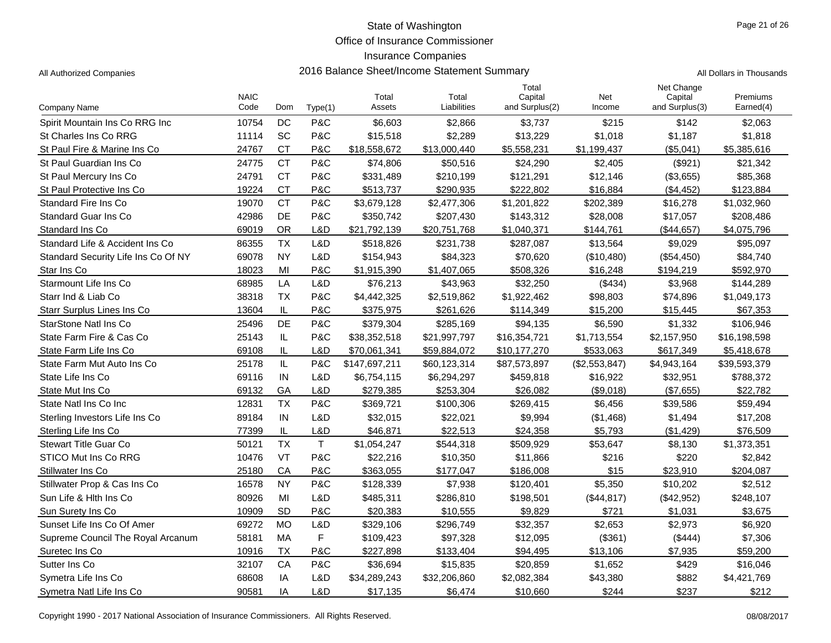Office of Insurance Commissioner

### Insurance Companies

|  | Il Dollars in Thousands |
|--|-------------------------|

|                                     | <b>NAIC</b> |           |             | Total         | Total        | Total<br>Capital | Net           | Net Change<br>Capital | Premiums     |
|-------------------------------------|-------------|-----------|-------------|---------------|--------------|------------------|---------------|-----------------------|--------------|
| <b>Company Name</b>                 | Code        | Dom       | Type(1)     | Assets        | Liabilities  | and Surplus(2)   | Income        | and Surplus(3)        | Earned(4)    |
| Spirit Mountain Ins Co RRG Inc      | 10754       | DC        | P&C         | \$6,603       | \$2,866      | \$3,737          | \$215         | \$142                 | \$2,063      |
| St Charles Ins Co RRG               | 11114       | SC        | P&C         | \$15,518      | \$2,289      | \$13,229         | \$1,018       | \$1,187               | \$1,818      |
| St Paul Fire & Marine Ins Co        | 24767       | <b>CT</b> | P&C         | \$18,558,672  | \$13,000,440 | \$5,558,231      | \$1,199,437   | (\$5,041)             | \$5,385,616  |
| St Paul Guardian Ins Co             | 24775       | <b>CT</b> | P&C         | \$74,806      | \$50,516     | \$24,290         | \$2,405       | (\$921)               | \$21,342     |
| St Paul Mercury Ins Co              | 24791       | <b>CT</b> | P&C         | \$331,489     | \$210,199    | \$121,291        | \$12,146      | (\$3,655)             | \$85,368     |
| St Paul Protective Ins Co           | 19224       | <b>CT</b> | P&C         | \$513,737     | \$290,935    | \$222,802        | \$16,884      | (\$4,452)             | \$123,884    |
| <b>Standard Fire Ins Co</b>         | 19070       | <b>CT</b> | P&C         | \$3,679,128   | \$2,477,306  | \$1,201,822      | \$202,389     | \$16,278              | \$1,032,960  |
| <b>Standard Guar Ins Co</b>         | 42986       | DE        | P&C         | \$350,742     | \$207,430    | \$143,312        | \$28,008      | \$17,057              | \$208,486    |
| Standard Ins Co                     | 69019       | <b>OR</b> | L&D         | \$21,792,139  | \$20,751,768 | \$1,040,371      | \$144,761     | (\$44,657)            | \$4,075,796  |
| Standard Life & Accident Ins Co.    | 86355       | <b>TX</b> | L&D         | \$518,826     | \$231,738    | \$287,087        | \$13,564      | \$9,029               | \$95,097     |
| Standard Security Life Ins Co Of NY | 69078       | <b>NY</b> | L&D         | \$154,943     | \$84,323     | \$70,620         | (\$10,480)    | (\$54,450)            | \$84,740     |
| Star Ins Co                         | 18023       | MI        | P&C         | \$1,915,390   | \$1,407,065  | \$508,326        | \$16,248      | \$194,219             | \$592,970    |
| Starmount Life Ins Co               | 68985       | LA        | L&D         | \$76,213      | \$43,963     | \$32,250         | (\$434)       | \$3,968               | \$144,289    |
| Starr Ind & Liab Co                 | 38318       | <b>TX</b> | P&C         | \$4,442,325   | \$2,519,862  | \$1,922,462      | \$98,803      | \$74,896              | \$1,049,173  |
| <b>Starr Surplus Lines Ins Co</b>   | 13604       | IL        | P&C         | \$375,975     | \$261,626    | \$114,349        | \$15,200      | \$15,445              | \$67,353     |
| StarStone Natl Ins Co               | 25496       | DE        | P&C         | \$379,304     | \$285,169    | \$94,135         | \$6,590       | \$1,332               | \$106,946    |
| State Farm Fire & Cas Co            | 25143       | IL        | P&C         | \$38,352,518  | \$21,997,797 | \$16,354,721     | \$1,713,554   | \$2,157,950           | \$16,198,598 |
| State Farm Life Ins Co              | 69108       | IL        | L&D         | \$70,061,341  | \$59,884,072 | \$10,177,270     | \$533,063     | \$617,349             | \$5,418,678  |
| State Farm Mut Auto Ins Co          | 25178       | IL        | P&C         | \$147,697,211 | \$60,123,314 | \$87,573,897     | (\$2,553,847) | \$4,943,164           | \$39,593,379 |
| State Life Ins Co                   | 69116       | IN        | L&D         | \$6,754,115   | \$6,294,297  | \$459,818        | \$16,922      | \$32,951              | \$788,372    |
| State Mut Ins Co                    | 69132       | GA        | L&D         | \$279,385     | \$253,304    | \$26.082         | (S9.018)      | (S7.655)              | \$22,782     |
| State Natl Ins Co Inc               | 12831       | <b>TX</b> | P&C         | \$369,721     | \$100,306    | \$269,415        | \$6,456       | \$39,586              | \$59,494     |
| Sterling Investors Life Ins Co      | 89184       | IN        | L&D         | \$32,015      | \$22,021     | \$9,994          | (\$1,468)     | \$1,494               | \$17,208     |
| Sterling Life Ins Co                | 77399       | IL        | L&D         | \$46,871      | \$22,513     | \$24,358         | \$5,793       | (\$1,429)             | \$76,509     |
| <b>Stewart Title Guar Co</b>        | 50121       | <b>TX</b> | $\mathsf T$ | \$1,054,247   | \$544,318    | \$509,929        | \$53,647      | \$8,130               | \$1,373,351  |
| <b>STICO Mut Ins Co RRG</b>         | 10476       | VT        | P&C         | \$22,216      | \$10,350     | \$11,866         | \$216         | \$220                 | \$2,842      |
| Stillwater Ins Co                   | 25180       | CA        | P&C         | \$363,055     | \$177,047    | \$186,008        | \$15          | \$23,910              | \$204.087    |
| Stillwater Prop & Cas Ins Co        | 16578       | <b>NY</b> | P&C         | \$128,339     | \$7,938      | \$120,401        | \$5,350       | \$10,202              | \$2,512      |
| Sun Life & Hith Ins Co              | 80926       | MI        | L&D         | \$485,311     | \$286,810    | \$198,501        | (\$44,817)    | (\$42,952)            | \$248,107    |
| Sun Surety Ins Co                   | 10909       | <b>SD</b> | P&C         | \$20.383      | \$10,555     | \$9.829          | \$721         | \$1,031               | \$3.675      |
| Sunset Life Ins Co Of Amer          | 69272       | <b>MO</b> | L&D         | \$329,106     | \$296,749    | \$32,357         | \$2,653       | \$2,973               | \$6,920      |
| Supreme Council The Royal Arcanum   | 58181       | MA        | F           | \$109,423     | \$97,328     | \$12,095         | (\$361)       | (\$444)               | \$7,306      |
| Suretec Ins Co.                     | 10916       | <b>TX</b> | P&C         | \$227,898     | \$133,404    | \$94,495         | \$13,106      | \$7,935               | \$59,200     |
| Sutter Ins Co                       | 32107       | CA        | P&C         | \$36,694      | \$15,835     | \$20,859         | \$1,652       | \$429                 | \$16,046     |
| Symetra Life Ins Co                 | 68608       | IA        | L&D         | \$34,289,243  | \$32,206,860 | \$2,082,384      | \$43,380      | \$882                 | \$4,421,769  |
| Symetra Natl Life Ins Co            | 90581       | IA        | L&D         | \$17,135      | \$6,474      | \$10,660         | \$244         | \$237                 | \$212        |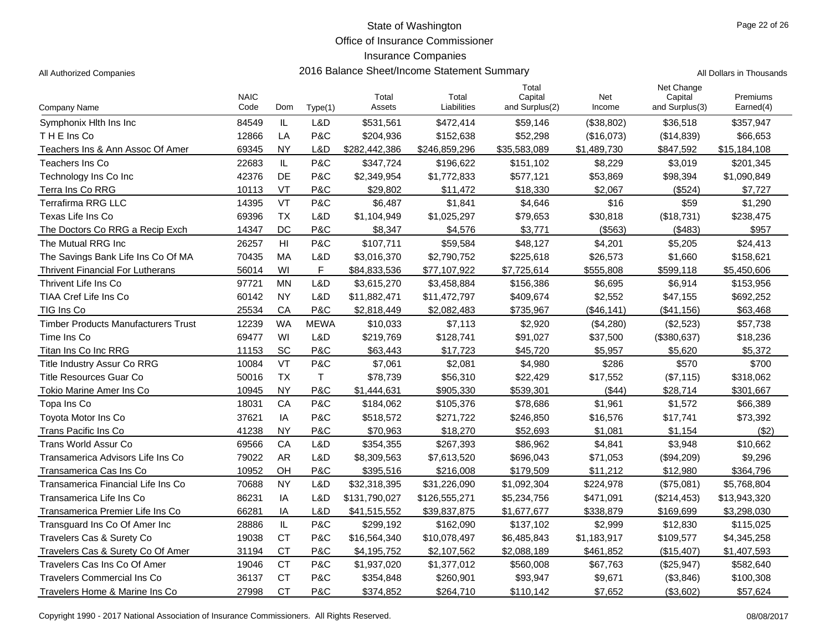Office of Insurance Commissioner

#### Insurance Companies

All Authorized Companies **2016 Balance Sheet/Income Statement Summary** All Authorized Companies

|  | Il Dollars in Thousands |
|--|-------------------------|
|  |                         |

|                                            | <b>NAIC</b> |                 |             | Total         | Total         | Total<br>Capital | Net         | Net Change<br>Capital | Premiums     |
|--------------------------------------------|-------------|-----------------|-------------|---------------|---------------|------------------|-------------|-----------------------|--------------|
| Company Name                               | Code        | Dom             | Type(1)     | Assets        | Liabilities   | and Surplus(2)   | Income      | and Surplus(3)        | Earned(4)    |
| Symphonix Hith Ins Inc                     | 84549       | IL              | L&D         | \$531,561     | \$472,414     | \$59,146         | (\$38,802)  | \$36,518              | \$357,947    |
| THE Ins Co                                 | 12866       | LA              | P&C         | \$204,936     | \$152,638     | \$52,298         | (\$16,073)  | (\$14,839)            | \$66,653     |
| Teachers Ins & Ann Assoc Of Amer           | 69345       | <b>NY</b>       | L&D         | \$282,442,386 | \$246,859,296 | \$35,583,089     | \$1,489,730 | \$847,592             | \$15,184,108 |
| Teachers Ins Co                            | 22683       | $\mathsf{IL}$   | P&C         | \$347,724     | \$196,622     | \$151,102        | \$8,229     | \$3,019               | \$201,345    |
| Technology Ins Co Inc                      | 42376       | <b>DE</b>       | P&C         | \$2,349,954   | \$1,772,833   | \$577,121        | \$53,869    | \$98,394              | \$1,090,849  |
| Terra Ins Co RRG                           | 10113       | <b>VT</b>       | P&C         | \$29.802      | \$11.472      | \$18,330         | \$2.067     | (\$524)               | \$7.727      |
| <b>Terrafirma RRG LLC</b>                  | 14395       | <b>VT</b>       | P&C         | \$6.487       | \$1,841       | \$4,646          | \$16        | \$59                  | \$1,290      |
| Texas Life Ins Co                          | 69396       | <b>TX</b>       | L&D         | \$1,104,949   | \$1,025,297   | \$79,653         | \$30,818    | (\$18,731)            | \$238,475    |
| The Doctors Co RRG a Recip Exch            | 14347       | DC              | P&C         | \$8,347       | \$4,576       | \$3,771          | (\$563)     | (\$483)               | \$957        |
| The Mutual RRG Inc                         | 26257       | H <sub>II</sub> | P&C         | \$107,711     | \$59,584      | \$48,127         | \$4,201     | \$5,205               | \$24,413     |
| The Savings Bank Life Ins Co Of MA         | 70435       | <b>MA</b>       | L&D         | \$3,016,370   | \$2,790,752   | \$225,618        | \$26,573    | \$1,660               | \$158,621    |
| <b>Thrivent Financial For Lutherans</b>    | 56014       | WI              | F           | \$84,833,536  | \$77,107,922  | \$7,725,614      | \$555,808   | \$599,118             | \$5,450,606  |
| Thrivent Life Ins Co.                      | 97721       | <b>MN</b>       | L&D         | \$3,615,270   | \$3,458,884   | \$156,386        | \$6,695     | \$6,914               | \$153,956    |
| TIAA Cref Life Ins Co                      | 60142       | <b>NY</b>       | L&D         | \$11,882,471  | \$11,472,797  | \$409,674        | \$2,552     | \$47,155              | \$692,252    |
| TIG Ins Co                                 | 25534       | CA              | P&C         | \$2,818,449   | \$2,082,483   | \$735,967        | (\$46,141)  | (\$41,156)            | \$63,468     |
| <b>Timber Products Manufacturers Trust</b> | 12239       | <b>WA</b>       | <b>MEWA</b> | \$10,033      | \$7,113       | \$2,920          | (\$4,280)   | (\$2,523)             | \$57,738     |
| Time Ins Co                                | 69477       | WI              | L&D         | \$219,769     | \$128,741     | \$91,027         | \$37,500    | (\$380,637)           | \$18,236     |
| Titan Ins Co Inc RRG                       | 11153       | <b>SC</b>       | P&C         | \$63,443      | \$17,723      | \$45,720         | \$5,957     | \$5,620               | \$5,372      |
| Title Industry Assur Co RRG                | 10084       | VT              | P&C         | \$7,061       | \$2,081       | \$4,980          | \$286       | \$570                 | \$700        |
| <b>Title Resources Guar Co</b>             | 50016       | <b>TX</b>       | $\mathsf T$ | \$78,739      | \$56,310      | \$22,429         | \$17,552    | (\$7,115)             | \$318,062    |
| Tokio Marine Amer Ins Co                   | 10945       | <b>NY</b>       | P&C         | \$1,444,631   | \$905,330     | \$539,301        | (\$44)      | \$28,714              | \$301,667    |
| Topa Ins Co                                | 18031       | CA              | P&C         | \$184,062     | \$105,376     | \$78,686         | \$1,961     | \$1,572               | \$66,389     |
| Tovota Motor Ins Co                        | 37621       | IA              | P&C         | \$518,572     | \$271,722     | \$246,850        | \$16,576    | \$17,741              | \$73,392     |
| Trans Pacific Ins Co                       | 41238       | <b>NY</b>       | P&C         | \$70.963      | \$18,270      | \$52.693         | \$1.081     | \$1,154               | (\$2)        |
| Trans World Assur Co                       | 69566       | CA              | L&D         | \$354,355     | \$267,393     | \$86,962         | \$4,841     | \$3,948               | \$10,662     |
| Transamerica Advisors Life Ins Co          | 79022       | <b>AR</b>       | L&D         | \$8,309,563   | \$7,613,520   | \$696,043        | \$71,053    | (\$94,209)            | \$9,296      |
| Transamerica Cas Ins Co                    | 10952       | OH              | P&C         | \$395,516     | \$216,008     | \$179,509        | \$11,212    | \$12,980              | \$364,796    |
| Transamerica Financial Life Ins Co         | 70688       | <b>NY</b>       | L&D         | \$32,318,395  | \$31,226,090  | \$1,092,304      | \$224,978   | (\$75,081)            | \$5,768,804  |
| Transamerica Life Ins Co                   | 86231       | IA              | L&D         | \$131,790,027 | \$126,555,271 | \$5,234,756      | \$471,091   | (\$214,453)           | \$13,943,320 |
| Transamerica Premier Life Ins Co           | 66281       | IA              | L&D         | \$41,515,552  | \$39,837,875  | \$1,677,677      | \$338,879   | \$169,699             | \$3,298,030  |
| Transguard Ins Co Of Amer Inc              | 28886       | $\mathsf{IL}$   | P&C         | \$299,192     | \$162,090     | \$137,102        | \$2,999     | \$12,830              | \$115,025    |
| Travelers Cas & Surety Co                  | 19038       | <b>CT</b>       | P&C         | \$16,564,340  | \$10,078,497  | \$6,485,843      | \$1,183,917 | \$109,577             | \$4,345,258  |
| Travelers Cas & Surety Co Of Amer          | 31194       | <b>CT</b>       | P&C         | \$4,195,752   | \$2,107,562   | \$2,088,189      | \$461,852   | (\$15,407)            | \$1,407,593  |
| Travelers Cas Ins Co Of Amer               | 19046       | <b>CT</b>       | P&C         | \$1,937,020   | \$1,377,012   | \$560,008        | \$67,763    | (\$25,947)            | \$582,640    |
| <b>Travelers Commercial Ins Co</b>         | 36137       | <b>CT</b>       | P&C         | \$354,848     | \$260,901     | \$93,947         | \$9,671     | (\$3,846)             | \$100,308    |
| Travelers Home & Marine Ins Co             | 27998       | <b>CT</b>       | P&C         | \$374,852     | \$264,710     | \$110,142        | \$7,652     | (\$3,602)             | \$57,624     |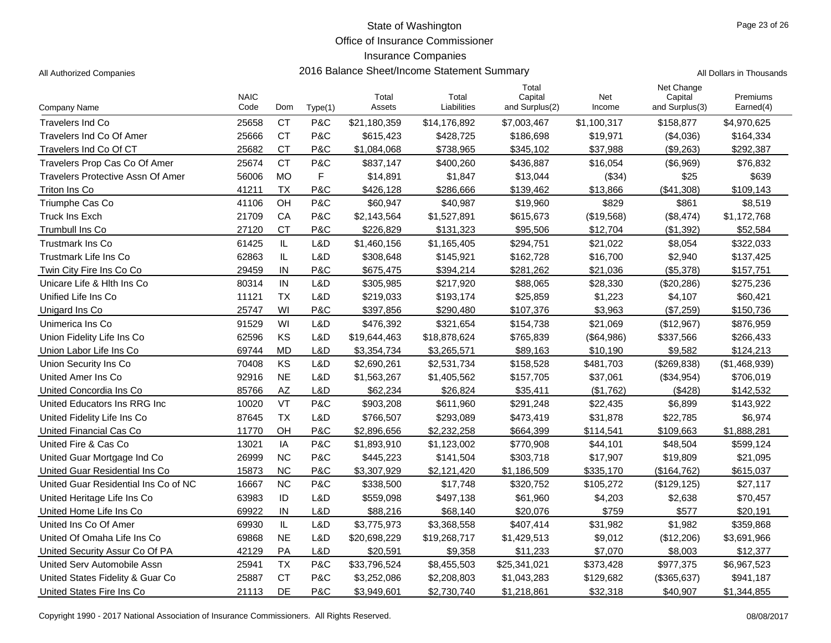Office of Insurance Commissioner

### Insurance Companies

All Authorized Companies **2016 Balance Sheet/Income Statement Summary** A

|  | All Dollars in Thousands |
|--|--------------------------|
|  |                          |

|                                          | <b>NAIC</b> |           |         | Total        | Total        | Total<br>Capital | Net         | Net Change<br>Capital | Premiums      |
|------------------------------------------|-------------|-----------|---------|--------------|--------------|------------------|-------------|-----------------------|---------------|
| Company Name                             | Code        | Dom       | Type(1) | Assets       | Liabilities  | and Surplus(2)   | Income      | and Surplus(3)        | Earned(4)     |
| <b>Travelers Ind Co</b>                  | 25658       | <b>CT</b> | P&C     | \$21,180,359 | \$14,176,892 | \$7,003,467      | \$1,100,317 | \$158,877             | \$4,970,625   |
| Travelers Ind Co Of Amer                 | 25666       | <b>CT</b> | P&C     | \$615,423    | \$428,725    | \$186,698        | \$19,971    | (\$4,036)             | \$164,334     |
| Travelers Ind Co Of CT                   | 25682       | <b>CT</b> | P&C     | \$1,084,068  | \$738,965    | \$345,102        | \$37,988    | (\$9,263)             | \$292,387     |
| Travelers Prop Cas Co Of Amer            | 25674       | <b>CT</b> | P&C     | \$837,147    | \$400,260    | \$436,887        | \$16,054    | (\$6,969)             | \$76,832      |
| <b>Travelers Protective Assn Of Amer</b> | 56006       | <b>MO</b> | F       | \$14,891     | \$1,847      | \$13,044         | (\$34)      | \$25                  | \$639         |
| Triton Ins Co                            | 41211       | <b>TX</b> | P&C     | \$426.128    | \$286,666    | \$139,462        | \$13,866    | (\$41,308)            | \$109,143     |
| Triumphe Cas Co                          | 41106       | OH        | P&C     | \$60,947     | \$40,987     | \$19,960         | \$829       | \$861                 | \$8,519       |
| <b>Truck Ins Exch</b>                    | 21709       | CA        | P&C     | \$2,143,564  | \$1,527,891  | \$615,673        | (\$19,568)  | (\$8,474)             | \$1,172,768   |
| <b>Trumbull Ins Co</b>                   | 27120       | <b>CT</b> | P&C     | \$226,829    | \$131,323    | \$95,506         | \$12,704    | (\$1,392)             | \$52,584      |
| <b>Trustmark Ins Co</b>                  | 61425       | IL        | L&D     | \$1,460,156  | \$1,165,405  | \$294,751        | \$21,022    | \$8,054               | \$322,033     |
| Trustmark Life Ins Co                    | 62863       | IL        | L&D     | \$308,648    | \$145,921    | \$162,728        | \$16,700    | \$2,940               | \$137,425     |
| Twin City Fire Ins Co Co                 | 29459       | IN        | P&C     | \$675,475    | \$394,214    | \$281,262        | \$21,036    | (\$5,378)             | \$157,751     |
| Unicare Life & Hith Ins Co.              | 80314       | IN        | L&D     | \$305,985    | \$217,920    | \$88,065         | \$28,330    | (\$20,286)            | \$275,236     |
| Unified Life Ins Co.                     | 11121       | <b>TX</b> | L&D     | \$219,033    | \$193,174    | \$25,859         | \$1,223     | \$4,107               | \$60,421      |
| Unigard Ins Co.                          | 25747       | WI        | P&C     | \$397,856    | \$290,480    | \$107,376        | \$3,963     | (\$7,259)             | \$150,736     |
| Unimerica Ins Co                         | 91529       | WI        | L&D     | \$476,392    | \$321,654    | \$154,738        | \$21,069    | (\$12,967)            | \$876,959     |
| Union Fidelity Life Ins Co               | 62596       | KS        | L&D     | \$19,644,463 | \$18,878,624 | \$765,839        | (\$64,986)  | \$337,566             | \$266,433     |
| Union Labor Life Ins Co                  | 69744       | <b>MD</b> | L&D     | \$3,354,734  | \$3,265,571  | \$89,163         | \$10,190    | \$9,582               | \$124,213     |
| Union Security Ins Co                    | 70408       | KS        | L&D     | \$2,690,261  | \$2,531,734  | \$158,528        | \$481,703   | (\$269,838)           | (\$1,468,939) |
| United Amer Ins Co                       | 92916       | <b>NE</b> | L&D     | \$1,563,267  | \$1,405,562  | \$157,705        | \$37,061    | (\$34,954)            | \$706,019     |
| United Concordia Ins Co                  | 85766       | <b>AZ</b> | L&D     | \$62.234     | \$26,824     | \$35.411         | (S1.762)    | (\$428)               | \$142,532     |
| United Educators Ins RRG Inc.            | 10020       | <b>VT</b> | P&C     | \$903,208    | \$611,960    | \$291,248        | \$22,435    | \$6,899               | \$143,922     |
| United Fidelity Life Ins Co              | 87645       | <b>TX</b> | L&D     | \$766,507    | \$293,089    | \$473,419        | \$31,878    | \$22,785              | \$6,974       |
| United Financial Cas Co                  | 11770       | OH        | P&C     | \$2,896,656  | \$2,232,258  | \$664,399        | \$114,541   | \$109,663             | \$1,888,281   |
| United Fire & Cas Co                     | 13021       | IA        | P&C     | \$1,893,910  | \$1,123,002  | \$770,908        | \$44,101    | \$48,504              | \$599,124     |
| United Guar Mortgage Ind Co              | 26999       | <b>NC</b> | P&C     | \$445,223    | \$141,504    | \$303,718        | \$17,907    | \$19,809              | \$21,095      |
| United Guar Residential Ins Co.          | 15873       | <b>NC</b> | P&C     | \$3,307,929  | \$2,121,420  | \$1,186,509      | \$335,170   | (\$164, 762)          | \$615,037     |
| United Guar Residential Ins Co of NC     | 16667       | <b>NC</b> | P&C     | \$338,500    | \$17,748     | \$320,752        | \$105,272   | (\$129, 125)          | \$27,117      |
| United Heritage Life Ins Co              | 63983       | ID        | L&D     | \$559,098    | \$497,138    | \$61,960         | \$4,203     | \$2,638               | \$70,457      |
| United Home Life Ins Co                  | 69922       | $\sf IN$  | L&D     | \$88,216     | \$68,140     | \$20,076         | \$759       | \$577                 | \$20,191      |
| United Ins Co Of Amer                    | 69930       | IL.       | L&D     | \$3,775,973  | \$3,368,558  | \$407,414        | \$31,982    | \$1,982               | \$359,868     |
| United Of Omaha Life Ins Co.             | 69868       | <b>NE</b> | L&D     | \$20,698,229 | \$19,268,717 | \$1,429,513      | \$9,012     | (\$12,206)            | \$3,691,966   |
| United Security Assur Co Of PA           | 42129       | PA        | L&D     | \$20.591     | \$9,358      | \$11,233         | \$7,070     | \$8,003               | \$12,377      |
| United Serv Automobile Assn              | 25941       | <b>TX</b> | P&C     | \$33,796,524 | \$8,455,503  | \$25,341,021     | \$373,428   | \$977,375             | \$6,967,523   |
| United States Fidelity & Guar Co         | 25887       | <b>CT</b> | P&C     | \$3,252,086  | \$2,208,803  | \$1,043,283      | \$129,682   | (\$365,637)           | \$941,187     |
| United States Fire Ins Co.               | 21113       | DE        | P&C     | \$3,949,601  | \$2,730,740  | \$1,218,861      | \$32,318    | \$40,907              | \$1,344,855   |

Copyright 1990 - 2017 National Association of Insurance Commissioners. All Rights Reserved. 08/08/2017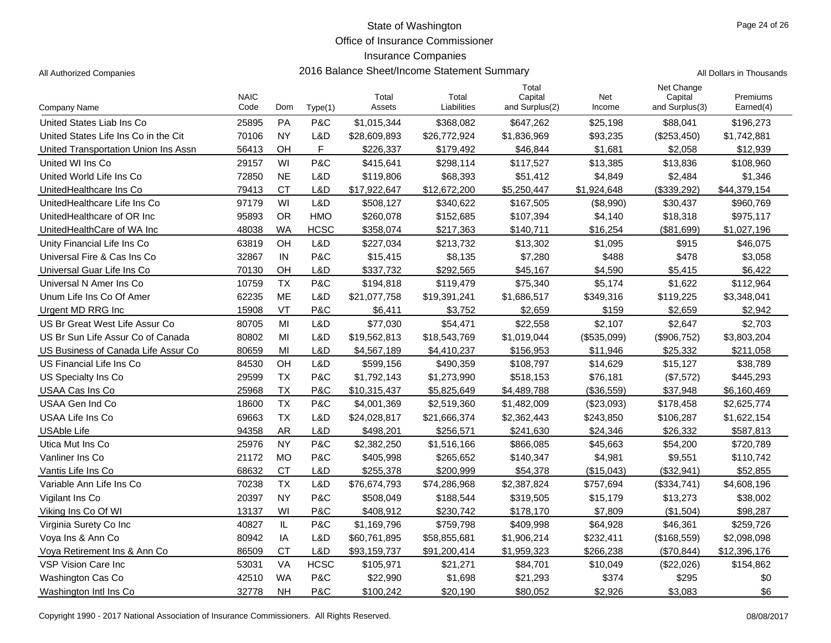Office of Insurance Commissioner

### Insurance Companies

|                                      | <b>NAIC</b> |               |             | Total        | Total        | Total<br>Capital | Net         | Net Change<br>Capital | Premiums     |
|--------------------------------------|-------------|---------------|-------------|--------------|--------------|------------------|-------------|-----------------------|--------------|
| Company Name                         | Code        | Dom           | Type(1)     | Assets       | Liabilities  | and Surplus(2)   | Income      | and Surplus(3)        | Earned(4)    |
| United States Liab Ins Co            | 25895       | PA            | P&C         | \$1,015,344  | \$368,082    | \$647,262        | \$25,198    | \$88,041              | \$196,273    |
| United States Life Ins Co in the Cit | 70106       | <b>NY</b>     | L&D         | \$28,609,893 | \$26,772,924 | \$1,836,969      | \$93,235    | (\$253,450)           | \$1,742,881  |
| United Transportation Union Ins Assn | 56413       | OH            | F           | \$226,337    | \$179,492    | \$46,844         | \$1,681     | \$2,058               | \$12,939     |
| United WI Ins Co                     | 29157       | WI            | P&C         | \$415,641    | \$298,114    | \$117,527        | \$13,385    | \$13,836              | \$108,960    |
| United World Life Ins Co             | 72850       | <b>NE</b>     | L&D         | \$119,806    | \$68,393     | \$51,412         | \$4,849     | \$2,484               | \$1,346      |
| UnitedHealthcare Ins Co              | 79413       | <b>CT</b>     | L&D         | \$17,922,647 | \$12,672,200 | \$5,250,447      | \$1,924,648 | (\$339,292)           | \$44,379,154 |
| UnitedHealthcare Life Ins Co         | 97179       | WI            | L&D         | \$508,127    | \$340,622    | \$167,505        | (\$8,990)   | \$30,437              | \$960,769    |
| UnitedHealthcare of OR Inc           | 95893       | <b>OR</b>     | <b>HMO</b>  | \$260,078    | \$152,685    | \$107,394        | \$4,140     | \$18,318              | \$975,117    |
| UnitedHealthCare of WA Inc           | 48038       | <b>WA</b>     | <b>HCSC</b> | \$358,074    | \$217,363    | \$140,711        | \$16,254    | (\$81,699)            | \$1,027,196  |
| Unity Financial Life Ins Co          | 63819       | <b>OH</b>     | L&D         | \$227,034    | \$213,732    | \$13,302         | \$1,095     | \$915                 | \$46,075     |
| Universal Fire & Cas Ins Co          | 32867       | IN            | P&C         | \$15,415     | \$8,135      | \$7,280          | \$488       | \$478                 | \$3,058      |
| Universal Guar Life Ins Co           | 70130       | OH            | L&D         | \$337,732    | \$292,565    | \$45,167         | \$4,590     | \$5,415               | \$6,422      |
| Universal N Amer Ins Co              | 10759       | <b>TX</b>     | P&C         | \$194,818    | \$119,479    | \$75,340         | \$5,174     | \$1,622               | \$112,964    |
| Unum Life Ins Co Of Amer             | 62235       | <b>ME</b>     | L&D         | \$21,077,758 | \$19,391,241 | \$1,686,517      | \$349,316   | \$119,225             | \$3,348,041  |
| Urgent MD RRG Inc                    | 15908       | VT            | P&C         | \$6,411      | \$3.752      | \$2.659          | \$159       | \$2.659               | \$2,942      |
| US Br Great West Life Assur Co       | 80705       | MI            | L&D         | \$77,030     | \$54,471     | \$22,558         | \$2,107     | \$2,647               | \$2,703      |
| US Br Sun Life Assur Co of Canada    | 80802       | MI            | L&D         | \$19,562,813 | \$18,543,769 | \$1,019,044      | (\$535,099) | (\$906,752)           | \$3,803,204  |
| US Business of Canada Life Assur Co  | 80659       | MI            | L&D         | \$4,567,189  | \$4,410,237  | \$156,953        | \$11,946    | \$25,332              | \$211,058    |
| US Financial Life Ins Co             | 84530       | OH            | L&D         | \$599,156    | \$490,359    | \$108,797        | \$14,629    | \$15,127              | \$38,789     |
| US Specialty Ins Co                  | 29599       | <b>TX</b>     | P&C         | \$1,792,143  | \$1,273,990  | \$518,153        | \$76,181    | (\$7,572)             | \$445,293    |
| USAA Cas Ins Co                      | 25968       | <b>TX</b>     | P&C         | \$10,315,437 | \$5,825,649  | \$4,489,788      | (\$36,559)  | \$37,948              | \$6,160,469  |
| USAA Gen Ind Co                      | 18600       | <b>TX</b>     | P&C         | \$4,001,369  | \$2,519,360  | \$1,482,009      | (\$23,093)  | \$178,458             | \$2,625,774  |
| USAA Life Ins Co                     | 69663       | <b>TX</b>     | L&D         | \$24,028,817 | \$21,666,374 | \$2,362,443      | \$243,850   | \$106,287             | \$1,622,154  |
| <b>USAble Life</b>                   | 94358       | <b>AR</b>     | L&D         | \$498.201    | \$256,571    | \$241.630        | \$24.346    | \$26.332              | \$587,813    |
| Utica Mut Ins Co                     | 25976       | <b>NY</b>     | P&C         | \$2,382,250  | \$1,516,166  | \$866,085        | \$45,663    | \$54,200              | \$720,789    |
| Vanliner Ins Co                      | 21172       | <b>MO</b>     | P&C         | \$405,998    | \$265,652    | \$140,347        | \$4,981     | \$9,551               | \$110,742    |
| Vantis Life Ins Co                   | 68632       | <b>CT</b>     | L&D         | \$255,378    | \$200,999    | \$54,378         | (\$15,043)  | (\$32,941)            | \$52,855     |
| Variable Ann Life Ins Co             | 70238       | <b>TX</b>     | L&D         | \$76,674,793 | \$74,286,968 | \$2,387,824      | \$757,694   | (\$334,741)           | \$4,608,196  |
| Vigilant Ins Co                      | 20397       | <b>NY</b>     | P&C         | \$508,049    | \$188,544    | \$319,505        | \$15,179    | \$13,273              | \$38,002     |
| Viking Ins Co Of WI                  | 13137       | WI            | P&C         | \$408,912    | \$230,742    | \$178,170        | \$7,809     | (\$1,504)             | \$98,287     |
| Virginia Surety Co Inc               | 40827       | $\mathsf{IL}$ | P&C         | \$1,169,796  | \$759,798    | \$409,998        | \$64,928    | \$46,361              | \$259,726    |
| Voya Ins & Ann Co                    | 80942       | IA            | L&D         | \$60,761,895 | \$58,855,681 | \$1,906,214      | \$232,411   | (\$168,559)           | \$2,098,098  |
| Voya Retirement Ins & Ann Co         | 86509       | <b>CT</b>     | L&D         | \$93,159,737 | \$91,200,414 | \$1,959,323      | \$266,238   | (\$70,844)            | \$12,396,176 |
| VSP Vision Care Inc.                 | 53031       | <b>VA</b>     | <b>HCSC</b> | \$105,971    | \$21,271     | \$84,701         | \$10,049    | (\$22,026)            | \$154,862    |
| Washington Cas Co                    | 42510       | <b>WA</b>     | P&C         | \$22,990     | \$1,698      | \$21,293         | \$374       | \$295                 | \$0          |
| Washington Intl Ins Co               | 32778       | <b>NH</b>     | P&C         | \$100,242    | \$20,190     | \$80,052         | \$2,926     | \$3,083               | \$6          |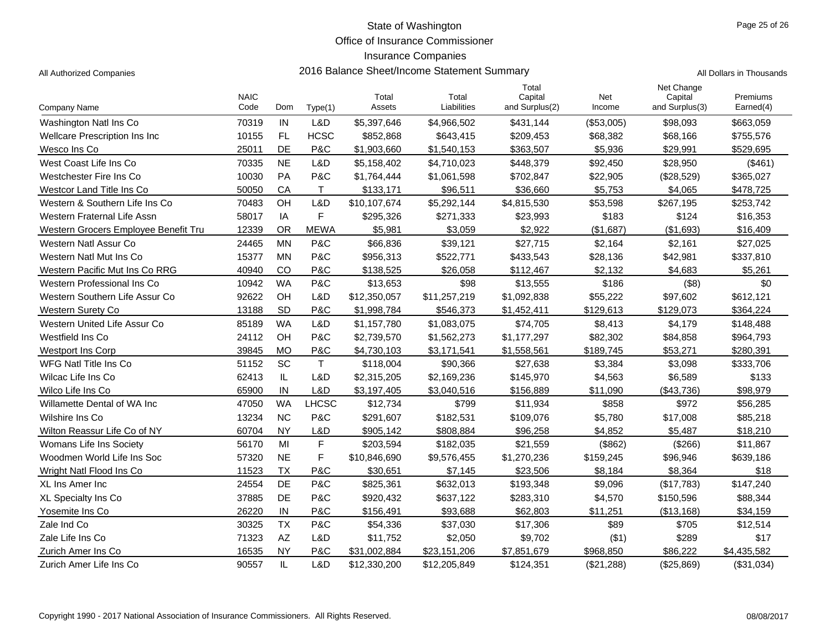Office of Insurance Commissioner

### Insurance Companies

|  | ll Dollars in Thousand |
|--|------------------------|
|  |                        |

|                                      |                     |           |              |                 |                      | Total                     |               | Net Change                |                       |
|--------------------------------------|---------------------|-----------|--------------|-----------------|----------------------|---------------------------|---------------|---------------------------|-----------------------|
| <b>Company Name</b>                  | <b>NAIC</b><br>Code | Dom       | Type(1)      | Total<br>Assets | Total<br>Liabilities | Capital<br>and Surplus(2) | Net<br>Income | Capital<br>and Surplus(3) | Premiums<br>Earned(4) |
| Washington Natl Ins Co               | 70319               | IN        | L&D          | \$5,397,646     | \$4,966,502          | \$431,144                 | (\$53,005)    | \$98,093                  | \$663,059             |
| Wellcare Prescription Ins Inc        | 10155               | FL        | <b>HCSC</b>  | \$852,868       | \$643,415            | \$209,453                 | \$68,382      | \$68,166                  | \$755,576             |
| Wesco Ins Co                         | 25011               | DE        | P&C          | \$1,903,660     | \$1,540,153          | \$363,507                 | \$5,936       | \$29,991                  | \$529,695             |
| West Coast Life Ins Co               | 70335               | <b>NE</b> | L&D          | \$5,158,402     | \$4,710,023          | \$448,379                 | \$92,450      | \$28,950                  | (S461)                |
| Westchester Fire Ins Co              | 10030               | PA        | P&C          | \$1,764,444     | \$1,061,598          | \$702,847                 | \$22,905      | (\$28,529)                | \$365,027             |
| Westcor Land Title Ins Co            | 50050               | CA        | T.           | \$133,171       | \$96,511             | \$36,660                  | \$5,753       | \$4,065                   | \$478,725             |
| Western & Southern Life Ins Co       | 70483               | OH        | L&D          | \$10,107,674    | \$5,292,144          | \$4,815,530               | \$53,598      | \$267,195                 | \$253,742             |
| Western Fraternal Life Assn          | 58017               | IA        | F            | \$295,326       | \$271,333            | \$23,993                  | \$183         | \$124                     | \$16,353              |
| Western Grocers Employee Benefit Tru | 12339               | <b>OR</b> | <b>MEWA</b>  | \$5,981         | \$3,059              | \$2,922                   | (\$1,687)     | (\$1,693)                 | \$16,409              |
| Western Natl Assur Co                | 24465               | <b>MN</b> | P&C          | \$66,836        | \$39,121             | \$27,715                  | \$2,164       | \$2,161                   | \$27,025              |
| Western Natl Mut Ins Co              | 15377               | <b>MN</b> | P&C          | \$956,313       | \$522,771            | \$433,543                 | \$28,136      | \$42,981                  | \$337,810             |
| Western Pacific Mut Ins Co RRG       | 40940               | CO        | P&C          | \$138,525       | \$26,058             | \$112,467                 | \$2,132       | \$4,683                   | \$5,261               |
| Western Professional Ins Co          | 10942               | <b>WA</b> | P&C          | \$13,653        | \$98                 | \$13,555                  | \$186         | ( \$8)                    | \$0                   |
| Western Southern Life Assur Co       | 92622               | OH        | L&D          | \$12,350,057    | \$11,257,219         | \$1,092,838               | \$55,222      | \$97,602                  | \$612,121             |
| <b>Western Surety Co</b>             | 13188               | SD        | P&C          | \$1,998,784     | \$546,373            | \$1,452,411               | \$129,613     | \$129,073                 | \$364,224             |
| Western United Life Assur Co         | 85189               | <b>WA</b> | L&D          | \$1,157,780     | \$1,083,075          | \$74,705                  | \$8,413       | \$4,179                   | \$148,488             |
| Westfield Ins Co.                    | 24112               | OH        | P&C          | \$2,739,570     | \$1,562,273          | \$1,177,297               | \$82,302      | \$84,858                  | \$964,793             |
| <b>Westport Ins Corp</b>             | 39845               | <b>MO</b> | P&C          | \$4,730,103     | \$3,171,541          | \$1,558,561               | \$189,745     | \$53,271                  | \$280,391             |
| <b>WFG Natl Title Ins Co</b>         | 51152               | SC        | $\mathsf T$  | \$118,004       | \$90,366             | \$27,638                  | \$3,384       | \$3,098                   | \$333,706             |
| Wilcac Life Ins Co                   | 62413               | IL.       | L&D          | \$2,315,205     | \$2,169,236          | \$145,970                 | \$4,563       | \$6,589                   | \$133                 |
| Wilco Life Ins Co                    | 65900               | IN        | L&D          | \$3,197,405     | \$3,040,516          | \$156,889                 | \$11,090      | (\$43,736)                | \$98,979              |
| Willamette Dental of WA Inc          | 47050               | <b>WA</b> | <b>LHCSC</b> | \$12,734        | \$799                | \$11,934                  | \$858         | \$972                     | \$56,285              |
| Wilshire Ins Co                      | 13234               | <b>NC</b> | P&C          | \$291,607       | \$182,531            | \$109,076                 | \$5,780       | \$17,008                  | \$85,218              |
| Wilton Reassur Life Co of NY         | 60704               | <b>NY</b> | L&D          | \$905,142       | \$808,884            | \$96,258                  | \$4,852       | \$5,487                   | \$18,210              |
| Womans Life Ins Society              | 56170               | MI        | $\mathsf F$  | \$203,594       | \$182,035            | \$21,559                  | (\$862)       | (\$266)                   | \$11,867              |
| Woodmen World Life Ins Soc           | 57320               | <b>NE</b> | F            | \$10,846,690    | \$9,576,455          | \$1,270,236               | \$159,245     | \$96,946                  | \$639,186             |
| Wright Natl Flood Ins Co             | 11523               | <b>TX</b> | P&C          | \$30,651        | \$7,145              | \$23,506                  | \$8,184       | \$8,364                   | \$18                  |
| XL Ins Amer Inc                      | 24554               | DE        | P&C          | \$825,361       | \$632,013            | \$193,348                 | \$9,096       | (\$17,783)                | \$147,240             |
| XL Specialty Ins Co                  | 37885               | DE        | P&C          | \$920,432       | \$637,122            | \$283,310                 | \$4,570       | \$150,596                 | \$88,344              |
| Yosemite Ins Co                      | 26220               | IN        | P&C          | \$156.491       | \$93,688             | \$62,803                  | \$11,251      | (\$13,168)                | \$34,159              |
| Zale Ind Co                          | 30325               | <b>TX</b> | P&C          | \$54,336        | \$37,030             | \$17,306                  | \$89          | \$705                     | \$12,514              |
| Zale Life Ins Co                     | 71323               | AZ        | L&D          | \$11,752        | \$2,050              | \$9,702                   | (\$1)         | \$289                     | \$17                  |
| Zurich Amer Ins Co                   | 16535               | <b>NY</b> | P&C          | \$31,002,884    | \$23,151,206         | \$7,851,679               | \$968,850     | \$86,222                  | \$4,435,582           |
| Zurich Amer Life Ins Co              | 90557               | IL        | L&D          | \$12,330,200    | \$12,205,849         | \$124,351                 | (\$21,288)    | (\$25,869)                | (\$31,034)            |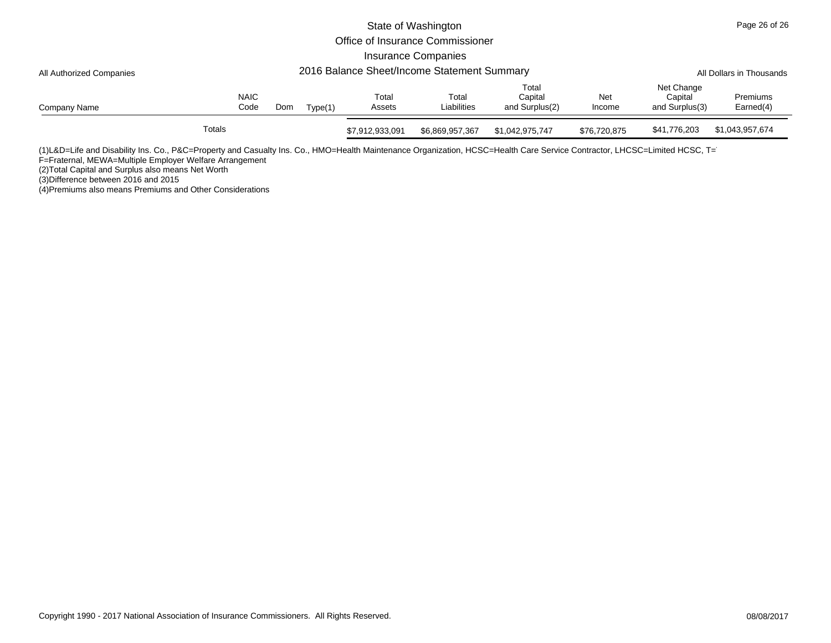|                          |        |                     |                          |         |                 | State of Washington              |                                    |               |                                         | Page 26 of 26         |
|--------------------------|--------|---------------------|--------------------------|---------|-----------------|----------------------------------|------------------------------------|---------------|-----------------------------------------|-----------------------|
|                          |        |                     |                          |         |                 | Office of Insurance Commissioner |                                    |               |                                         |                       |
|                          |        |                     |                          |         |                 | <b>Insurance Companies</b>       |                                    |               |                                         |                       |
| All Authorized Companies |        |                     | All Dollars in Thousands |         |                 |                                  |                                    |               |                                         |                       |
| Company Name             |        | <b>NAIC</b><br>Code | Dom                      | Type(1) | Total<br>Assets | Total<br>Liabilities             | Total<br>Capital<br>and Surplus(2) | Net<br>Income | Net Change<br>Capital<br>and Surplus(3) | Premiums<br>Earned(4) |
|                          | Totals |                     |                          |         | \$7,912,933,091 | \$6,869,957,367                  | \$1,042,975,747                    | \$76,720,875  | \$41,776,203                            | \$1,043,957,674       |

(1)L&D=Life and Disability Ins. Co., P&C=Property and Casualty Ins. Co., HMO=Health Maintenance Organization, HCSC=Health Care Service Contractor, LHCSC=Limited HCSC, T=

F=Fraternal, MEWA=Multiple Employer Welfare Arrangement

(2)Total Capital and Surplus also means Net Worth

(3)Difference between 2016 and 2015 (4)Premiums also means Premiums and Other Considerations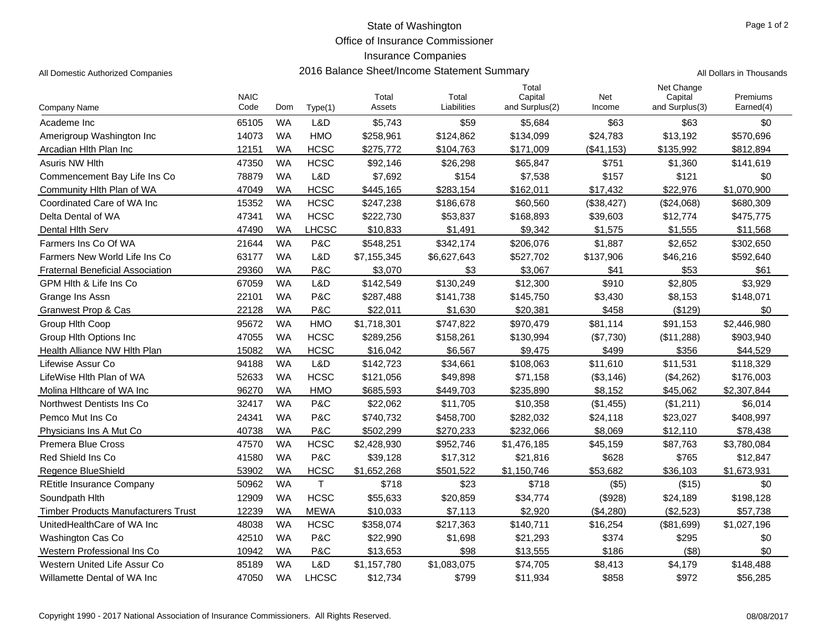Office of Insurance Commissioner

### Insurance Companies

|                                            | <b>NAIC</b> |           |              | Total       | Total       | Total<br>Capital | Net         | Net Change<br>Capital | Premiums    |
|--------------------------------------------|-------------|-----------|--------------|-------------|-------------|------------------|-------------|-----------------------|-------------|
| Company Name                               | Code        | Dom       | Type(1)      | Assets      | Liabilities | and Surplus(2)   | Income      | and Surplus(3)        | Earned(4)   |
| Academe Inc                                | 65105       | <b>WA</b> | L&D          | \$5,743     | \$59        | \$5,684          | \$63        | \$63                  | \$0         |
| Amerigroup Washington Inc                  | 14073       | <b>WA</b> | <b>HMO</b>   | \$258,961   | \$124,862   | \$134,099        | \$24,783    | \$13,192              | \$570,696   |
| Arcadian Hlth Plan Inc                     | 12151       | WA        | <b>HCSC</b>  | \$275,772   | \$104,763   | \$171,009        | (\$41, 153) | \$135,992             | \$812,894   |
| <b>Asuris NW Hith</b>                      | 47350       | <b>WA</b> | <b>HCSC</b>  | \$92,146    | \$26,298    | \$65,847         | \$751       | \$1,360               | \$141,619   |
| Commencement Bay Life Ins Co               | 78879       | <b>WA</b> | L&D          | \$7,692     | \$154       | \$7,538          | \$157       | \$121                 | \$0         |
| Community Hith Plan of WA                  | 47049       | <b>WA</b> | <b>HCSC</b>  | \$445,165   | \$283,154   | \$162,011        | \$17,432    | \$22,976              | \$1,070,900 |
| Coordinated Care of WA Inc                 | 15352       | <b>WA</b> | <b>HCSC</b>  | \$247,238   | \$186,678   | \$60,560         | (\$38,427)  | (\$24,068)            | \$680,309   |
| Delta Dental of WA                         | 47341       | <b>WA</b> | <b>HCSC</b>  | \$222,730   | \$53,837    | \$168,893        | \$39,603    | \$12,774              | \$475,775   |
| Dental Hith Serv                           | 47490       | <b>WA</b> | <b>LHCSC</b> | \$10,833    | \$1,491     | \$9,342          | \$1,575     | \$1,555               | \$11,568    |
| Farmers Ins Co Of WA                       | 21644       | <b>WA</b> | P&C          | \$548,251   | \$342,174   | \$206,076        | \$1,887     | \$2,652               | \$302,650   |
| Farmers New World Life Ins Co              | 63177       | <b>WA</b> | L&D          | \$7,155,345 | \$6,627,643 | \$527,702        | \$137,906   | \$46,216              | \$592,640   |
| <b>Fraternal Beneficial Association</b>    | 29360       | <b>WA</b> | P&C          | \$3,070     | \$3         | \$3,067          | \$41        | \$53                  | \$61        |
| GPM Hith & Life Ins Co                     | 67059       | <b>WA</b> | L&D          | \$142,549   | \$130,249   | \$12,300         | \$910       | \$2,805               | \$3,929     |
| Grange Ins Assn                            | 22101       | <b>WA</b> | P&C          | \$287,488   | \$141,738   | \$145,750        | \$3,430     | \$8,153               | \$148,071   |
| Granwest Prop & Cas                        | 22128       | <b>WA</b> | P&C          | \$22,011    | \$1,630     | \$20,381         | \$458       | (\$129)               | \$0         |
| Group Hith Coop                            | 95672       | <b>WA</b> | <b>HMO</b>   | \$1,718,301 | \$747,822   | \$970,479        | \$81,114    | \$91,153              | \$2,446,980 |
| Group Hith Options Inc                     | 47055       | <b>WA</b> | <b>HCSC</b>  | \$289,256   | \$158,261   | \$130,994        | (\$7,730)   | (\$11,288)            | \$903,940   |
| Health Alliance NW Hlth Plan               | 15082       | <b>WA</b> | <b>HCSC</b>  | \$16,042    | \$6,567     | \$9,475          | \$499       | \$356                 | \$44,529    |
| Lifewise Assur Co                          | 94188       | <b>WA</b> | L&D          | \$142,723   | \$34,661    | \$108,063        | \$11,610    | \$11,531              | \$118,329   |
| LifeWise Hith Plan of WA                   | 52633       | <b>WA</b> | <b>HCSC</b>  | \$121,056   | \$49,898    | \$71,158         | (\$3,146)   | (\$4,262)             | \$176,003   |
| Molina Hithcare of WA Inc                  | 96270       | <b>WA</b> | <b>HMO</b>   | \$685,593   | \$449,703   | \$235,890        | \$8,152     | \$45,062              | \$2,307,844 |
| Northwest Dentists Ins Co.                 | 32417       | <b>WA</b> | P&C          | \$22,062    | \$11,705    | \$10,358         | (\$1,455)   | (\$1,211)             | \$6,014     |
| Pemco Mut Ins Co                           | 24341       | <b>WA</b> | P&C          | \$740,732   | \$458,700   | \$282,032        | \$24,118    | \$23,027              | \$408,997   |
| Physicians Ins A Mut Co                    | 40738       | <b>WA</b> | P&C          | \$502,299   | \$270,233   | \$232,066        | \$8,069     | \$12,110              | \$78,438    |
| <b>Premera Blue Cross</b>                  | 47570       | <b>WA</b> | <b>HCSC</b>  | \$2,428,930 | \$952,746   | \$1,476,185      | \$45,159    | \$87,763              | \$3,780,084 |
| Red Shield Ins Co                          | 41580       | <b>WA</b> | P&C          | \$39,128    | \$17,312    | \$21,816         | \$628       | \$765                 | \$12,847    |
| <b>Regence BlueShield</b>                  | 53902       | <b>WA</b> | <b>HCSC</b>  | \$1,652,268 | \$501.522   | \$1,150,746      | \$53,682    | \$36,103              | \$1,673,931 |
| <b>REtitle Insurance Company</b>           | 50962       | <b>WA</b> | T            | \$718       | \$23        | \$718            | ( \$5)      | (\$15)                | \$0         |
| Soundpath Hith                             | 12909       | <b>WA</b> | <b>HCSC</b>  | \$55,633    | \$20,859    | \$34,774         | (\$928)     | \$24,189              | \$198,128   |
| <b>Timber Products Manufacturers Trust</b> | 12239       | <b>WA</b> | <b>MEWA</b>  | \$10,033    | \$7,113     | \$2,920          | (\$4,280)   | (\$2,523)             | \$57,738    |
| UnitedHealthCare of WA Inc                 | 48038       | <b>WA</b> | <b>HCSC</b>  | \$358,074   | \$217,363   | \$140,711        | \$16,254    | (\$81,699)            | \$1,027,196 |
| <b>Washington Cas Co</b>                   | 42510       | <b>WA</b> | P&C          | \$22,990    | \$1,698     | \$21,293         | \$374       | \$295                 | \$0         |
| Western Professional Ins Co                | 10942       | <b>WA</b> | P&C          | \$13,653    | \$98        | \$13,555         | \$186       | $($ \$8)              | \$0         |
| Western United Life Assur Co               | 85189       | <b>WA</b> | L&D          | \$1,157,780 | \$1,083,075 | \$74,705         | \$8,413     | \$4,179               | \$148,488   |
| Willamette Dental of WA Inc                | 47050       | <b>WA</b> | <b>LHCSC</b> | \$12,734    | \$799       | \$11,934         | \$858       | \$972                 | \$56,285    |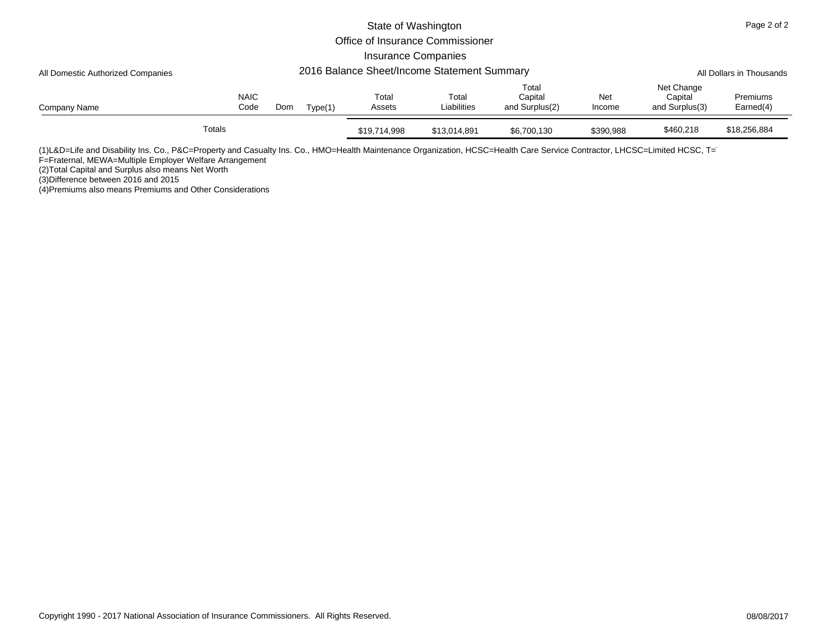|                                                                                  |        |                     |     |         | State of Washington        |                                  |                                    |               | Page 2 of 2                             |                       |  |
|----------------------------------------------------------------------------------|--------|---------------------|-----|---------|----------------------------|----------------------------------|------------------------------------|---------------|-----------------------------------------|-----------------------|--|
|                                                                                  |        |                     |     |         |                            | Office of Insurance Commissioner |                                    |               |                                         |                       |  |
|                                                                                  |        |                     |     |         | <b>Insurance Companies</b> |                                  |                                    |               |                                         |                       |  |
| 2016 Balance Sheet/Income Statement Summary<br>All Domestic Authorized Companies |        |                     |     |         |                            |                                  |                                    |               | All Dollars in Thousands                |                       |  |
| Company Name                                                                     |        | <b>NAIC</b><br>Code | Dom | Type(1) | Total<br>Assets            | Total<br>Liabilities             | Total<br>Capital<br>and Surplus(2) | Net<br>Income | Net Change<br>Capital<br>and Surplus(3) | Premiums<br>Earned(4) |  |
|                                                                                  | Totals |                     |     |         | \$19,714,998               | \$13,014,891                     | \$6,700,130                        | \$390,988     | \$460,218                               | \$18,256,884          |  |

(1)L&D=Life and Disability Ins. Co., P&C=Property and Casualty Ins. Co., HMO=Health Maintenance Organization, HCSC=Health Care Service Contractor, LHCSC=Limited HCSC, T=

F=Fraternal, MEWA=Multiple Employer Welfare Arrangement

(2)Total Capital and Surplus also means Net Worth

(3)Difference between 2016 and 2015 (4)Premiums also means Premiums and Other Considerations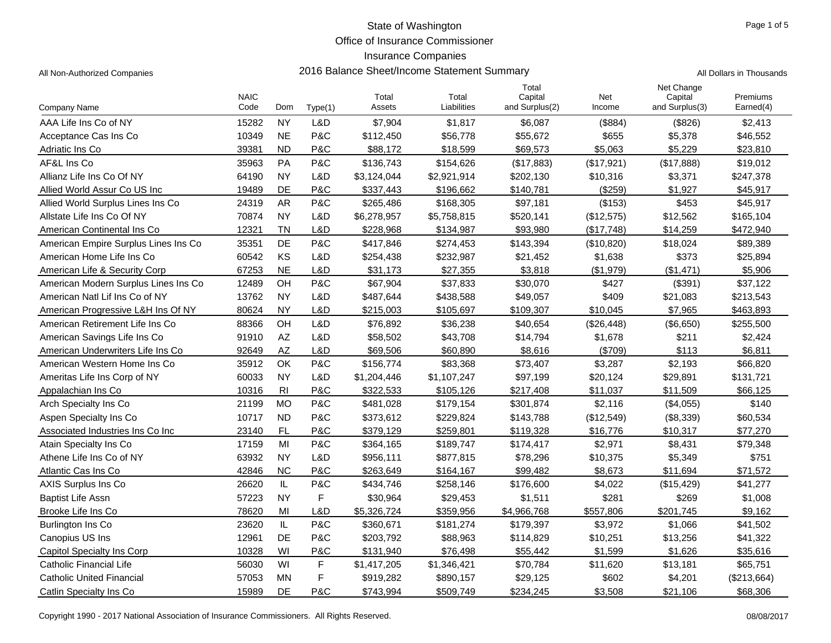Office of Insurance Commissioner

# Insurance Companies

| All Non-Authorized Companies | 2016 Balance Sheet/Income Statement Summary | All Dollars in Thousands |
|------------------------------|---------------------------------------------|--------------------------|
|------------------------------|---------------------------------------------|--------------------------|

|                                      | <b>NAIC</b> |                |         | Total       | Total       | Total<br>Capital | Net        | Net Change<br>Capital | Premiums    |
|--------------------------------------|-------------|----------------|---------|-------------|-------------|------------------|------------|-----------------------|-------------|
| Company Name                         | Code        | Dom            | Type(1) | Assets      | Liabilities | and Surplus(2)   | Income     | and Surplus(3)        | Earned(4)   |
| AAA Life Ins Co of NY                | 15282       | <b>NY</b>      | L&D     | \$7,904     | \$1,817     | \$6,087          | (\$884)    | (\$826)               | \$2,413     |
| Acceptance Cas Ins Co                | 10349       | <b>NE</b>      | P&C     | \$112,450   | \$56,778    | \$55,672         | \$655      | \$5,378               | \$46,552    |
| Adriatic Ins Co                      | 39381       | <b>ND</b>      | P&C     | \$88,172    | \$18,599    | \$69,573         | \$5,063    | \$5,229               | \$23,810    |
| AF&L Ins Co                          | 35963       | PA             | P&C     | \$136,743   | \$154,626   | (\$17,883)       | (\$17,921) | (\$17,888)            | \$19,012    |
| Allianz Life Ins Co Of NY            | 64190       | <b>NY</b>      | L&D     | \$3,124,044 | \$2,921,914 | \$202,130        | \$10,316   | \$3,371               | \$247,378   |
| Allied World Assur Co US Inc         | 19489       | DE             | P&C     | \$337,443   | \$196,662   | \$140,781        | (\$259)    | \$1,927               | \$45,917    |
| Allied World Surplus Lines Ins Co    | 24319       | AR             | P&C     | \$265,486   | \$168,305   | \$97,181         | (\$153)    | \$453                 | \$45,917    |
| Allstate Life Ins Co Of NY           | 70874       | <b>NY</b>      | L&D     | \$6,278,957 | \$5,758,815 | \$520,141        | (\$12,575) | \$12,562              | \$165,104   |
| American Continental Ins Co.         | 12321       | <b>TN</b>      | L&D     | \$228,968   | \$134,987   | \$93,980         | (\$17,748) | \$14,259              | \$472,940   |
| American Empire Surplus Lines Ins Co | 35351       | DE             | P&C     | \$417,846   | \$274,453   | \$143,394        | (\$10,820) | \$18,024              | \$89,389    |
| American Home Life Ins Co            | 60542       | KS             | L&D     | \$254,438   | \$232,987   | \$21,452         | \$1,638    | \$373                 | \$25,894    |
| American Life & Security Corp        | 67253       | <b>NE</b>      | L&D     | \$31,173    | \$27,355    | \$3,818          | (\$1,979)  | (\$1,471)             | \$5,906     |
| American Modern Surplus Lines Ins Co | 12489       | OH             | P&C     | \$67,904    | \$37,833    | \$30,070         | \$427      | (\$391)               | \$37,122    |
| American Natl Lif Ins Co of NY       | 13762       | <b>NY</b>      | L&D     | \$487,644   | \$438,588   | \$49,057         | \$409      | \$21,083              | \$213,543   |
| American Progressive L&H Ins Of NY   | 80624       | <b>NY</b>      | L&D     | \$215,003   | \$105,697   | \$109,307        | \$10,045   | \$7,965               | \$463,893   |
| American Retirement Life Ins Co      | 88366       | OH             | L&D     | \$76,892    | \$36,238    | \$40,654         | (\$26,448) | (\$6,650)             | \$255,500   |
| American Savings Life Ins Co         | 91910       | <b>AZ</b>      | L&D     | \$58,502    | \$43,708    | \$14,794         | \$1,678    | \$211                 | \$2,424     |
| American Underwriters Life Ins Co    | 92649       | <b>AZ</b>      | L&D     | \$69,506    | \$60,890    | \$8,616          | (\$709)    | \$113                 | \$6,811     |
| American Western Home Ins Co         | 35912       | OK             | P&C     | \$156,774   | \$83,368    | \$73,407         | \$3,287    | \$2,193               | \$66,820    |
| Ameritas Life Ins Corp of NY         | 60033       | <b>NY</b>      | L&D     | \$1,204,446 | \$1,107,247 | \$97,199         | \$20,124   | \$29,891              | \$131,721   |
| Appalachian Ins Co.                  | 10316       | R <sub>l</sub> | P&C     | \$322,533   | \$105,126   | \$217,408        | \$11,037   | \$11,509              | \$66,125    |
| Arch Specialty Ins Co.               | 21199       | <b>MO</b>      | P&C     | \$481,028   | \$179,154   | \$301,874        | \$2,116    | (\$4,055)             | \$140       |
| Aspen Specialty Ins Co               | 10717       | <b>ND</b>      | P&C     | \$373,612   | \$229,824   | \$143,788        | (\$12,549) | (\$8,339)             | \$60,534    |
| Associated Industries Ins Co Inc     | 23140       | <b>FL</b>      | P&C     | \$379,129   | \$259,801   | \$119,328        | \$16,776   | \$10,317              | \$77,270    |
| Atain Specialty Ins Co               | 17159       | MI             | P&C     | \$364,165   | \$189,747   | \$174,417        | \$2,971    | \$8,431               | \$79,348    |
| Athene Life Ins Co of NY             | 63932       | <b>NY</b>      | L&D     | \$956,111   | \$877,815   | \$78,296         | \$10,375   | \$5,349               | \$751       |
| Atlantic Cas Ins Co                  | 42846       | <b>NC</b>      | P&C     | \$263,649   | \$164,167   | \$99,482         | \$8,673    | \$11,694              | \$71,572    |
| AXIS Surplus Ins Co.                 | 26620       | IL             | P&C     | \$434,746   | \$258,146   | \$176,600        | \$4,022    | (\$15,429)            | \$41,277    |
| <b>Baptist Life Assn</b>             | 57223       | <b>NY</b>      | F       | \$30,964    | \$29,453    | \$1,511          | \$281      | \$269                 | \$1,008     |
| Brooke Life Ins Co                   | 78620       | MI             | L&D     | \$5,326,724 | \$359,956   | \$4,966,768      | \$557,806  | \$201,745             | \$9,162     |
| Burlington Ins Co                    | 23620       | IL             | P&C     | \$360,671   | \$181,274   | \$179,397        | \$3,972    | \$1,066               | \$41,502    |
| Canopius US Ins                      | 12961       | <b>DE</b>      | P&C     | \$203,792   | \$88,963    | \$114,829        | \$10,251   | \$13,256              | \$41,322    |
| <b>Capitol Specialty Ins Corp</b>    | 10328       | WI             | P&C     | \$131,940   | \$76,498    | \$55,442         | \$1,599    | \$1,626               | \$35,616    |
| Catholic Financial Life              | 56030       | WI             | F       | \$1,417,205 | \$1,346,421 | \$70,784         | \$11,620   | \$13,181              | \$65,751    |
| <b>Catholic United Financial</b>     | 57053       | MN             | F       | \$919,282   | \$890,157   | \$29,125         | \$602      | \$4,201               | (\$213,664) |
| Catlin Specialty Ins Co              | 15989       | DE             | P&C     | \$743,994   | \$509,749   | \$234,245        | \$3,508    | \$21,106              | \$68,306    |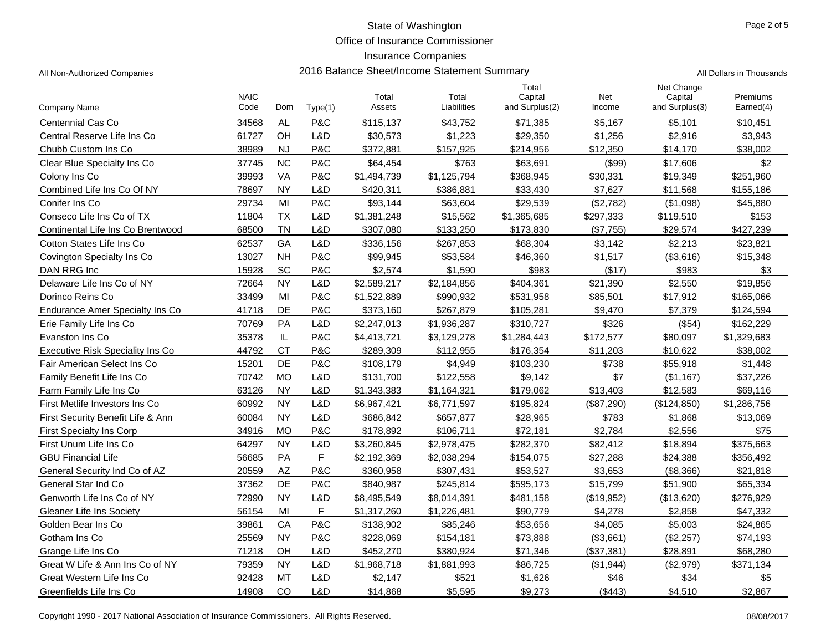Office of Insurance Commissioner

# Insurance Companies

| All Non-Authorized Companies | 2016 Balance Sheet/Income Statement Summary | All Dollars in Thousands |
|------------------------------|---------------------------------------------|--------------------------|
|------------------------------|---------------------------------------------|--------------------------|

|                                        |                     |           |             |                 |                      | Total                     |               | Net Change                |                       |
|----------------------------------------|---------------------|-----------|-------------|-----------------|----------------------|---------------------------|---------------|---------------------------|-----------------------|
| Company Name                           | <b>NAIC</b><br>Code | Dom       | Type(1)     | Total<br>Assets | Total<br>Liabilities | Capital<br>and Surplus(2) | Net<br>Income | Capital<br>and Surplus(3) | Premiums<br>Earned(4) |
| Centennial Cas Co                      | 34568               | <b>AL</b> | P&C         | \$115,137       | \$43,752             | \$71,385                  | \$5,167       | \$5,101                   | \$10,451              |
| Central Reserve Life Ins Co            | 61727               | OH        | L&D         | \$30,573        | \$1,223              | \$29,350                  | \$1,256       | \$2,916                   | \$3,943               |
| Chubb Custom Ins Co                    | 38989               | <b>NJ</b> | P&C         | \$372,881       | \$157,925            | \$214,956                 | \$12,350      | \$14,170                  | \$38,002              |
| Clear Blue Specialty Ins Co            | 37745               | <b>NC</b> | P&C         | \$64,454        | \$763                | \$63,691                  | (\$99)        | \$17,606                  | \$2                   |
| Colony Ins Co                          | 39993               | VA        | P&C         | \$1,494,739     | \$1,125,794          | \$368,945                 | \$30,331      | \$19,349                  | \$251,960             |
| Combined Life Ins Co Of NY             | 78697               | <b>NY</b> | L&D         | \$420,311       | \$386,881            | \$33,430                  | \$7,627       | \$11,568                  | \$155,186             |
| Conifer Ins Co                         | 29734               | MI        | P&C         | \$93,144        | \$63,604             | \$29,539                  | (\$2,782)     | (\$1,098)                 | \$45,880              |
| Conseco Life Ins Co of TX              | 11804               | <b>TX</b> | L&D         | \$1,381,248     | \$15,562             | \$1,365,685               | \$297,333     | \$119,510                 | \$153                 |
| Continental Life Ins Co Brentwood      | 68500               | <b>TN</b> | L&D         | \$307,080       | \$133,250            | \$173,830                 | (\$7,755)     | \$29,574                  | \$427,239             |
| Cotton States Life Ins Co              | 62537               | GA        | L&D         | \$336,156       | \$267,853            | \$68,304                  | \$3,142       | \$2,213                   | \$23,821              |
| Covington Specialty Ins Co             | 13027               | <b>NH</b> | P&C         | \$99,945        | \$53,584             | \$46,360                  | \$1,517       | (\$3,616)                 | \$15,348              |
| DAN RRG Inc                            | 15928               | SC        | P&C         | \$2,574         | \$1,590              | \$983                     | (\$17)        | \$983                     | \$3                   |
| Delaware Life Ins Co of NY             | 72664               | <b>NY</b> | L&D         | \$2,589,217     | \$2,184,856          | \$404,361                 | \$21,390      | \$2,550                   | \$19,856              |
| Dorinco Reins Co                       | 33499               | MI        | P&C         | \$1,522,889     | \$990,932            | \$531,958                 | \$85,501      | \$17,912                  | \$165,066             |
| <b>Endurance Amer Specialty Ins Co</b> | 41718               | DE        | P&C         | \$373,160       | \$267,879            | \$105,281                 | \$9,470       | \$7,379                   | \$124,594             |
| Erie Family Life Ins Co                | 70769               | PA        | L&D         | \$2,247,013     | \$1,936,287          | \$310,727                 | \$326         | (\$54)                    | \$162,229             |
| Evanston Ins Co                        | 35378               | IL        | P&C         | \$4,413,721     | \$3,129,278          | \$1,284,443               | \$172,577     | \$80,097                  | \$1,329,683           |
| Executive Risk Speciality Ins Co       | 44792               | <b>CT</b> | P&C         | \$289,309       | \$112,955            | \$176,354                 | \$11,203      | \$10,622                  | \$38,002              |
| Fair American Select Ins Co            | 15201               | DE        | P&C         | \$108,179       | \$4,949              | \$103,230                 | \$738         | \$55,918                  | \$1,448               |
| Family Benefit Life Ins Co             | 70742               | <b>MO</b> | L&D         | \$131,700       | \$122,558            | \$9,142                   | \$7           | (\$1,167)                 | \$37,226              |
| Farm Family Life Ins Co                | 63126               | <b>NY</b> | L&D         | \$1,343,383     | \$1,164,321          | \$179,062                 | \$13,403      | \$12,583                  | \$69,116              |
| First Metlife Investors Ins Co         | 60992               | <b>NY</b> | L&D         | \$6,967,421     | \$6,771,597          | \$195,824                 | (\$87,290)    | (\$124,850)               | \$1,286,756           |
| First Security Benefit Life & Ann      | 60084               | <b>NY</b> | L&D         | \$686,842       | \$657,877            | \$28,965                  | \$783         | \$1,868                   | \$13,069              |
| <b>First Specialty Ins Corp</b>        | 34916               | <b>MO</b> | P&C         | \$178,892       | \$106,711            | \$72,181                  | \$2,784       | \$2,556                   | \$75                  |
| First Unum Life Ins Co                 | 64297               | <b>NY</b> | L&D         | \$3,260,845     | \$2,978,475          | \$282,370                 | \$82,412      | \$18,894                  | \$375,663             |
| <b>GBU Financial Life</b>              | 56685               | PA        | $\mathsf F$ | \$2,192,369     | \$2,038,294          | \$154,075                 | \$27,288      | \$24,388                  | \$356,492             |
| General Security Ind Co of AZ          | 20559               | AZ        | P&C         | \$360,958       | \$307,431            | \$53,527                  | \$3,653       | (\$8,366)                 | \$21,818              |
| General Star Ind Co                    | 37362               | DE        | P&C         | \$840,987       | \$245,814            | \$595,173                 | \$15,799      | \$51,900                  | \$65,334              |
| Genworth Life Ins Co of NY             | 72990               | <b>NY</b> | L&D         | \$8,495,549     | \$8,014,391          | \$481,158                 | (\$19,952)    | (\$13,620)                | \$276,929             |
| <b>Gleaner Life Ins Society</b>        | 56154               | MI        | F.          | \$1,317,260     | \$1,226,481          | \$90,779                  | \$4,278       | \$2,858                   | \$47,332              |
| Golden Bear Ins Co                     | 39861               | CA        | P&C         | \$138,902       | \$85,246             | \$53,656                  | \$4,085       | \$5,003                   | \$24,865              |
| Gotham Ins Co                          | 25569               | <b>NY</b> | P&C         | \$228,069       | \$154,181            | \$73,888                  | (\$3,661)     | (\$2,257)                 | \$74,193              |
| Grange Life Ins Co                     | 71218               | OH        | L&D         | \$452,270       | \$380,924            | \$71,346                  | (\$37,381)    | \$28,891                  | \$68,280              |
| Great W Life & Ann Ins Co of NY        | 79359               | <b>NY</b> | L&D         | \$1,968,718     | \$1,881,993          | \$86,725                  | (\$1,944)     | (\$2,979)                 | \$371,134             |
| Great Western Life Ins Co              | 92428               | <b>MT</b> | L&D         | \$2,147         | \$521                | \$1,626                   | \$46          | \$34                      | \$5                   |
| Greenfields Life Ins Co                | 14908               | CO        | L&D         | \$14,868        | \$5,595              | \$9,273                   | (\$443)       | \$4,510                   | \$2,867               |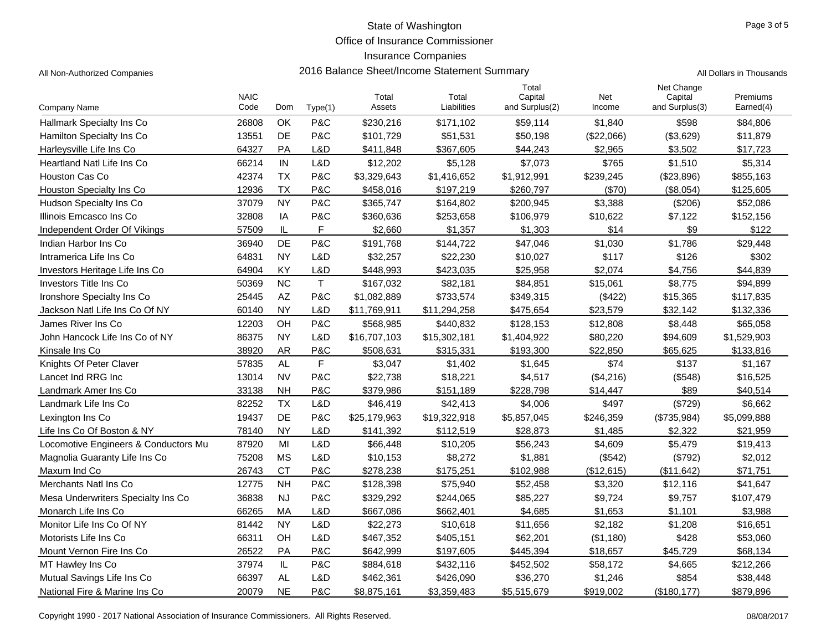Office of Insurance Commissioner

### Insurance Companies

All Non-Authorized Companies **2016 Balance Sheet/Income Statement Summary** All Non-Authorized Companies

|  | Il Dollars in Thousands |
|--|-------------------------|
|  |                         |

|                                      | <b>NAIC</b> |           |              | Total        | Total        | Total<br>Capital | Net        | Net Change<br>Capital | Premiums    |
|--------------------------------------|-------------|-----------|--------------|--------------|--------------|------------------|------------|-----------------------|-------------|
| Company Name                         | Code        | Dom       | Type(1)      | Assets       | Liabilities  | and Surplus(2)   | Income     | and Surplus(3)        | Earned(4)   |
| Hallmark Specialty Ins Co            | 26808       | OK        | P&C          | \$230,216    | \$171,102    | \$59,114         | \$1,840    | \$598                 | \$84,806    |
| Hamilton Specialty Ins Co            | 13551       | <b>DE</b> | P&C          | \$101.729    | \$51,531     | \$50,198         | (\$22,066) | (\$3,629)             | \$11,879    |
| Harleysville Life Ins Co             | 64327       | PA        | L&D          | \$411,848    | \$367,605    | \$44,243         | \$2,965    | \$3,502               | \$17,723    |
| Heartland Natl Life Ins Co           | 66214       | IN        | L&D          | \$12,202     | \$5,128      | \$7,073          | \$765      | \$1,510               | \$5,314     |
| <b>Houston Cas Co</b>                | 42374       | <b>TX</b> | P&C          | \$3,329,643  | \$1,416,652  | \$1,912,991      | \$239,245  | (\$23,896)            | \$855,163   |
| <b>Houston Specialty Ins Co</b>      | 12936       | <b>TX</b> | P&C          | \$458,016    | \$197,219    | \$260,797        | (\$70)     | (\$8,054)             | \$125,605   |
| Hudson Specialty Ins Co              | 37079       | <b>NY</b> | P&C          | \$365,747    | \$164,802    | \$200,945        | \$3,388    | (\$206)               | \$52,086    |
| Illinois Emcasco Ins Co              | 32808       | IA        | P&C          | \$360.636    | \$253,658    | \$106,979        | \$10,622   | \$7,122               | \$152,156   |
| Independent Order Of Vikings         | 57509       | IL        | F            | \$2,660      | \$1,357      | \$1,303          | \$14       | \$9                   | \$122       |
| Indian Harbor Ins Co                 | 36940       | DE        | P&C          | \$191,768    | \$144,722    | \$47,046         | \$1,030    | \$1,786               | \$29,448    |
| Intramerica Life Ins Co              | 64831       | <b>NY</b> | L&D          | \$32,257     | \$22,230     | \$10,027         | \$117      | \$126                 | \$302       |
| Investors Heritage Life Ins Co       | 64904       | KY        | L&D          | \$448,993    | \$423,035    | \$25,958         | \$2.074    | \$4,756               | \$44,839    |
| <b>Investors Title Ins Co</b>        | 50369       | <b>NC</b> | $\mathsf{T}$ | \$167,032    | \$82,181     | \$84,851         | \$15,061   | \$8,775               | \$94,899    |
| Ironshore Specialty Ins Co           | 25445       | AZ        | P&C          | \$1,082,889  | \$733,574    | \$349,315        | (\$422)    | \$15,365              | \$117,835   |
| Jackson Natl Life Ins Co Of NY       | 60140       | <b>NY</b> | L&D          | \$11,769,911 | \$11,294,258 | \$475,654        | \$23,579   | \$32,142              | \$132,336   |
| James River Ins Co                   | 12203       | OH        | P&C          | \$568,985    | \$440,832    | \$128,153        | \$12,808   | \$8,448               | \$65,058    |
| John Hancock Life Ins Co of NY       | 86375       | <b>NY</b> | L&D          | \$16,707,103 | \$15,302,181 | \$1,404,922      | \$80,220   | \$94,609              | \$1,529,903 |
| Kinsale Ins Co                       | 38920       | <b>AR</b> | P&C          | \$508,631    | \$315,331    | \$193,300        | \$22,850   | \$65,625              | \$133,816   |
| Knights Of Peter Claver              | 57835       | <b>AL</b> | F            | \$3,047      | \$1,402      | \$1,645          | \$74       | \$137                 | \$1,167     |
| Lancet Ind RRG Inc                   | 13014       | <b>NV</b> | P&C          | \$22,738     | \$18,221     | \$4,517          | (\$4,216)  | (\$548)               | \$16,525    |
| Landmark Amer Ins Co                 | 33138       | NΗ        | P&C          | \$379,986    | \$151,189    | \$228,798        | \$14,447   | \$89                  | \$40,514    |
| Landmark Life Ins Co                 | 82252       | <b>TX</b> | L&D          | \$46,419     | \$42,413     | \$4,006          | \$497      | (\$729)               | \$6,662     |
| Lexington Ins Co                     | 19437       | <b>DE</b> | P&C          | \$25,179,963 | \$19,322,918 | \$5,857,045      | \$246,359  | (\$735,984)           | \$5,099,888 |
| Life Ins Co Of Boston & NY           | 78140       | <b>NY</b> | L&D          | \$141,392    | \$112,519    | \$28,873         | \$1,485    | \$2,322               | \$21,959    |
| Locomotive Engineers & Conductors Mu | 87920       | MI        | L&D          | \$66,448     | \$10,205     | \$56,243         | \$4,609    | \$5,479               | \$19,413    |
| Magnolia Guaranty Life Ins Co        | 75208       | <b>MS</b> | L&D          | \$10,153     | \$8,272      | \$1,881          | (\$542)    | (\$792)               | \$2,012     |
| Maxum Ind Co                         | 26743       | <b>CT</b> | P&C          | \$278,238    | \$175,251    | \$102.988        | (\$12,615) | (\$11,642)            | \$71,751    |
| Merchants Natl Ins Co                | 12775       | <b>NH</b> | P&C          | \$128,398    | \$75,940     | \$52,458         | \$3,320    | \$12,116              | \$41,647    |
| Mesa Underwriters Specialty Ins Co.  | 36838       | <b>NJ</b> | P&C          | \$329,292    | \$244,065    | \$85,227         | \$9,724    | \$9,757               | \$107,479   |
| Monarch Life Ins Co                  | 66265       | <b>MA</b> | L&D          | \$667,086    | \$662,401    | \$4,685          | \$1,653    | \$1,101               | \$3,988     |
| Monitor Life Ins Co Of NY            | 81442       | <b>NY</b> | L&D          | \$22,273     | \$10,618     | \$11,656         | \$2,182    | \$1,208               | \$16,651    |
| Motorists Life Ins Co                | 66311       | OH        | L&D          | \$467,352    | \$405,151    | \$62,201         | (\$1,180)  | \$428                 | \$53,060    |
| Mount Vernon Fire Ins Co             | 26522       | PA        | P&C          | \$642,999    | \$197,605    | \$445.394        | \$18.657   | \$45.729              | \$68.134    |
| MT Hawley Ins Co                     | 37974       | IL        | P&C          | \$884,618    | \$432,116    | \$452,502        | \$58,172   | \$4,665               | \$212,266   |
| Mutual Savings Life Ins Co           | 66397       | <b>AL</b> | L&D          | \$462,361    | \$426,090    | \$36,270         | \$1,246    | \$854                 | \$38,448    |
| National Fire & Marine Ins Co        | 20079       | <b>NE</b> | P&C          | \$8,875,161  | \$3,359,483  | \$5,515,679      | \$919,002  | (\$180, 177)          | \$879,896   |

Copyright 1990 - 2017 National Association of Insurance Commissioners. All Rights Reserved. 08/08/2017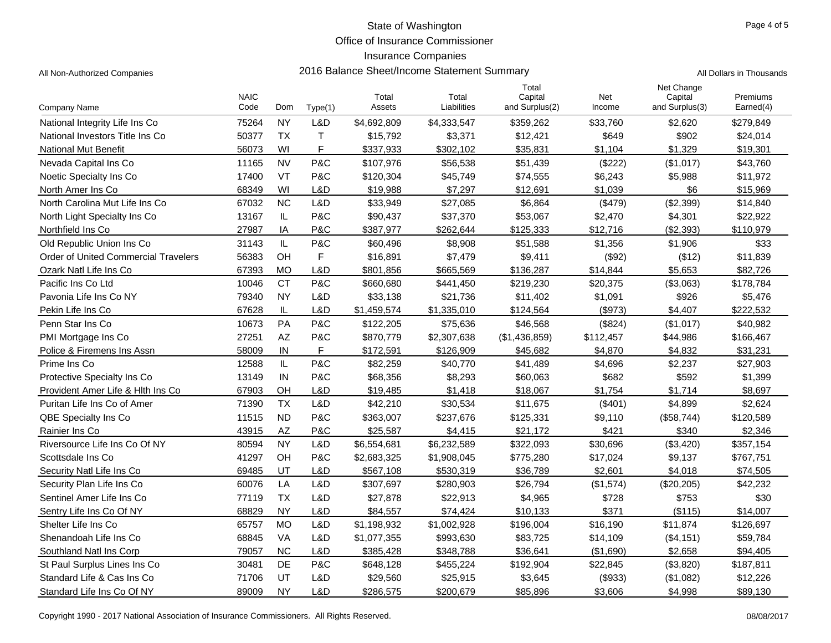Office of Insurance Commissioner

### Insurance Companies

All Non-Authorized Companies **2016 Balance Sheet/Income Statement Summary** All Non-Authorized Companies

|  |  |  | Il Dollars in Thousands |
|--|--|--|-------------------------|
|--|--|--|-------------------------|

|                                             | <b>NAIC</b> |           |             | Total       | Total       | Total<br>Capital | Net       | Net Change<br>Capital | Premiums  |
|---------------------------------------------|-------------|-----------|-------------|-------------|-------------|------------------|-----------|-----------------------|-----------|
| Company Name                                | Code        | Dom       | Type(1)     | Assets      | Liabilities | and Surplus(2)   | Income    | and Surplus(3)        | Earned(4) |
| National Integrity Life Ins Co              | 75264       | <b>NY</b> | L&D         | \$4,692,809 | \$4,333,547 | \$359,262        | \$33,760  | \$2,620               | \$279,849 |
| National Investors Title Ins Co             | 50377       | <b>TX</b> | T.          | \$15,792    | \$3,371     | \$12,421         | \$649     | \$902                 | \$24,014  |
| <b>National Mut Benefit</b>                 | 56073       | WI        | F           | \$337,933   | \$302,102   | \$35,831         | \$1,104   | \$1.329               | \$19,301  |
| Nevada Capital Ins Co                       | 11165       | <b>NV</b> | P&C         | \$107,976   | \$56,538    | \$51,439         | (\$222)   | (\$1,017)             | \$43,760  |
| Noetic Specialty Ins Co                     | 17400       | VT        | P&C         | \$120,304   | \$45,749    | \$74,555         | \$6,243   | \$5,988               | \$11,972  |
| North Amer Ins Co                           | 68349       | WI        | L&D         | \$19,988    | \$7,297     | \$12,691         | \$1,039   | \$6                   | \$15,969  |
| North Carolina Mut Life Ins Co              | 67032       | <b>NC</b> | L&D         | \$33,949    | \$27,085    | \$6,864          | (\$479)   | (\$2,399)             | \$14,840  |
| North Light Specialty Ins Co.               | 13167       | IL        | P&C         | \$90,437    | \$37,370    | \$53,067         | \$2,470   | \$4,301               | \$22,922  |
| Northfield Ins Co                           | 27987       | IA        | P&C         | \$387,977   | \$262,644   | \$125,333        | \$12,716  | (\$2,393)             | \$110,979 |
| Old Republic Union Ins Co                   | 31143       | IL        | P&C         | \$60,496    | \$8,908     | \$51,588         | \$1,356   | \$1,906               | \$33      |
| <b>Order of United Commercial Travelers</b> | 56383       | <b>OH</b> | $\mathsf F$ | \$16,891    | \$7,479     | \$9,411          | (\$92)    | (\$12)                | \$11,839  |
| Ozark Natl Life Ins Co                      | 67393       | <b>MO</b> | L&D         | \$801,856   | \$665,569   | \$136,287        | \$14,844  | \$5,653               | \$82,726  |
| Pacific Ins Co Ltd                          | 10046       | <b>CT</b> | P&C         | \$660,680   | \$441,450   | \$219,230        | \$20,375  | (\$3,063)             | \$178,784 |
| Pavonia Life Ins Co NY                      | 79340       | <b>NY</b> | L&D         | \$33,138    | \$21,736    | \$11,402         | \$1,091   | \$926                 | \$5,476   |
| Pekin Life Ins Co                           | 67628       | IL        | L&D         | \$1,459,574 | \$1,335,010 | \$124,564        | (\$973)   | \$4,407               | \$222,532 |
| Penn Star Ins Co                            | 10673       | PA        | P&C         | \$122,205   | \$75,636    | \$46,568         | (\$824)   | (\$1,017)             | \$40,982  |
| PMI Mortgage Ins Co                         | 27251       | AZ        | P&C         | \$870,779   | \$2,307,638 | (\$1,436,859)    | \$112,457 | \$44,986              | \$166,467 |
| Police & Firemens Ins Assn                  | 58009       | IN        | F           | \$172,591   | \$126,909   | \$45,682         | \$4,870   | \$4,832               | \$31,231  |
| Prime Ins Co                                | 12588       | IL        | P&C         | \$82,259    | \$40,770    | \$41,489         | \$4,696   | \$2,237               | \$27,903  |
| Protective Specialty Ins Co.                | 13149       | IN        | P&C         | \$68,356    | \$8,293     | \$60,063         | \$682     | \$592                 | \$1,399   |
| Provident Amer Life & Hith Ins Co           | 67903       | <b>OH</b> | L&D         | \$19,485    | \$1,418     | \$18,067         | \$1,754   | \$1,714               | \$8,697   |
| Puritan Life Ins Co of Amer                 | 71390       | <b>TX</b> | L&D         | \$42,210    | \$30,534    | \$11,675         | (\$401)   | \$4,899               | \$2,624   |
| <b>QBE Specialty Ins Co</b>                 | 11515       | <b>ND</b> | P&C         | \$363,007   | \$237,676   | \$125,331        | \$9,110   | (\$58,744)            | \$120,589 |
| Rainier Ins Co                              | 43915       | <b>AZ</b> | P&C         | \$25,587    | \$4,415     | \$21,172         | \$421     | \$340                 | \$2,346   |
| Riversource Life Ins Co Of NY               | 80594       | <b>NY</b> | L&D         | \$6,554,681 | \$6,232,589 | \$322,093        | \$30,696  | (\$3,420)             | \$357,154 |
| Scottsdale Ins Co                           | 41297       | OH        | P&C         | \$2,683,325 | \$1,908,045 | \$775,280        | \$17,024  | \$9,137               | \$767,751 |
| Security Natl Life Ins Co                   | 69485       | UT        | L&D         | \$567,108   | \$530,319   | \$36,789         | \$2,601   | \$4,018               | \$74,505  |
| Security Plan Life Ins Co                   | 60076       | LA        | L&D         | \$307,697   | \$280,903   | \$26,794         | (\$1,574) | (\$20,205)            | \$42,232  |
| Sentinel Amer Life Ins Co                   | 77119       | <b>TX</b> | L&D         | \$27,878    | \$22,913    | \$4,965          | \$728     | \$753                 | \$30      |
| Sentry Life Ins Co Of NY                    | 68829       | <b>NY</b> | L&D         | \$84,557    | \$74,424    | \$10,133         | \$371     | (\$115)               | \$14.007  |
| Shelter Life Ins Co.                        | 65757       | <b>MO</b> | L&D         | \$1,198,932 | \$1,002,928 | \$196,004        | \$16,190  | \$11,874              | \$126,697 |
| Shenandoah Life Ins Co                      | 68845       | VA        | L&D         | \$1,077,355 | \$993,630   | \$83,725         | \$14,109  | (\$4,151)             | \$59,784  |
| Southland Natl Ins Corp                     | 79057       | <b>NC</b> | L&D         | \$385,428   | \$348,788   | \$36,641         | (\$1,690) | \$2,658               | \$94,405  |
| St Paul Surplus Lines Ins Co                | 30481       | <b>DE</b> | P&C         | \$648,128   | \$455,224   | \$192,904        | \$22,845  | (\$3,820)             | \$187,811 |
| Standard Life & Cas Ins Co                  | 71706       | UT        | L&D         | \$29,560    | \$25,915    | \$3,645          | (\$933)   | (\$1,082)             | \$12,226  |
| Standard Life Ins Co Of NY                  | 89009       | <b>NY</b> | L&D         | \$286,575   | \$200,679   | \$85,896         | \$3.606   | \$4,998               | \$89,130  |